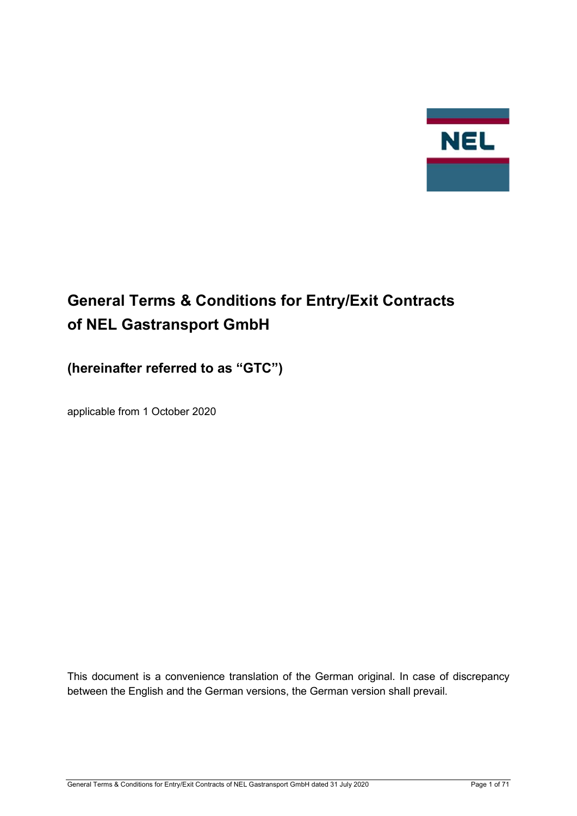

# General Terms & Conditions for Entry/Exit Contracts of NEL Gastransport GmbH

## (hereinafter referred to as "GTC")

applicable from 1 October 2020

This document is a convenience translation of the German original. In case of discrepancy between the English and the German versions, the German version shall prevail.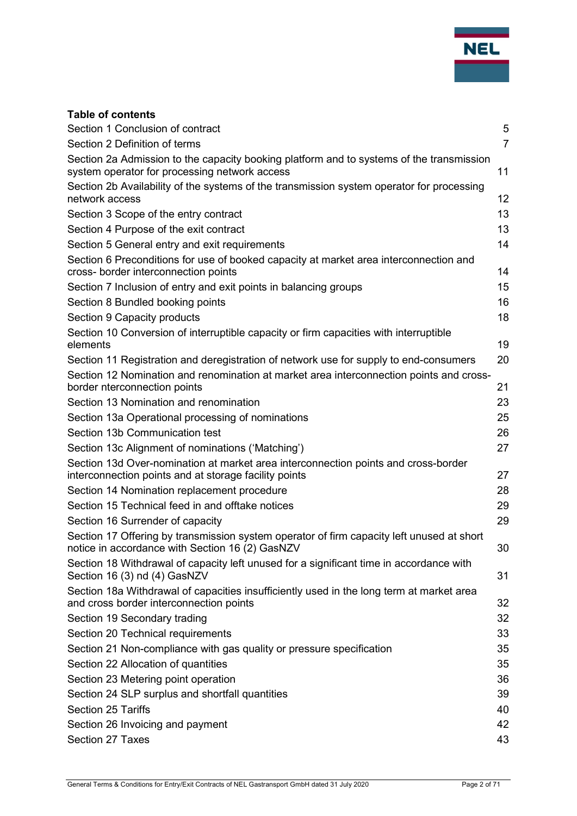

## Table of contents

| Section 1 Conclusion of contract                                                                                                             | 5              |
|----------------------------------------------------------------------------------------------------------------------------------------------|----------------|
| Section 2 Definition of terms                                                                                                                | $\overline{7}$ |
| Section 2a Admission to the capacity booking platform and to systems of the transmission                                                     |                |
| system operator for processing network access                                                                                                | 11             |
| Section 2b Availability of the systems of the transmission system operator for processing<br>network access                                  |                |
|                                                                                                                                              | 12             |
| Section 3 Scope of the entry contract                                                                                                        | 13             |
| Section 4 Purpose of the exit contract                                                                                                       | 13             |
| Section 5 General entry and exit requirements                                                                                                | 14             |
| Section 6 Preconditions for use of booked capacity at market area interconnection and<br>cross- border interconnection points                | 14             |
| Section 7 Inclusion of entry and exit points in balancing groups                                                                             | 15             |
| Section 8 Bundled booking points                                                                                                             | 16             |
| Section 9 Capacity products                                                                                                                  | 18             |
| Section 10 Conversion of interruptible capacity or firm capacities with interruptible<br>elements                                            | 19             |
| Section 11 Registration and deregistration of network use for supply to end-consumers                                                        | 20             |
| Section 12 Nomination and renomination at market area interconnection points and cross-                                                      |                |
| border nterconnection points                                                                                                                 | 21             |
| Section 13 Nomination and renomination                                                                                                       | 23             |
| Section 13a Operational processing of nominations                                                                                            | 25             |
| Section 13b Communication test                                                                                                               | 26             |
| Section 13c Alignment of nominations ('Matching')                                                                                            | 27             |
| Section 13d Over-nomination at market area interconnection points and cross-border<br>interconnection points and at storage facility points  | 27             |
| Section 14 Nomination replacement procedure                                                                                                  | 28             |
| Section 15 Technical feed in and offtake notices                                                                                             | 29             |
| Section 16 Surrender of capacity                                                                                                             | 29             |
| Section 17 Offering by transmission system operator of firm capacity left unused at short<br>notice in accordance with Section 16 (2) GasNZV | 30             |
| Section 18 Withdrawal of capacity left unused for a significant time in accordance with                                                      |                |
| Section 16 (3) nd (4) GasNZV                                                                                                                 | 31             |
| Section 18a Withdrawal of capacities insufficiently used in the long term at market area<br>and cross border interconnection points          | 32             |
| Section 19 Secondary trading                                                                                                                 | 32             |
| Section 20 Technical requirements                                                                                                            | 33             |
| Section 21 Non-compliance with gas quality or pressure specification                                                                         | 35             |
| Section 22 Allocation of quantities                                                                                                          | 35             |
| Section 23 Metering point operation                                                                                                          | 36             |
| Section 24 SLP surplus and shortfall quantities                                                                                              | 39             |
| <b>Section 25 Tariffs</b>                                                                                                                    | 40             |
| Section 26 Invoicing and payment                                                                                                             | 42             |
| Section 27 Taxes                                                                                                                             | 43             |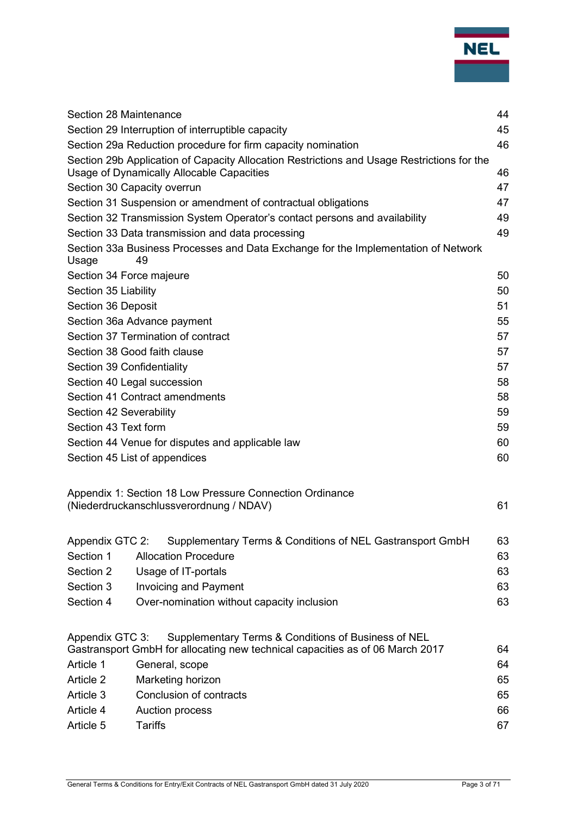

|                          |                                                                                                                                      | 44 |  |  |  |
|--------------------------|--------------------------------------------------------------------------------------------------------------------------------------|----|--|--|--|
|                          | Section 28 Maintenance<br>Section 29 Interruption of interruptible capacity                                                          |    |  |  |  |
|                          | Section 29a Reduction procedure for firm capacity nomination                                                                         |    |  |  |  |
|                          | Section 29b Application of Capacity Allocation Restrictions and Usage Restrictions for the                                           | 46 |  |  |  |
|                          | Usage of Dynamically Allocable Capacities                                                                                            | 46 |  |  |  |
|                          | Section 30 Capacity overrun                                                                                                          | 47 |  |  |  |
|                          | Section 31 Suspension or amendment of contractual obligations                                                                        | 47 |  |  |  |
|                          | Section 32 Transmission System Operator's contact persons and availability                                                           | 49 |  |  |  |
|                          | Section 33 Data transmission and data processing                                                                                     | 49 |  |  |  |
| Usage                    | Section 33a Business Processes and Data Exchange for the Implementation of Network<br>49                                             |    |  |  |  |
| Section 34 Force majeure |                                                                                                                                      | 50 |  |  |  |
| Section 35 Liability     |                                                                                                                                      | 50 |  |  |  |
| Section 36 Deposit       |                                                                                                                                      | 51 |  |  |  |
|                          | Section 36a Advance payment                                                                                                          | 55 |  |  |  |
|                          | Section 37 Termination of contract                                                                                                   | 57 |  |  |  |
|                          | Section 38 Good faith clause                                                                                                         | 57 |  |  |  |
|                          | Section 39 Confidentiality<br>57                                                                                                     |    |  |  |  |
|                          | Section 40 Legal succession                                                                                                          | 58 |  |  |  |
|                          | Section 41 Contract amendments                                                                                                       | 58 |  |  |  |
| Section 42 Severability  |                                                                                                                                      | 59 |  |  |  |
| Section 43 Text form     |                                                                                                                                      | 59 |  |  |  |
|                          | Section 44 Venue for disputes and applicable law                                                                                     | 60 |  |  |  |
|                          | Section 45 List of appendices                                                                                                        | 60 |  |  |  |
|                          | Appendix 1: Section 18 Low Pressure Connection Ordinance                                                                             |    |  |  |  |
|                          | (Niederdruckanschlussverordnung / NDAV)                                                                                              | 61 |  |  |  |
|                          | Appendix GTC 2: Supplementary Terms & Conditions of NEL Gastransport GmbH                                                            | 63 |  |  |  |
| Section 1                | <b>Allocation Procedure</b>                                                                                                          | 63 |  |  |  |
| Section 2                | Usage of IT-portals                                                                                                                  | 63 |  |  |  |
| Section 3                | <b>Invoicing and Payment</b>                                                                                                         | 63 |  |  |  |
| Section 4                | Over-nomination without capacity inclusion                                                                                           | 63 |  |  |  |
| Appendix GTC 3:          | Supplementary Terms & Conditions of Business of NEL<br>Gastransport GmbH for allocating new technical capacities as of 06 March 2017 | 64 |  |  |  |
| Article 1                | General, scope<br>64                                                                                                                 |    |  |  |  |
| Article 2                | Marketing horizon<br>65                                                                                                              |    |  |  |  |
| Article 3                | Conclusion of contracts<br>65                                                                                                        |    |  |  |  |
| Article 4                | 66<br><b>Auction process</b>                                                                                                         |    |  |  |  |
| Article 5                | <b>Tariffs</b><br>67                                                                                                                 |    |  |  |  |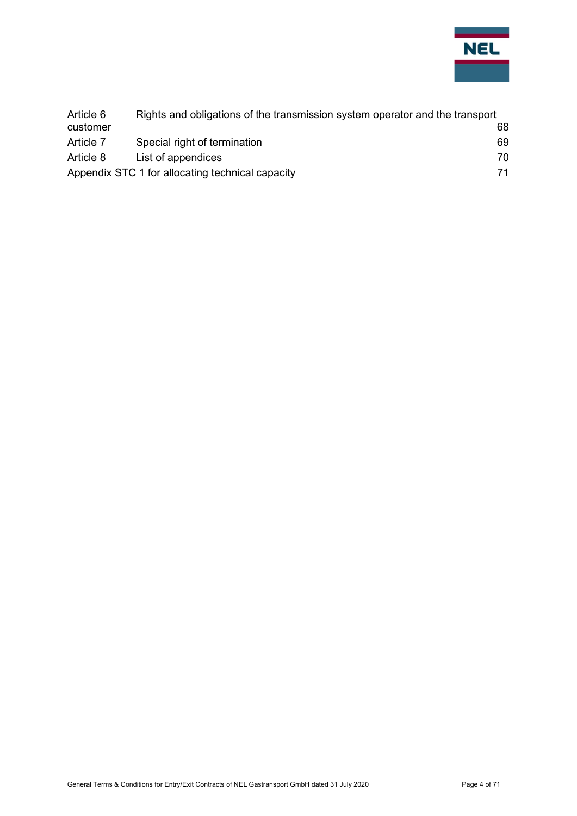

| Article 6 | Rights and obligations of the transmission system operator and the transport |    |  |  |
|-----------|------------------------------------------------------------------------------|----|--|--|
| customer  |                                                                              | 68 |  |  |
| Article 7 | Special right of termination                                                 | 69 |  |  |
| Article 8 | List of appendices                                                           | 70 |  |  |
|           | Appendix STC 1 for allocating technical capacity                             | 71 |  |  |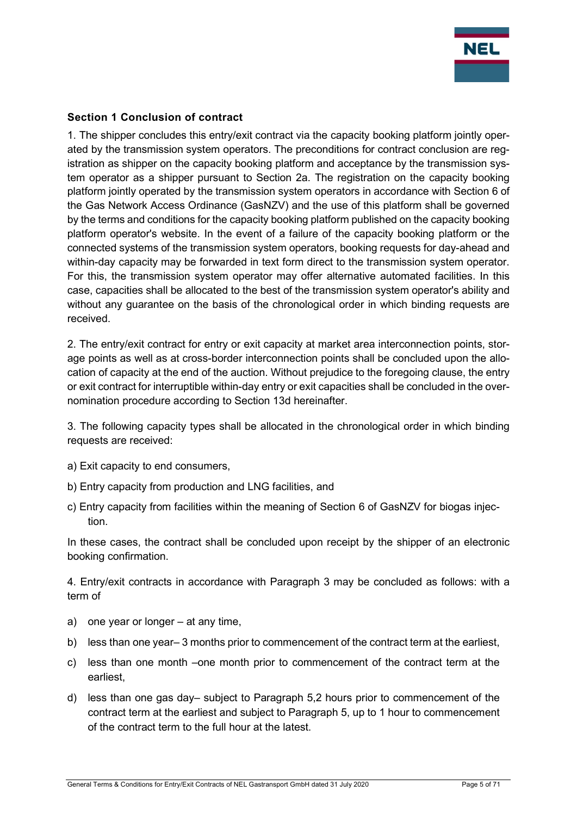

## Section 1 Conclusion of contract

1. The shipper concludes this entry/exit contract via the capacity booking platform jointly operated by the transmission system operators. The preconditions for contract conclusion are registration as shipper on the capacity booking platform and acceptance by the transmission system operator as a shipper pursuant to Section 2a. The registration on the capacity booking platform jointly operated by the transmission system operators in accordance with Section 6 of the Gas Network Access Ordinance (GasNZV) and the use of this platform shall be governed by the terms and conditions for the capacity booking platform published on the capacity booking platform operator's website. In the event of a failure of the capacity booking platform or the connected systems of the transmission system operators, booking requests for day-ahead and within-day capacity may be forwarded in text form direct to the transmission system operator. For this, the transmission system operator may offer alternative automated facilities. In this case, capacities shall be allocated to the best of the transmission system operator's ability and without any guarantee on the basis of the chronological order in which binding requests are received.

2. The entry/exit contract for entry or exit capacity at market area interconnection points, storage points as well as at cross-border interconnection points shall be concluded upon the allocation of capacity at the end of the auction. Without prejudice to the foregoing clause, the entry or exit contract for interruptible within-day entry or exit capacities shall be concluded in the overnomination procedure according to Section 13d hereinafter.

3. The following capacity types shall be allocated in the chronological order in which binding requests are received:

- a) Exit capacity to end consumers,
- b) Entry capacity from production and LNG facilities, and
- c) Entry capacity from facilities within the meaning of Section 6 of GasNZV for biogas injection.

In these cases, the contract shall be concluded upon receipt by the shipper of an electronic booking confirmation.

4. Entry/exit contracts in accordance with Paragraph 3 may be concluded as follows: with a term of

- a) one year or longer at any time,
- b) less than one year– 3 months prior to commencement of the contract term at the earliest,
- c) less than one month –one month prior to commencement of the contract term at the earliest,
- d) less than one gas day– subject to Paragraph 5,2 hours prior to commencement of the contract term at the earliest and subject to Paragraph 5, up to 1 hour to commencement of the contract term to the full hour at the latest.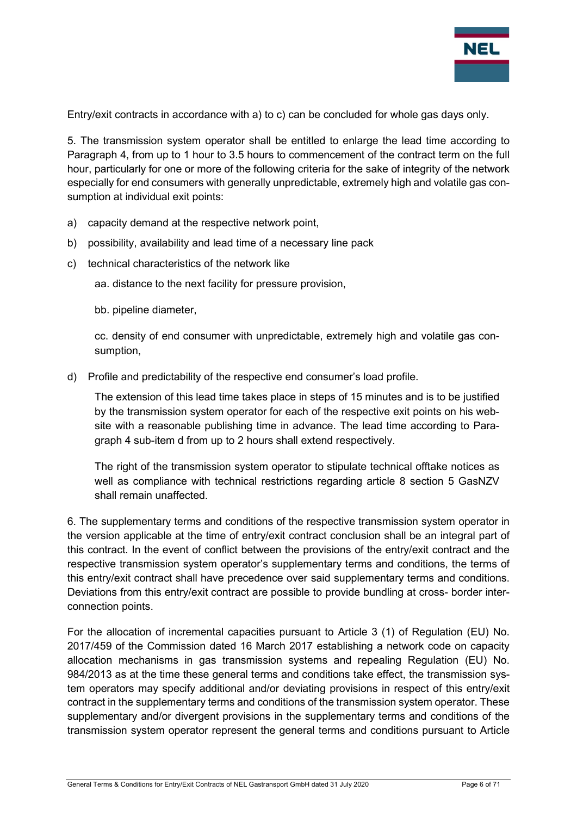

Entry/exit contracts in accordance with a) to c) can be concluded for whole gas days only.

5. The transmission system operator shall be entitled to enlarge the lead time according to Paragraph 4, from up to 1 hour to 3.5 hours to commencement of the contract term on the full hour, particularly for one or more of the following criteria for the sake of integrity of the network especially for end consumers with generally unpredictable, extremely high and volatile gas consumption at individual exit points:

- a) capacity demand at the respective network point,
- b) possibility, availability and lead time of a necessary line pack
- c) technical characteristics of the network like

aa. distance to the next facility for pressure provision,

bb. pipeline diameter,

cc. density of end consumer with unpredictable, extremely high and volatile gas consumption,

d) Profile and predictability of the respective end consumer's load profile.

The extension of this lead time takes place in steps of 15 minutes and is to be justified by the transmission system operator for each of the respective exit points on his website with a reasonable publishing time in advance. The lead time according to Paragraph 4 sub-item d from up to 2 hours shall extend respectively.

The right of the transmission system operator to stipulate technical offtake notices as well as compliance with technical restrictions regarding article 8 section 5 GasNZV shall remain unaffected.

6. The supplementary terms and conditions of the respective transmission system operator in the version applicable at the time of entry/exit contract conclusion shall be an integral part of this contract. In the event of conflict between the provisions of the entry/exit contract and the respective transmission system operator's supplementary terms and conditions, the terms of this entry/exit contract shall have precedence over said supplementary terms and conditions. Deviations from this entry/exit contract are possible to provide bundling at cross- border interconnection points.

For the allocation of incremental capacities pursuant to Article 3 (1) of Regulation (EU) No. 2017/459 of the Commission dated 16 March 2017 establishing a network code on capacity allocation mechanisms in gas transmission systems and repealing Regulation (EU) No. 984/2013 as at the time these general terms and conditions take effect, the transmission system operators may specify additional and/or deviating provisions in respect of this entry/exit contract in the supplementary terms and conditions of the transmission system operator. These supplementary and/or divergent provisions in the supplementary terms and conditions of the transmission system operator represent the general terms and conditions pursuant to Article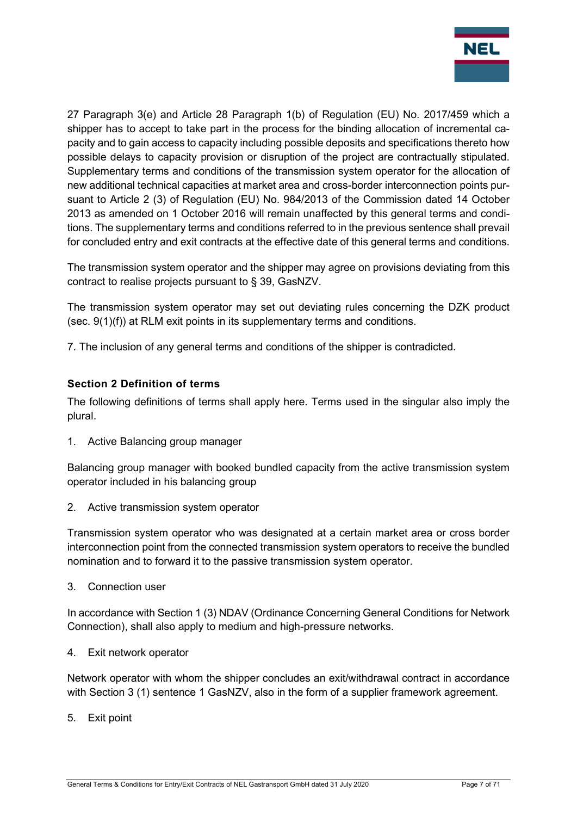

27 Paragraph 3(e) and Article 28 Paragraph 1(b) of Regulation (EU) No. 2017/459 which a shipper has to accept to take part in the process for the binding allocation of incremental capacity and to gain access to capacity including possible deposits and specifications thereto how possible delays to capacity provision or disruption of the project are contractually stipulated. Supplementary terms and conditions of the transmission system operator for the allocation of new additional technical capacities at market area and cross-border interconnection points pursuant to Article 2 (3) of Regulation (EU) No. 984/2013 of the Commission dated 14 October 2013 as amended on 1 October 2016 will remain unaffected by this general terms and conditions. The supplementary terms and conditions referred to in the previous sentence shall prevail for concluded entry and exit contracts at the effective date of this general terms and conditions.

The transmission system operator and the shipper may agree on provisions deviating from this contract to realise projects pursuant to § 39, GasNZV.

The transmission system operator may set out deviating rules concerning the DZK product (sec. 9(1)(f)) at RLM exit points in its supplementary terms and conditions.

7. The inclusion of any general terms and conditions of the shipper is contradicted.

## Section 2 Definition of terms

The following definitions of terms shall apply here. Terms used in the singular also imply the plural.

1. Active Balancing group manager

Balancing group manager with booked bundled capacity from the active transmission system operator included in his balancing group

2. Active transmission system operator

Transmission system operator who was designated at a certain market area or cross border interconnection point from the connected transmission system operators to receive the bundled nomination and to forward it to the passive transmission system operator.

3. Connection user

In accordance with Section 1 (3) NDAV (Ordinance Concerning General Conditions for Network Connection), shall also apply to medium and high-pressure networks.

4. Exit network operator

Network operator with whom the shipper concludes an exit/withdrawal contract in accordance with Section 3 (1) sentence 1 GasNZV, also in the form of a supplier framework agreement.

5. Exit point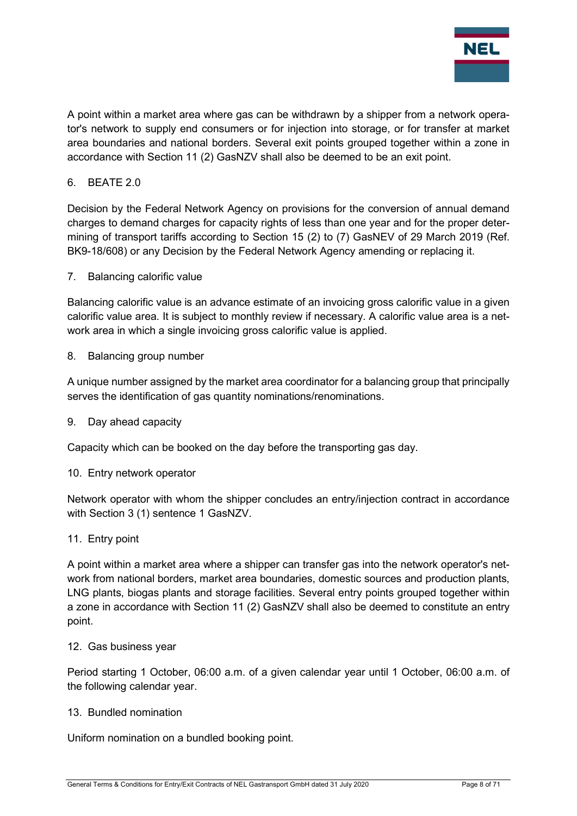

A point within a market area where gas can be withdrawn by a shipper from a network operator's network to supply end consumers or for injection into storage, or for transfer at market area boundaries and national borders. Several exit points grouped together within a zone in accordance with Section 11 (2) GasNZV shall also be deemed to be an exit point.

#### 6. BEATE 2.0

Decision by the Federal Network Agency on provisions for the conversion of annual demand charges to demand charges for capacity rights of less than one year and for the proper determining of transport tariffs according to Section 15 (2) to (7) GasNEV of 29 March 2019 (Ref. BK9-18/608) or any Decision by the Federal Network Agency amending or replacing it.

#### 7. Balancing calorific value

Balancing calorific value is an advance estimate of an invoicing gross calorific value in a given calorific value area. It is subject to monthly review if necessary. A calorific value area is a network area in which a single invoicing gross calorific value is applied.

8. Balancing group number

A unique number assigned by the market area coordinator for a balancing group that principally serves the identification of gas quantity nominations/renominations.

9. Day ahead capacity

Capacity which can be booked on the day before the transporting gas day.

#### 10. Entry network operator

Network operator with whom the shipper concludes an entry/injection contract in accordance with Section 3 (1) sentence 1 GasNZV.

#### 11. Entry point

A point within a market area where a shipper can transfer gas into the network operator's network from national borders, market area boundaries, domestic sources and production plants, LNG plants, biogas plants and storage facilities. Several entry points grouped together within a zone in accordance with Section 11 (2) GasNZV shall also be deemed to constitute an entry point.

#### 12. Gas business year

Period starting 1 October, 06:00 a.m. of a given calendar year until 1 October, 06:00 a.m. of the following calendar year.

#### 13. Bundled nomination

Uniform nomination on a bundled booking point.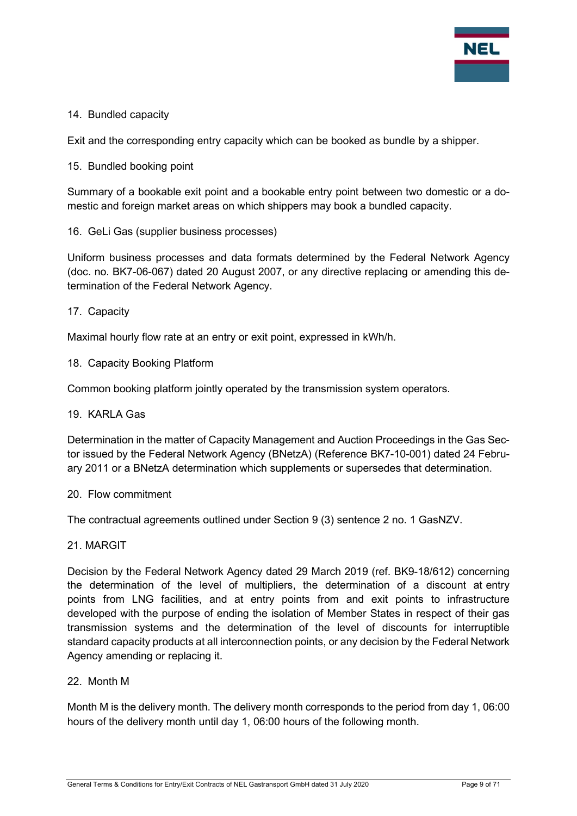

#### 14. Bundled capacity

Exit and the corresponding entry capacity which can be booked as bundle by a shipper.

15. Bundled booking point

Summary of a bookable exit point and a bookable entry point between two domestic or a domestic and foreign market areas on which shippers may book a bundled capacity.

16. GeLi Gas (supplier business processes)

Uniform business processes and data formats determined by the Federal Network Agency (doc. no. BK7-06-067) dated 20 August 2007, or any directive replacing or amending this determination of the Federal Network Agency.

17. Capacity

Maximal hourly flow rate at an entry or exit point, expressed in kWh/h.

18. Capacity Booking Platform

Common booking platform jointly operated by the transmission system operators.

#### 19. KARLA Gas

Determination in the matter of Capacity Management and Auction Proceedings in the Gas Sector issued by the Federal Network Agency (BNetzA) (Reference BK7-10-001) dated 24 February 2011 or a BNetzA determination which supplements or supersedes that determination.

#### 20. Flow commitment

The contractual agreements outlined under Section 9 (3) sentence 2 no. 1 GasNZV.

21. MARGIT

Decision by the Federal Network Agency dated 29 March 2019 (ref. BK9-18/612) concerning the determination of the level of multipliers, the determination of a discount at entry points from LNG facilities, and at entry points from and exit points to infrastructure developed with the purpose of ending the isolation of Member States in respect of their gas transmission systems and the determination of the level of discounts for interruptible standard capacity products at all interconnection points, or any decision by the Federal Network Agency amending or replacing it.

22. Month M

Month M is the delivery month. The delivery month corresponds to the period from day 1, 06:00 hours of the delivery month until day 1, 06:00 hours of the following month.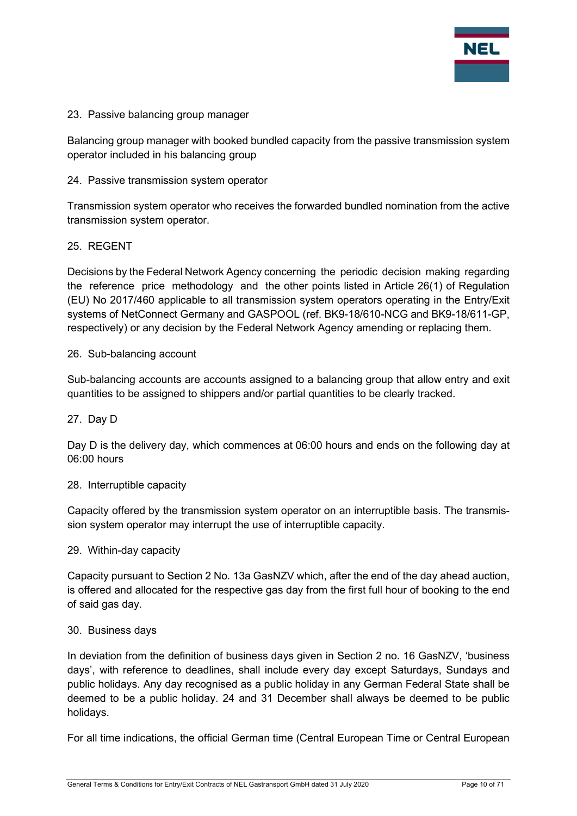

#### 23. Passive balancing group manager

Balancing group manager with booked bundled capacity from the passive transmission system operator included in his balancing group

#### 24. Passive transmission system operator

Transmission system operator who receives the forwarded bundled nomination from the active transmission system operator.

#### 25. REGENT

Decisions by the Federal Network Agency concerning the periodic decision making regarding the reference price methodology and the other points listed in Article 26(1) of Regulation (EU) No 2017/460 applicable to all transmission system operators operating in the Entry/Exit systems of NetConnect Germany and GASPOOL (ref. BK9-18/610-NCG and BK9-18/611-GP, respectively) or any decision by the Federal Network Agency amending or replacing them.

#### 26. Sub-balancing account

Sub-balancing accounts are accounts assigned to a balancing group that allow entry and exit quantities to be assigned to shippers and/or partial quantities to be clearly tracked.

#### 27. Day D

Day D is the delivery day, which commences at 06:00 hours and ends on the following day at 06:00 hours

#### 28. Interruptible capacity

Capacity offered by the transmission system operator on an interruptible basis. The transmission system operator may interrupt the use of interruptible capacity.

#### 29. Within-day capacity

Capacity pursuant to Section 2 No. 13a GasNZV which, after the end of the day ahead auction, is offered and allocated for the respective gas day from the first full hour of booking to the end of said gas day.

#### 30. Business days

In deviation from the definition of business days given in Section 2 no. 16 GasNZV, 'business days', with reference to deadlines, shall include every day except Saturdays, Sundays and public holidays. Any day recognised as a public holiday in any German Federal State shall be deemed to be a public holiday. 24 and 31 December shall always be deemed to be public holidays.

For all time indications, the official German time (Central European Time or Central European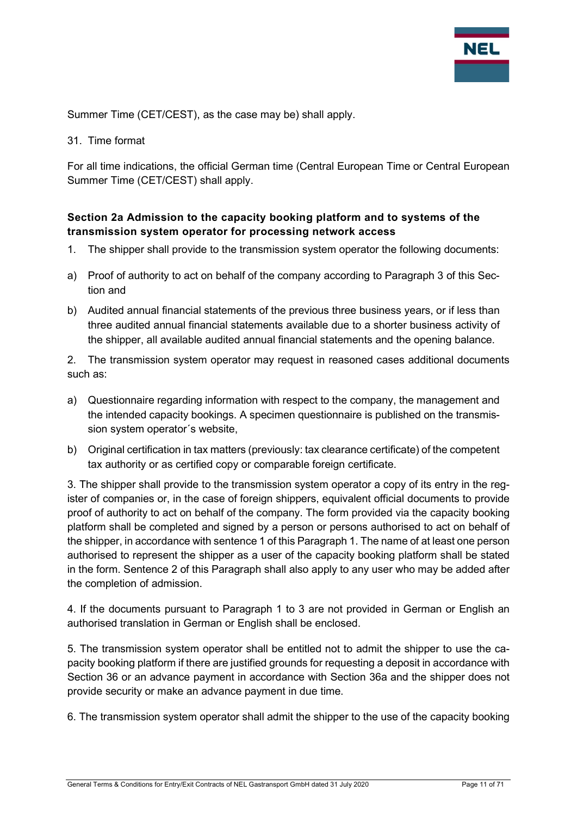

Summer Time (CET/CEST), as the case may be) shall apply.

31. Time format

For all time indications, the official German time (Central European Time or Central European Summer Time (CET/CEST) shall apply.

## Section 2a Admission to the capacity booking platform and to systems of the transmission system operator for processing network access

- 1. The shipper shall provide to the transmission system operator the following documents:
- a) Proof of authority to act on behalf of the company according to Paragraph 3 of this Section and
- b) Audited annual financial statements of the previous three business years, or if less than three audited annual financial statements available due to a shorter business activity of the shipper, all available audited annual financial statements and the opening balance.

2. The transmission system operator may request in reasoned cases additional documents such as:

- a) Questionnaire regarding information with respect to the company, the management and the intended capacity bookings. A specimen questionnaire is published on the transmission system operator´s website,
- b) Original certification in tax matters (previously: tax clearance certificate) of the competent tax authority or as certified copy or comparable foreign certificate.

3. The shipper shall provide to the transmission system operator a copy of its entry in the register of companies or, in the case of foreign shippers, equivalent official documents to provide proof of authority to act on behalf of the company. The form provided via the capacity booking platform shall be completed and signed by a person or persons authorised to act on behalf of the shipper, in accordance with sentence 1 of this Paragraph 1. The name of at least one person authorised to represent the shipper as a user of the capacity booking platform shall be stated in the form. Sentence 2 of this Paragraph shall also apply to any user who may be added after the completion of admission.

4. If the documents pursuant to Paragraph 1 to 3 are not provided in German or English an authorised translation in German or English shall be enclosed.

5. The transmission system operator shall be entitled not to admit the shipper to use the capacity booking platform if there are justified grounds for requesting a deposit in accordance with Section 36 or an advance payment in accordance with Section 36a and the shipper does not provide security or make an advance payment in due time.

6. The transmission system operator shall admit the shipper to the use of the capacity booking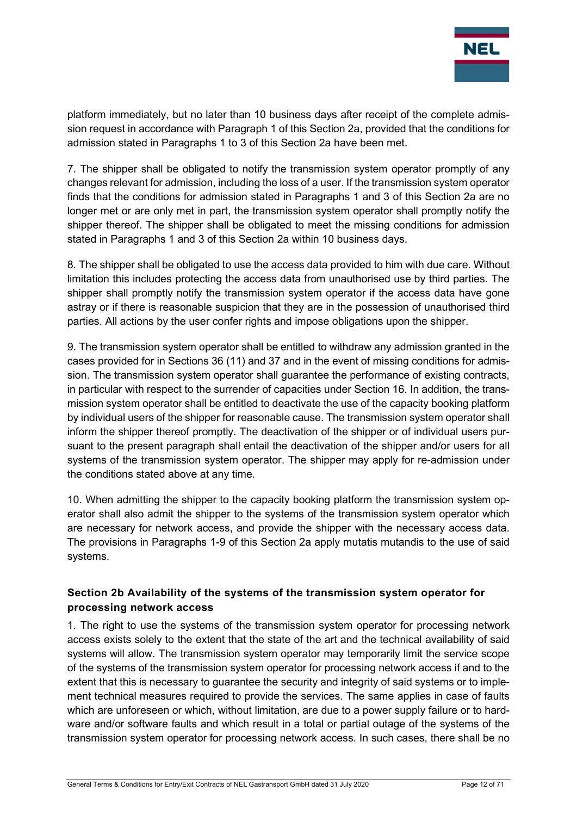

platform immediately, but no later than 10 business days after receipt of the complete admission request in accordance with Paragraph 1 of this Section 2a, provided that the conditions for admission stated in Paragraphs 1 to 3 of this Section 2a have been met.

7. The shipper shall be obligated to notify the transmission system operator promptly of any changes relevant for admission, including the loss of a user. If the transmission system operator finds that the conditions for admission stated in Paragraphs 1 and 3 of this Section 2a are no longer met or are only met in part, the transmission system operator shall promptly notify the shipper thereof. The shipper shall be obligated to meet the missing conditions for admission stated in Paragraphs 1 and 3 of this Section 2a within 10 business days.

8. The shipper shall be obligated to use the access data provided to him with due care. Without limitation this includes protecting the access data from unauthorised use by third parties. The shipper shall promptly notify the transmission system operator if the access data have gone astray or if there is reasonable suspicion that they are in the possession of unauthorised third parties. All actions by the user confer rights and impose obligations upon the shipper.

9. The transmission system operator shall be entitled to withdraw any admission granted in the cases provided for in Sections 36 (11) and 37 and in the event of missing conditions for admission. The transmission system operator shall guarantee the performance of existing contracts, in particular with respect to the surrender of capacities under Section 16. In addition, the transmission system operator shall be entitled to deactivate the use of the capacity booking platform by individual users of the shipper for reasonable cause. The transmission system operator shall inform the shipper thereof promptly. The deactivation of the shipper or of individual users pursuant to the present paragraph shall entail the deactivation of the shipper and/or users for all systems of the transmission system operator. The shipper may apply for re-admission under the conditions stated above at any time.

10. When admitting the shipper to the capacity booking platform the transmission system operator shall also admit the shipper to the systems of the transmission system operator which are necessary for network access, and provide the shipper with the necessary access data. The provisions in Paragraphs 1-9 of this Section 2a apply mutatis mutandis to the use of said systems.

## Section 2b Availability of the systems of the transmission system operator for processing network access

1. The right to use the systems of the transmission system operator for processing network access exists solely to the extent that the state of the art and the technical availability of said systems will allow. The transmission system operator may temporarily limit the service scope of the systems of the transmission system operator for processing network access if and to the extent that this is necessary to guarantee the security and integrity of said systems or to implement technical measures required to provide the services. The same applies in case of faults which are unforeseen or which, without limitation, are due to a power supply failure or to hardware and/or software faults and which result in a total or partial outage of the systems of the transmission system operator for processing network access. In such cases, there shall be no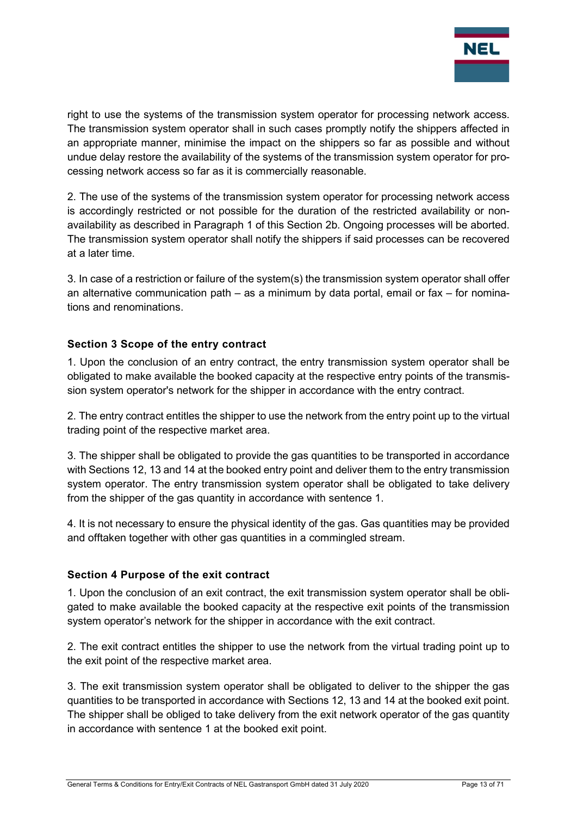

right to use the systems of the transmission system operator for processing network access. The transmission system operator shall in such cases promptly notify the shippers affected in an appropriate manner, minimise the impact on the shippers so far as possible and without undue delay restore the availability of the systems of the transmission system operator for processing network access so far as it is commercially reasonable.

2. The use of the systems of the transmission system operator for processing network access is accordingly restricted or not possible for the duration of the restricted availability or nonavailability as described in Paragraph 1 of this Section 2b. Ongoing processes will be aborted. The transmission system operator shall notify the shippers if said processes can be recovered at a later time.

3. In case of a restriction or failure of the system(s) the transmission system operator shall offer an alternative communication path – as a minimum by data portal, email or fax – for nominations and renominations.

## Section 3 Scope of the entry contract

1. Upon the conclusion of an entry contract, the entry transmission system operator shall be obligated to make available the booked capacity at the respective entry points of the transmission system operator's network for the shipper in accordance with the entry contract.

2. The entry contract entitles the shipper to use the network from the entry point up to the virtual trading point of the respective market area.

3. The shipper shall be obligated to provide the gas quantities to be transported in accordance with Sections 12, 13 and 14 at the booked entry point and deliver them to the entry transmission system operator. The entry transmission system operator shall be obligated to take delivery from the shipper of the gas quantity in accordance with sentence 1.

4. It is not necessary to ensure the physical identity of the gas. Gas quantities may be provided and offtaken together with other gas quantities in a commingled stream.

#### Section 4 Purpose of the exit contract

1. Upon the conclusion of an exit contract, the exit transmission system operator shall be obligated to make available the booked capacity at the respective exit points of the transmission system operator's network for the shipper in accordance with the exit contract.

2. The exit contract entitles the shipper to use the network from the virtual trading point up to the exit point of the respective market area.

3. The exit transmission system operator shall be obligated to deliver to the shipper the gas quantities to be transported in accordance with Sections 12, 13 and 14 at the booked exit point. The shipper shall be obliged to take delivery from the exit network operator of the gas quantity in accordance with sentence 1 at the booked exit point.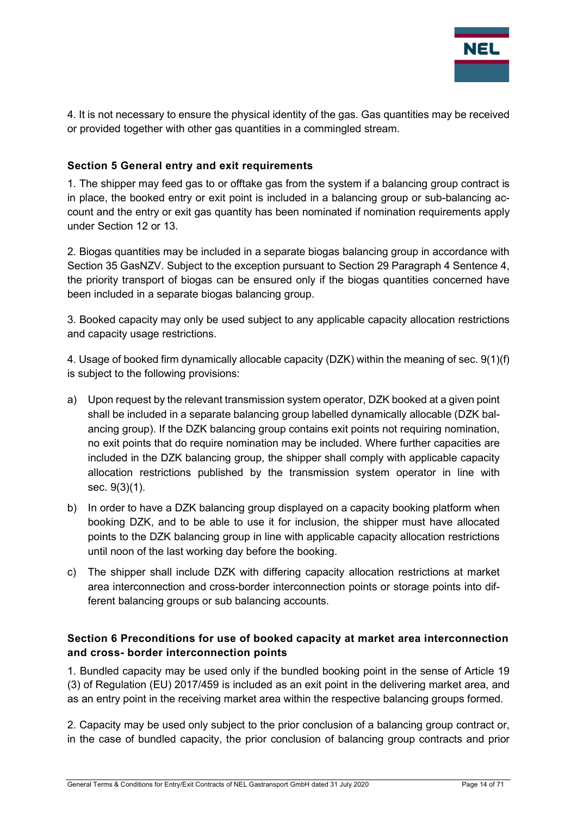

4. It is not necessary to ensure the physical identity of the gas. Gas quantities may be received or provided together with other gas quantities in a commingled stream.

#### Section 5 General entry and exit requirements

1. The shipper may feed gas to or offtake gas from the system if a balancing group contract is in place, the booked entry or exit point is included in a balancing group or sub-balancing account and the entry or exit gas quantity has been nominated if nomination requirements apply under Section 12 or 13.

2. Biogas quantities may be included in a separate biogas balancing group in accordance with Section 35 GasNZV. Subject to the exception pursuant to Section 29 Paragraph 4 Sentence 4, the priority transport of biogas can be ensured only if the biogas quantities concerned have been included in a separate biogas balancing group.

3. Booked capacity may only be used subject to any applicable capacity allocation restrictions and capacity usage restrictions.

4. Usage of booked firm dynamically allocable capacity (DZK) within the meaning of sec. 9(1)(f) is subject to the following provisions:

- a) Upon request by the relevant transmission system operator, DZK booked at a given point shall be included in a separate balancing group labelled dynamically allocable (DZK balancing group). If the DZK balancing group contains exit points not requiring nomination, no exit points that do require nomination may be included. Where further capacities are included in the DZK balancing group, the shipper shall comply with applicable capacity allocation restrictions published by the transmission system operator in line with sec. 9(3)(1).
- b) In order to have a DZK balancing group displayed on a capacity booking platform when booking DZK, and to be able to use it for inclusion, the shipper must have allocated points to the DZK balancing group in line with applicable capacity allocation restrictions until noon of the last working day before the booking.
- c) The shipper shall include DZK with differing capacity allocation restrictions at market area interconnection and cross-border interconnection points or storage points into different balancing groups or sub balancing accounts.

## Section 6 Preconditions for use of booked capacity at market area interconnection and cross- border interconnection points

1. Bundled capacity may be used only if the bundled booking point in the sense of Article 19 (3) of Regulation (EU) 2017/459 is included as an exit point in the delivering market area, and as an entry point in the receiving market area within the respective balancing groups formed.

2. Capacity may be used only subject to the prior conclusion of a balancing group contract or, in the case of bundled capacity, the prior conclusion of balancing group contracts and prior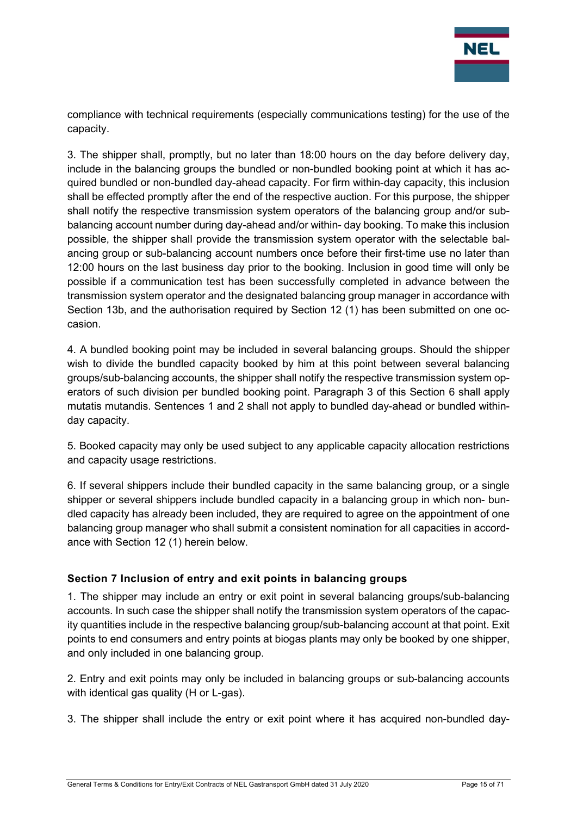

compliance with technical requirements (especially communications testing) for the use of the capacity.

3. The shipper shall, promptly, but no later than 18:00 hours on the day before delivery day, include in the balancing groups the bundled or non-bundled booking point at which it has acquired bundled or non-bundled day-ahead capacity. For firm within-day capacity, this inclusion shall be effected promptly after the end of the respective auction. For this purpose, the shipper shall notify the respective transmission system operators of the balancing group and/or subbalancing account number during day-ahead and/or within- day booking. To make this inclusion possible, the shipper shall provide the transmission system operator with the selectable balancing group or sub-balancing account numbers once before their first-time use no later than 12:00 hours on the last business day prior to the booking. Inclusion in good time will only be possible if a communication test has been successfully completed in advance between the transmission system operator and the designated balancing group manager in accordance with Section 13b, and the authorisation required by Section 12 (1) has been submitted on one occasion.

4. A bundled booking point may be included in several balancing groups. Should the shipper wish to divide the bundled capacity booked by him at this point between several balancing groups/sub-balancing accounts, the shipper shall notify the respective transmission system operators of such division per bundled booking point. Paragraph 3 of this Section 6 shall apply mutatis mutandis. Sentences 1 and 2 shall not apply to bundled day-ahead or bundled withinday capacity.

5. Booked capacity may only be used subject to any applicable capacity allocation restrictions and capacity usage restrictions.

6. If several shippers include their bundled capacity in the same balancing group, or a single shipper or several shippers include bundled capacity in a balancing group in which non- bundled capacity has already been included, they are required to agree on the appointment of one balancing group manager who shall submit a consistent nomination for all capacities in accordance with Section 12 (1) herein below.

## Section 7 Inclusion of entry and exit points in balancing groups

1. The shipper may include an entry or exit point in several balancing groups/sub-balancing accounts. In such case the shipper shall notify the transmission system operators of the capacity quantities include in the respective balancing group/sub-balancing account at that point. Exit points to end consumers and entry points at biogas plants may only be booked by one shipper, and only included in one balancing group.

2. Entry and exit points may only be included in balancing groups or sub-balancing accounts with identical gas quality (H or L-gas).

3. The shipper shall include the entry or exit point where it has acquired non-bundled day-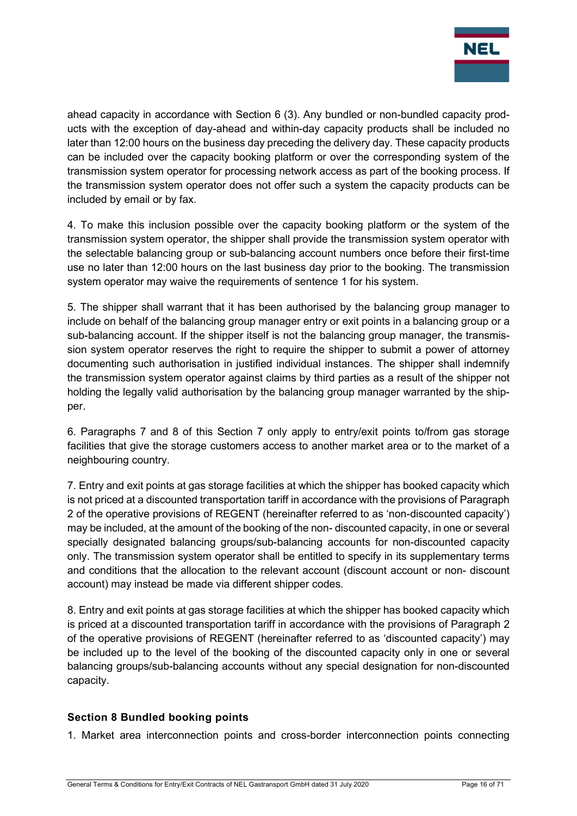

ahead capacity in accordance with Section 6 (3). Any bundled or non-bundled capacity products with the exception of day-ahead and within-day capacity products shall be included no later than 12:00 hours on the business day preceding the delivery day. These capacity products can be included over the capacity booking platform or over the corresponding system of the transmission system operator for processing network access as part of the booking process. If the transmission system operator does not offer such a system the capacity products can be included by email or by fax.

4. To make this inclusion possible over the capacity booking platform or the system of the transmission system operator, the shipper shall provide the transmission system operator with the selectable balancing group or sub-balancing account numbers once before their first-time use no later than 12:00 hours on the last business day prior to the booking. The transmission system operator may waive the requirements of sentence 1 for his system.

5. The shipper shall warrant that it has been authorised by the balancing group manager to include on behalf of the balancing group manager entry or exit points in a balancing group or a sub-balancing account. If the shipper itself is not the balancing group manager, the transmission system operator reserves the right to require the shipper to submit a power of attorney documenting such authorisation in justified individual instances. The shipper shall indemnify the transmission system operator against claims by third parties as a result of the shipper not holding the legally valid authorisation by the balancing group manager warranted by the shipper.

6. Paragraphs 7 and 8 of this Section 7 only apply to entry/exit points to/from gas storage facilities that give the storage customers access to another market area or to the market of a neighbouring country.

7. Entry and exit points at gas storage facilities at which the shipper has booked capacity which is not priced at a discounted transportation tariff in accordance with the provisions of Paragraph 2 of the operative provisions of REGENT (hereinafter referred to as 'non-discounted capacity') may be included, at the amount of the booking of the non- discounted capacity, in one or several specially designated balancing groups/sub-balancing accounts for non-discounted capacity only. The transmission system operator shall be entitled to specify in its supplementary terms and conditions that the allocation to the relevant account (discount account or non- discount account) may instead be made via different shipper codes.

8. Entry and exit points at gas storage facilities at which the shipper has booked capacity which is priced at a discounted transportation tariff in accordance with the provisions of Paragraph 2 of the operative provisions of REGENT (hereinafter referred to as 'discounted capacity') may be included up to the level of the booking of the discounted capacity only in one or several balancing groups/sub-balancing accounts without any special designation for non-discounted capacity.

## Section 8 Bundled booking points

1. Market area interconnection points and cross-border interconnection points connecting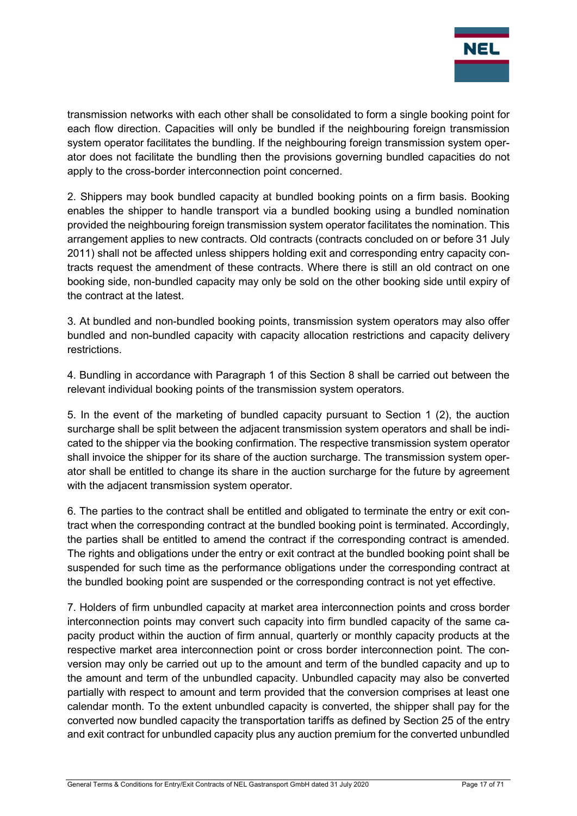

transmission networks with each other shall be consolidated to form a single booking point for each flow direction. Capacities will only be bundled if the neighbouring foreign transmission system operator facilitates the bundling. If the neighbouring foreign transmission system operator does not facilitate the bundling then the provisions governing bundled capacities do not apply to the cross-border interconnection point concerned.

2. Shippers may book bundled capacity at bundled booking points on a firm basis. Booking enables the shipper to handle transport via a bundled booking using a bundled nomination provided the neighbouring foreign transmission system operator facilitates the nomination. This arrangement applies to new contracts. Old contracts (contracts concluded on or before 31 July 2011) shall not be affected unless shippers holding exit and corresponding entry capacity contracts request the amendment of these contracts. Where there is still an old contract on one booking side, non-bundled capacity may only be sold on the other booking side until expiry of the contract at the latest.

3. At bundled and non-bundled booking points, transmission system operators may also offer bundled and non-bundled capacity with capacity allocation restrictions and capacity delivery restrictions.

4. Bundling in accordance with Paragraph 1 of this Section 8 shall be carried out between the relevant individual booking points of the transmission system operators.

5. In the event of the marketing of bundled capacity pursuant to Section 1 (2), the auction surcharge shall be split between the adjacent transmission system operators and shall be indicated to the shipper via the booking confirmation. The respective transmission system operator shall invoice the shipper for its share of the auction surcharge. The transmission system operator shall be entitled to change its share in the auction surcharge for the future by agreement with the adjacent transmission system operator.

6. The parties to the contract shall be entitled and obligated to terminate the entry or exit contract when the corresponding contract at the bundled booking point is terminated. Accordingly, the parties shall be entitled to amend the contract if the corresponding contract is amended. The rights and obligations under the entry or exit contract at the bundled booking point shall be suspended for such time as the performance obligations under the corresponding contract at the bundled booking point are suspended or the corresponding contract is not yet effective.

7. Holders of firm unbundled capacity at market area interconnection points and cross border interconnection points may convert such capacity into firm bundled capacity of the same capacity product within the auction of firm annual, quarterly or monthly capacity products at the respective market area interconnection point or cross border interconnection point. The conversion may only be carried out up to the amount and term of the bundled capacity and up to the amount and term of the unbundled capacity. Unbundled capacity may also be converted partially with respect to amount and term provided that the conversion comprises at least one calendar month. To the extent unbundled capacity is converted, the shipper shall pay for the converted now bundled capacity the transportation tariffs as defined by Section 25 of the entry and exit contract for unbundled capacity plus any auction premium for the converted unbundled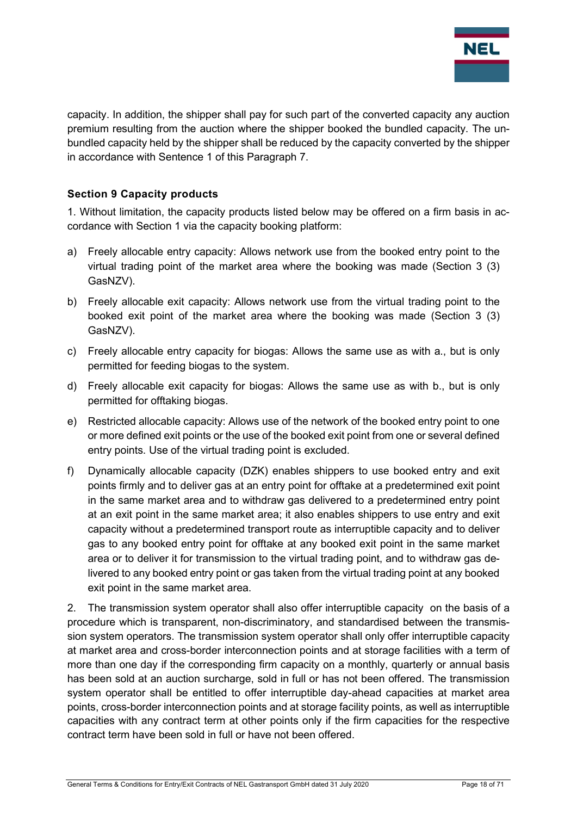

capacity. In addition, the shipper shall pay for such part of the converted capacity any auction premium resulting from the auction where the shipper booked the bundled capacity. The unbundled capacity held by the shipper shall be reduced by the capacity converted by the shipper in accordance with Sentence 1 of this Paragraph 7.

## Section 9 Capacity products

1. Without limitation, the capacity products listed below may be offered on a firm basis in accordance with Section 1 via the capacity booking platform:

- a) Freely allocable entry capacity: Allows network use from the booked entry point to the virtual trading point of the market area where the booking was made (Section 3 (3) GasNZV).
- b) Freely allocable exit capacity: Allows network use from the virtual trading point to the booked exit point of the market area where the booking was made (Section 3 (3) GasNZV).
- c) Freely allocable entry capacity for biogas: Allows the same use as with a., but is only permitted for feeding biogas to the system.
- d) Freely allocable exit capacity for biogas: Allows the same use as with b., but is only permitted for offtaking biogas.
- e) Restricted allocable capacity: Allows use of the network of the booked entry point to one or more defined exit points or the use of the booked exit point from one or several defined entry points. Use of the virtual trading point is excluded.
- f) Dynamically allocable capacity (DZK) enables shippers to use booked entry and exit points firmly and to deliver gas at an entry point for offtake at a predetermined exit point in the same market area and to withdraw gas delivered to a predetermined entry point at an exit point in the same market area; it also enables shippers to use entry and exit capacity without a predetermined transport route as interruptible capacity and to deliver gas to any booked entry point for offtake at any booked exit point in the same market area or to deliver it for transmission to the virtual trading point, and to withdraw gas delivered to any booked entry point or gas taken from the virtual trading point at any booked exit point in the same market area.

2. The transmission system operator shall also offer interruptible capacity on the basis of a procedure which is transparent, non-discriminatory, and standardised between the transmission system operators. The transmission system operator shall only offer interruptible capacity at market area and cross-border interconnection points and at storage facilities with a term of more than one day if the corresponding firm capacity on a monthly, quarterly or annual basis has been sold at an auction surcharge, sold in full or has not been offered. The transmission system operator shall be entitled to offer interruptible day-ahead capacities at market area points, cross-border interconnection points and at storage facility points, as well as interruptible capacities with any contract term at other points only if the firm capacities for the respective contract term have been sold in full or have not been offered.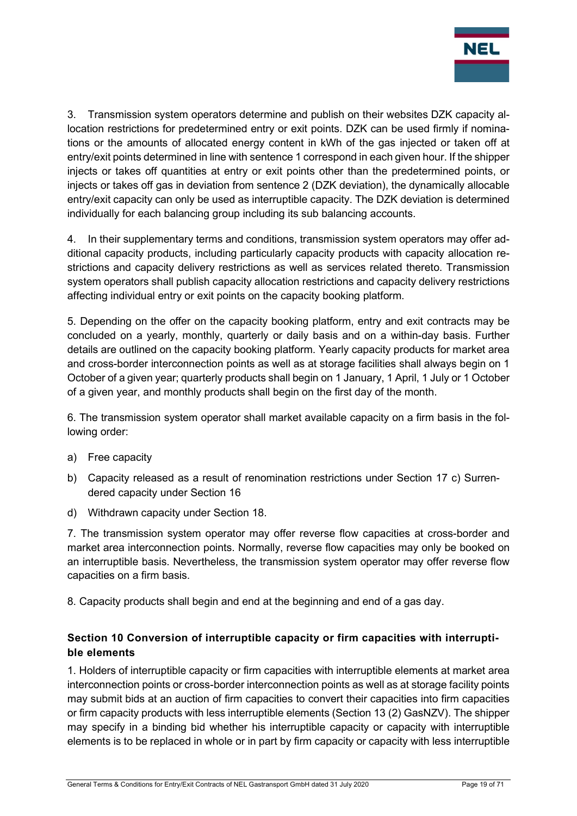

3. Transmission system operators determine and publish on their websites DZK capacity allocation restrictions for predetermined entry or exit points. DZK can be used firmly if nominations or the amounts of allocated energy content in kWh of the gas injected or taken off at entry/exit points determined in line with sentence 1 correspond in each given hour. If the shipper injects or takes off quantities at entry or exit points other than the predetermined points, or injects or takes off gas in deviation from sentence 2 (DZK deviation), the dynamically allocable entry/exit capacity can only be used as interruptible capacity. The DZK deviation is determined individually for each balancing group including its sub balancing accounts.

4. In their supplementary terms and conditions, transmission system operators may offer additional capacity products, including particularly capacity products with capacity allocation restrictions and capacity delivery restrictions as well as services related thereto. Transmission system operators shall publish capacity allocation restrictions and capacity delivery restrictions affecting individual entry or exit points on the capacity booking platform.

5. Depending on the offer on the capacity booking platform, entry and exit contracts may be concluded on a yearly, monthly, quarterly or daily basis and on a within-day basis. Further details are outlined on the capacity booking platform. Yearly capacity products for market area and cross-border interconnection points as well as at storage facilities shall always begin on 1 October of a given year; quarterly products shall begin on 1 January, 1 April, 1 July or 1 October of a given year, and monthly products shall begin on the first day of the month.

6. The transmission system operator shall market available capacity on a firm basis in the following order:

- a) Free capacity
- b) Capacity released as a result of renomination restrictions under Section 17 c) Surrendered capacity under Section 16
- d) Withdrawn capacity under Section 18.

7. The transmission system operator may offer reverse flow capacities at cross-border and market area interconnection points. Normally, reverse flow capacities may only be booked on an interruptible basis. Nevertheless, the transmission system operator may offer reverse flow capacities on a firm basis.

8. Capacity products shall begin and end at the beginning and end of a gas day.

## Section 10 Conversion of interruptible capacity or firm capacities with interruptible elements

1. Holders of interruptible capacity or firm capacities with interruptible elements at market area interconnection points or cross-border interconnection points as well as at storage facility points may submit bids at an auction of firm capacities to convert their capacities into firm capacities or firm capacity products with less interruptible elements (Section 13 (2) GasNZV). The shipper may specify in a binding bid whether his interruptible capacity or capacity with interruptible elements is to be replaced in whole or in part by firm capacity or capacity with less interruptible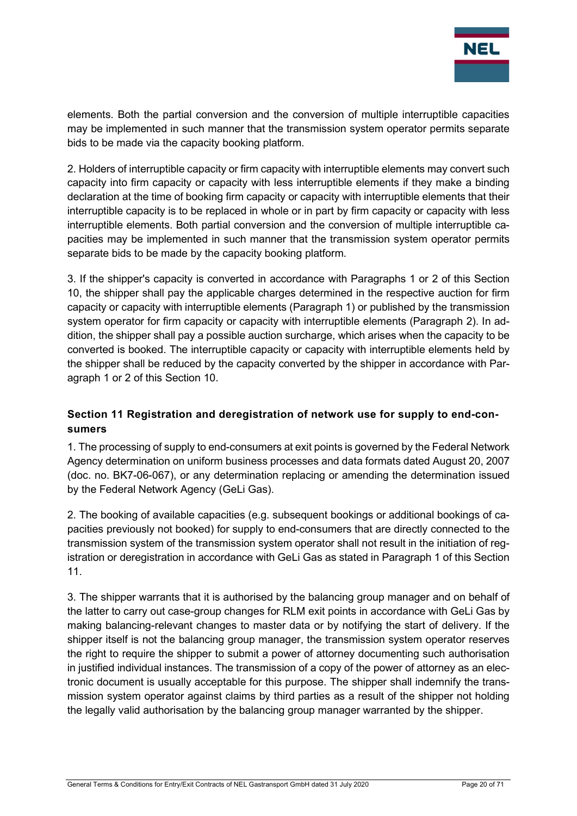

elements. Both the partial conversion and the conversion of multiple interruptible capacities may be implemented in such manner that the transmission system operator permits separate bids to be made via the capacity booking platform.

2. Holders of interruptible capacity or firm capacity with interruptible elements may convert such capacity into firm capacity or capacity with less interruptible elements if they make a binding declaration at the time of booking firm capacity or capacity with interruptible elements that their interruptible capacity is to be replaced in whole or in part by firm capacity or capacity with less interruptible elements. Both partial conversion and the conversion of multiple interruptible capacities may be implemented in such manner that the transmission system operator permits separate bids to be made by the capacity booking platform.

3. If the shipper's capacity is converted in accordance with Paragraphs 1 or 2 of this Section 10, the shipper shall pay the applicable charges determined in the respective auction for firm capacity or capacity with interruptible elements (Paragraph 1) or published by the transmission system operator for firm capacity or capacity with interruptible elements (Paragraph 2). In addition, the shipper shall pay a possible auction surcharge, which arises when the capacity to be converted is booked. The interruptible capacity or capacity with interruptible elements held by the shipper shall be reduced by the capacity converted by the shipper in accordance with Paragraph 1 or 2 of this Section 10.

## Section 11 Registration and deregistration of network use for supply to end-consumers

1. The processing of supply to end-consumers at exit points is governed by the Federal Network Agency determination on uniform business processes and data formats dated August 20, 2007 (doc. no. BK7-06-067), or any determination replacing or amending the determination issued by the Federal Network Agency (GeLi Gas).

2. The booking of available capacities (e.g. subsequent bookings or additional bookings of capacities previously not booked) for supply to end-consumers that are directly connected to the transmission system of the transmission system operator shall not result in the initiation of registration or deregistration in accordance with GeLi Gas as stated in Paragraph 1 of this Section 11.

3. The shipper warrants that it is authorised by the balancing group manager and on behalf of the latter to carry out case-group changes for RLM exit points in accordance with GeLi Gas by making balancing-relevant changes to master data or by notifying the start of delivery. If the shipper itself is not the balancing group manager, the transmission system operator reserves the right to require the shipper to submit a power of attorney documenting such authorisation in justified individual instances. The transmission of a copy of the power of attorney as an electronic document is usually acceptable for this purpose. The shipper shall indemnify the transmission system operator against claims by third parties as a result of the shipper not holding the legally valid authorisation by the balancing group manager warranted by the shipper.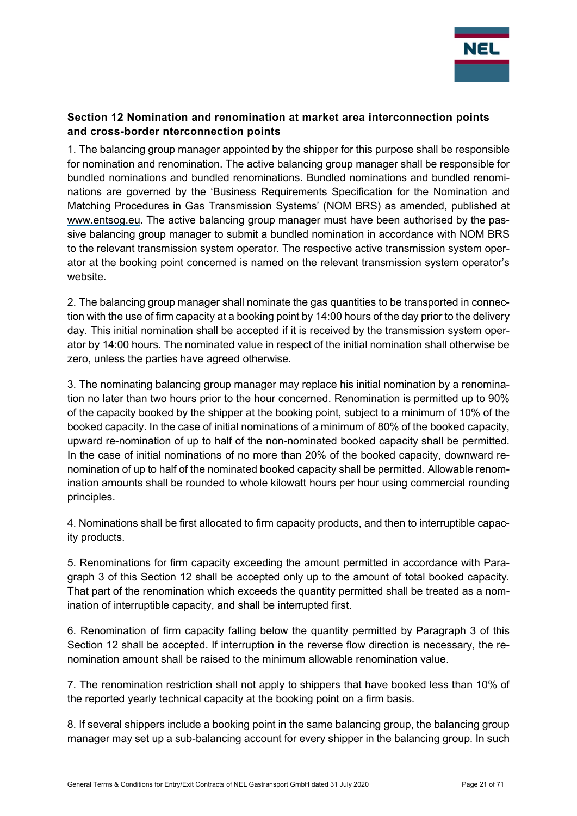

## Section 12 Nomination and renomination at market area interconnection points and cross-border nterconnection points

1. The balancing group manager appointed by the shipper for this purpose shall be responsible for nomination and renomination. The active balancing group manager shall be responsible for bundled nominations and bundled renominations. Bundled nominations and bundled renominations are governed by the 'Business Requirements Specification for the Nomination and Matching Procedures in Gas Transmission Systems' (NOM BRS) as amended, published at www.entsog.eu. The active balancing group manager must have been authorised by the passive balancing group manager to submit a bundled nomination in accordance with NOM BRS to the relevant transmission system operator. The respective active transmission system operator at the booking point concerned is named on the relevant transmission system operator's website.

2. The balancing group manager shall nominate the gas quantities to be transported in connection with the use of firm capacity at a booking point by 14:00 hours of the day prior to the delivery day. This initial nomination shall be accepted if it is received by the transmission system operator by 14:00 hours. The nominated value in respect of the initial nomination shall otherwise be zero, unless the parties have agreed otherwise.

3. The nominating balancing group manager may replace his initial nomination by a renomination no later than two hours prior to the hour concerned. Renomination is permitted up to 90% of the capacity booked by the shipper at the booking point, subject to a minimum of 10% of the booked capacity. In the case of initial nominations of a minimum of 80% of the booked capacity, upward re-nomination of up to half of the non-nominated booked capacity shall be permitted. In the case of initial nominations of no more than 20% of the booked capacity, downward renomination of up to half of the nominated booked capacity shall be permitted. Allowable renomination amounts shall be rounded to whole kilowatt hours per hour using commercial rounding principles.

4. Nominations shall be first allocated to firm capacity products, and then to interruptible capacity products.

5. Renominations for firm capacity exceeding the amount permitted in accordance with Paragraph 3 of this Section 12 shall be accepted only up to the amount of total booked capacity. That part of the renomination which exceeds the quantity permitted shall be treated as a nomination of interruptible capacity, and shall be interrupted first.

6. Renomination of firm capacity falling below the quantity permitted by Paragraph 3 of this Section 12 shall be accepted. If interruption in the reverse flow direction is necessary, the renomination amount shall be raised to the minimum allowable renomination value.

7. The renomination restriction shall not apply to shippers that have booked less than 10% of the reported yearly technical capacity at the booking point on a firm basis.

8. If several shippers include a booking point in the same balancing group, the balancing group manager may set up a sub-balancing account for every shipper in the balancing group. In such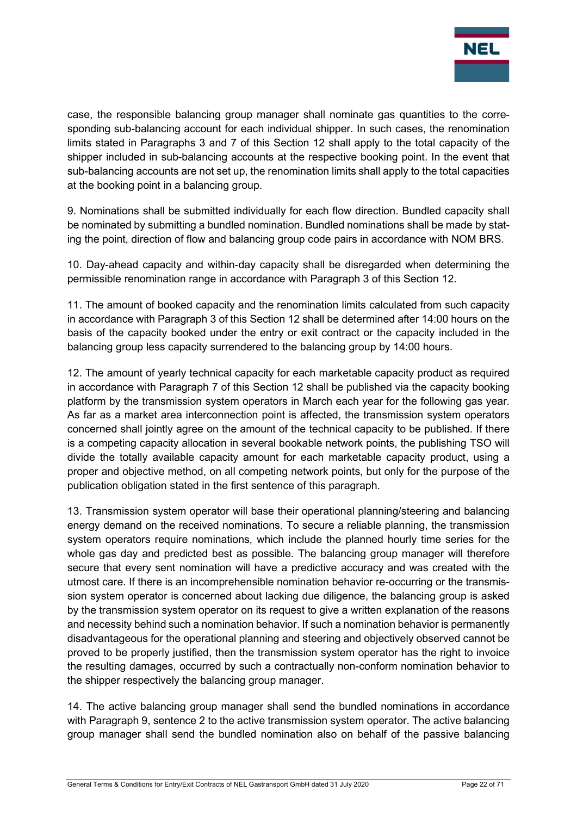

case, the responsible balancing group manager shall nominate gas quantities to the corresponding sub-balancing account for each individual shipper. In such cases, the renomination limits stated in Paragraphs 3 and 7 of this Section 12 shall apply to the total capacity of the shipper included in sub-balancing accounts at the respective booking point. In the event that sub-balancing accounts are not set up, the renomination limits shall apply to the total capacities at the booking point in a balancing group.

9. Nominations shall be submitted individually for each flow direction. Bundled capacity shall be nominated by submitting a bundled nomination. Bundled nominations shall be made by stating the point, direction of flow and balancing group code pairs in accordance with NOM BRS.

10. Day-ahead capacity and within-day capacity shall be disregarded when determining the permissible renomination range in accordance with Paragraph 3 of this Section 12.

11. The amount of booked capacity and the renomination limits calculated from such capacity in accordance with Paragraph 3 of this Section 12 shall be determined after 14:00 hours on the basis of the capacity booked under the entry or exit contract or the capacity included in the balancing group less capacity surrendered to the balancing group by 14:00 hours.

12. The amount of yearly technical capacity for each marketable capacity product as required in accordance with Paragraph 7 of this Section 12 shall be published via the capacity booking platform by the transmission system operators in March each year for the following gas year. As far as a market area interconnection point is affected, the transmission system operators concerned shall jointly agree on the amount of the technical capacity to be published. If there is a competing capacity allocation in several bookable network points, the publishing TSO will divide the totally available capacity amount for each marketable capacity product, using a proper and objective method, on all competing network points, but only for the purpose of the publication obligation stated in the first sentence of this paragraph.

13. Transmission system operator will base their operational planning/steering and balancing energy demand on the received nominations. To secure a reliable planning, the transmission system operators require nominations, which include the planned hourly time series for the whole gas day and predicted best as possible. The balancing group manager will therefore secure that every sent nomination will have a predictive accuracy and was created with the utmost care. If there is an incomprehensible nomination behavior re-occurring or the transmission system operator is concerned about lacking due diligence, the balancing group is asked by the transmission system operator on its request to give a written explanation of the reasons and necessity behind such a nomination behavior. If such a nomination behavior is permanently disadvantageous for the operational planning and steering and objectively observed cannot be proved to be properly justified, then the transmission system operator has the right to invoice the resulting damages, occurred by such a contractually non-conform nomination behavior to the shipper respectively the balancing group manager.

14. The active balancing group manager shall send the bundled nominations in accordance with Paragraph 9, sentence 2 to the active transmission system operator. The active balancing group manager shall send the bundled nomination also on behalf of the passive balancing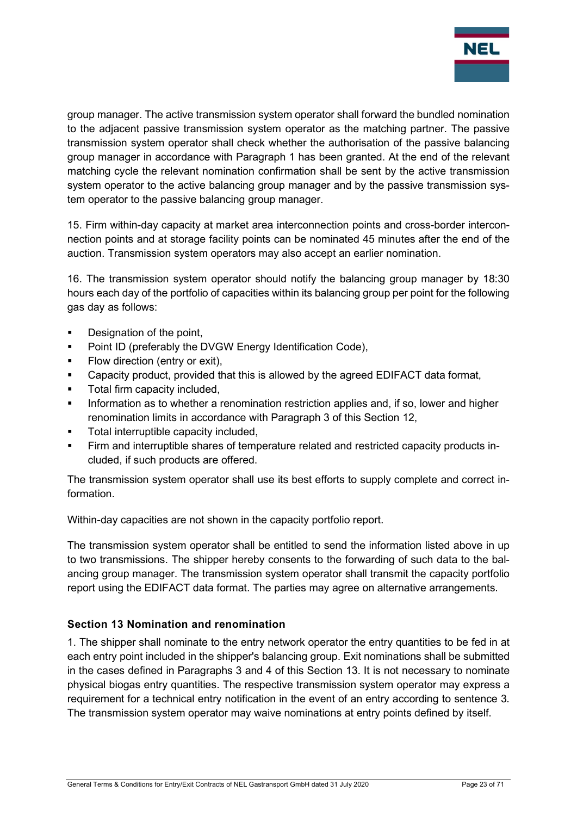

group manager. The active transmission system operator shall forward the bundled nomination to the adjacent passive transmission system operator as the matching partner. The passive transmission system operator shall check whether the authorisation of the passive balancing group manager in accordance with Paragraph 1 has been granted. At the end of the relevant matching cycle the relevant nomination confirmation shall be sent by the active transmission system operator to the active balancing group manager and by the passive transmission system operator to the passive balancing group manager.

15. Firm within-day capacity at market area interconnection points and cross-border interconnection points and at storage facility points can be nominated 45 minutes after the end of the auction. Transmission system operators may also accept an earlier nomination.

16. The transmission system operator should notify the balancing group manager by 18:30 hours each day of the portfolio of capacities within its balancing group per point for the following gas day as follows:

- **•** Designation of the point,
- **Point ID (preferably the DVGW Energy Identification Code),**
- Flow direction (entry or exit),
- Capacity product, provided that this is allowed by the agreed EDIFACT data format,
- Total firm capacity included,
- Information as to whether a renomination restriction applies and, if so, lower and higher renomination limits in accordance with Paragraph 3 of this Section 12,
- **Total interruptible capacity included.**
- Firm and interruptible shares of temperature related and restricted capacity products included, if such products are offered.

The transmission system operator shall use its best efforts to supply complete and correct information.

Within-day capacities are not shown in the capacity portfolio report.

The transmission system operator shall be entitled to send the information listed above in up to two transmissions. The shipper hereby consents to the forwarding of such data to the balancing group manager. The transmission system operator shall transmit the capacity portfolio report using the EDIFACT data format. The parties may agree on alternative arrangements.

#### Section 13 Nomination and renomination

1. The shipper shall nominate to the entry network operator the entry quantities to be fed in at each entry point included in the shipper's balancing group. Exit nominations shall be submitted in the cases defined in Paragraphs 3 and 4 of this Section 13. It is not necessary to nominate physical biogas entry quantities. The respective transmission system operator may express a requirement for a technical entry notification in the event of an entry according to sentence 3. The transmission system operator may waive nominations at entry points defined by itself.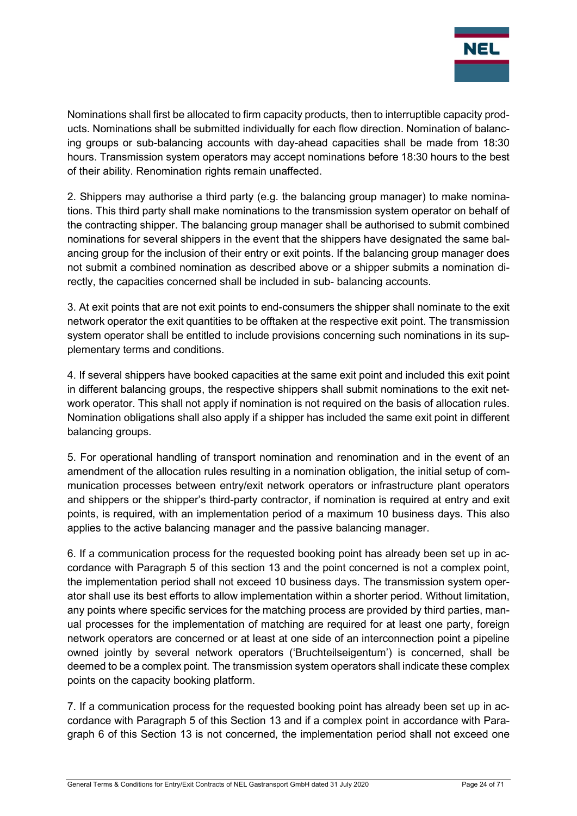

Nominations shall first be allocated to firm capacity products, then to interruptible capacity products. Nominations shall be submitted individually for each flow direction. Nomination of balancing groups or sub-balancing accounts with day-ahead capacities shall be made from 18:30 hours. Transmission system operators may accept nominations before 18:30 hours to the best of their ability. Renomination rights remain unaffected.

2. Shippers may authorise a third party (e.g. the balancing group manager) to make nominations. This third party shall make nominations to the transmission system operator on behalf of the contracting shipper. The balancing group manager shall be authorised to submit combined nominations for several shippers in the event that the shippers have designated the same balancing group for the inclusion of their entry or exit points. If the balancing group manager does not submit a combined nomination as described above or a shipper submits a nomination directly, the capacities concerned shall be included in sub- balancing accounts.

3. At exit points that are not exit points to end-consumers the shipper shall nominate to the exit network operator the exit quantities to be offtaken at the respective exit point. The transmission system operator shall be entitled to include provisions concerning such nominations in its supplementary terms and conditions.

4. If several shippers have booked capacities at the same exit point and included this exit point in different balancing groups, the respective shippers shall submit nominations to the exit network operator. This shall not apply if nomination is not required on the basis of allocation rules. Nomination obligations shall also apply if a shipper has included the same exit point in different balancing groups.

5. For operational handling of transport nomination and renomination and in the event of an amendment of the allocation rules resulting in a nomination obligation, the initial setup of communication processes between entry/exit network operators or infrastructure plant operators and shippers or the shipper's third-party contractor, if nomination is required at entry and exit points, is required, with an implementation period of a maximum 10 business days. This also applies to the active balancing manager and the passive balancing manager.

6. If a communication process for the requested booking point has already been set up in accordance with Paragraph 5 of this section 13 and the point concerned is not a complex point, the implementation period shall not exceed 10 business days. The transmission system operator shall use its best efforts to allow implementation within a shorter period. Without limitation, any points where specific services for the matching process are provided by third parties, manual processes for the implementation of matching are required for at least one party, foreign network operators are concerned or at least at one side of an interconnection point a pipeline owned jointly by several network operators ('Bruchteilseigentum') is concerned, shall be deemed to be a complex point. The transmission system operators shall indicate these complex points on the capacity booking platform.

7. If a communication process for the requested booking point has already been set up in accordance with Paragraph 5 of this Section 13 and if a complex point in accordance with Paragraph 6 of this Section 13 is not concerned, the implementation period shall not exceed one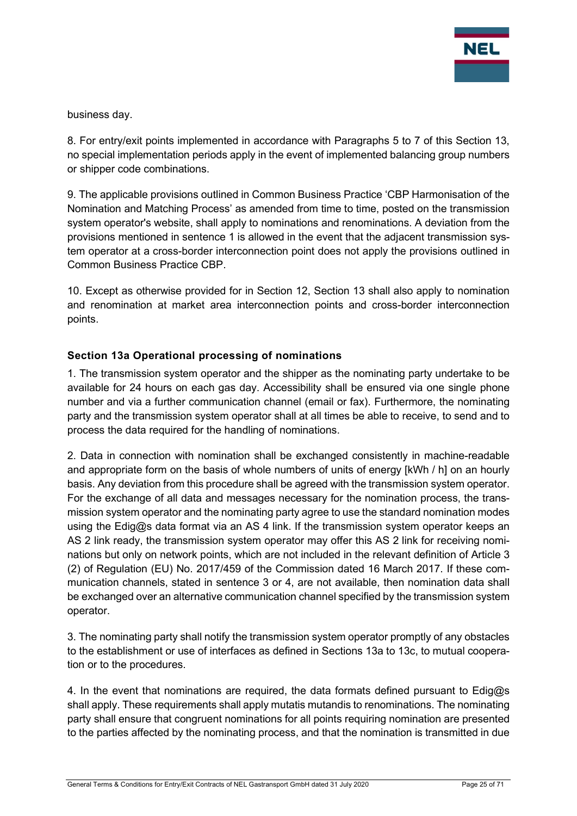

business day.

8. For entry/exit points implemented in accordance with Paragraphs 5 to 7 of this Section 13, no special implementation periods apply in the event of implemented balancing group numbers or shipper code combinations.

9. The applicable provisions outlined in Common Business Practice 'CBP Harmonisation of the Nomination and Matching Process' as amended from time to time, posted on the transmission system operator's website, shall apply to nominations and renominations. A deviation from the provisions mentioned in sentence 1 is allowed in the event that the adjacent transmission system operator at a cross-border interconnection point does not apply the provisions outlined in Common Business Practice CBP.

10. Except as otherwise provided for in Section 12, Section 13 shall also apply to nomination and renomination at market area interconnection points and cross-border interconnection points.

## Section 13a Operational processing of nominations

1. The transmission system operator and the shipper as the nominating party undertake to be available for 24 hours on each gas day. Accessibility shall be ensured via one single phone number and via a further communication channel (email or fax). Furthermore, the nominating party and the transmission system operator shall at all times be able to receive, to send and to process the data required for the handling of nominations.

2. Data in connection with nomination shall be exchanged consistently in machine-readable and appropriate form on the basis of whole numbers of units of energy [kWh / h] on an hourly basis. Any deviation from this procedure shall be agreed with the transmission system operator. For the exchange of all data and messages necessary for the nomination process, the transmission system operator and the nominating party agree to use the standard nomination modes using the Edig@s data format via an AS 4 link. If the transmission system operator keeps an AS 2 link ready, the transmission system operator may offer this AS 2 link for receiving nominations but only on network points, which are not included in the relevant definition of Article 3 (2) of Regulation (EU) No. 2017/459 of the Commission dated 16 March 2017. If these communication channels, stated in sentence 3 or 4, are not available, then nomination data shall be exchanged over an alternative communication channel specified by the transmission system operator.

3. The nominating party shall notify the transmission system operator promptly of any obstacles to the establishment or use of interfaces as defined in Sections 13a to 13c, to mutual cooperation or to the procedures.

4. In the event that nominations are required, the data formats defined pursuant to Edig $\omega$ s shall apply. These requirements shall apply mutatis mutandis to renominations. The nominating party shall ensure that congruent nominations for all points requiring nomination are presented to the parties affected by the nominating process, and that the nomination is transmitted in due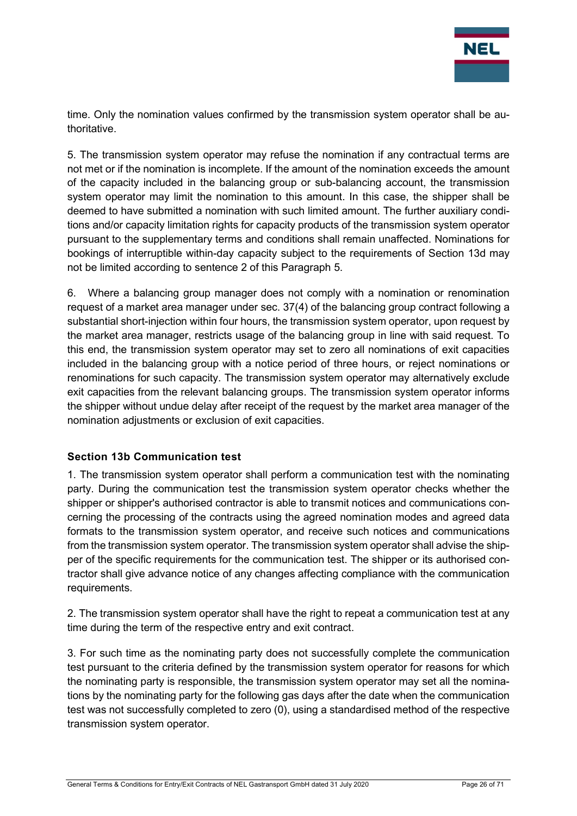

time. Only the nomination values confirmed by the transmission system operator shall be authoritative.

5. The transmission system operator may refuse the nomination if any contractual terms are not met or if the nomination is incomplete. If the amount of the nomination exceeds the amount of the capacity included in the balancing group or sub-balancing account, the transmission system operator may limit the nomination to this amount. In this case, the shipper shall be deemed to have submitted a nomination with such limited amount. The further auxiliary conditions and/or capacity limitation rights for capacity products of the transmission system operator pursuant to the supplementary terms and conditions shall remain unaffected. Nominations for bookings of interruptible within-day capacity subject to the requirements of Section 13d may not be limited according to sentence 2 of this Paragraph 5.

6. Where a balancing group manager does not comply with a nomination or renomination request of a market area manager under sec. 37(4) of the balancing group contract following a substantial short-injection within four hours, the transmission system operator, upon request by the market area manager, restricts usage of the balancing group in line with said request. To this end, the transmission system operator may set to zero all nominations of exit capacities included in the balancing group with a notice period of three hours, or reject nominations or renominations for such capacity. The transmission system operator may alternatively exclude exit capacities from the relevant balancing groups. The transmission system operator informs the shipper without undue delay after receipt of the request by the market area manager of the nomination adjustments or exclusion of exit capacities.

## Section 13b Communication test

1. The transmission system operator shall perform a communication test with the nominating party. During the communication test the transmission system operator checks whether the shipper or shipper's authorised contractor is able to transmit notices and communications concerning the processing of the contracts using the agreed nomination modes and agreed data formats to the transmission system operator, and receive such notices and communications from the transmission system operator. The transmission system operator shall advise the shipper of the specific requirements for the communication test. The shipper or its authorised contractor shall give advance notice of any changes affecting compliance with the communication requirements.

2. The transmission system operator shall have the right to repeat a communication test at any time during the term of the respective entry and exit contract.

3. For such time as the nominating party does not successfully complete the communication test pursuant to the criteria defined by the transmission system operator for reasons for which the nominating party is responsible, the transmission system operator may set all the nominations by the nominating party for the following gas days after the date when the communication test was not successfully completed to zero (0), using a standardised method of the respective transmission system operator.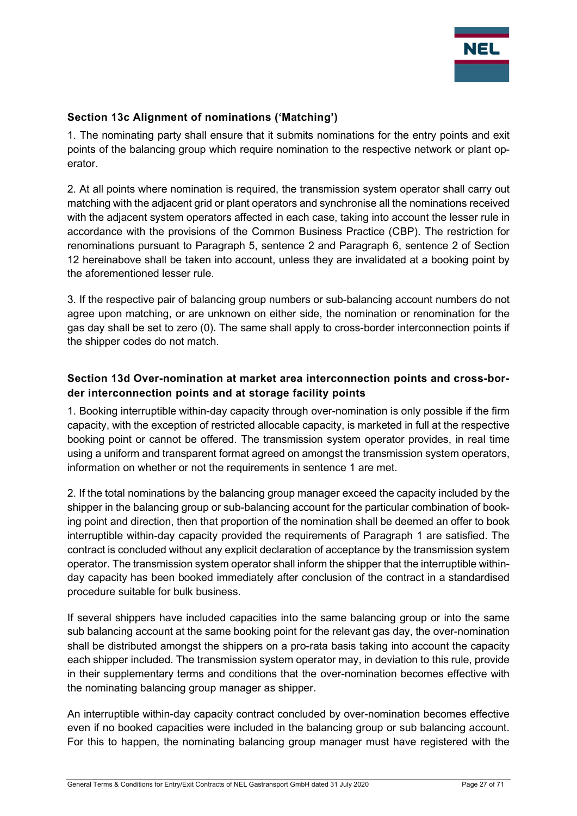

## Section 13c Alignment of nominations ('Matching')

1. The nominating party shall ensure that it submits nominations for the entry points and exit points of the balancing group which require nomination to the respective network or plant operator.

2. At all points where nomination is required, the transmission system operator shall carry out matching with the adjacent grid or plant operators and synchronise all the nominations received with the adjacent system operators affected in each case, taking into account the lesser rule in accordance with the provisions of the Common Business Practice (CBP). The restriction for renominations pursuant to Paragraph 5, sentence 2 and Paragraph 6, sentence 2 of Section 12 hereinabove shall be taken into account, unless they are invalidated at a booking point by the aforementioned lesser rule.

3. If the respective pair of balancing group numbers or sub-balancing account numbers do not agree upon matching, or are unknown on either side, the nomination or renomination for the gas day shall be set to zero (0). The same shall apply to cross-border interconnection points if the shipper codes do not match.

## Section 13d Over-nomination at market area interconnection points and cross-border interconnection points and at storage facility points

1. Booking interruptible within-day capacity through over-nomination is only possible if the firm capacity, with the exception of restricted allocable capacity, is marketed in full at the respective booking point or cannot be offered. The transmission system operator provides, in real time using a uniform and transparent format agreed on amongst the transmission system operators, information on whether or not the requirements in sentence 1 are met.

2. If the total nominations by the balancing group manager exceed the capacity included by the shipper in the balancing group or sub-balancing account for the particular combination of booking point and direction, then that proportion of the nomination shall be deemed an offer to book interruptible within-day capacity provided the requirements of Paragraph 1 are satisfied. The contract is concluded without any explicit declaration of acceptance by the transmission system operator. The transmission system operator shall inform the shipper that the interruptible withinday capacity has been booked immediately after conclusion of the contract in a standardised procedure suitable for bulk business.

If several shippers have included capacities into the same balancing group or into the same sub balancing account at the same booking point for the relevant gas day, the over-nomination shall be distributed amongst the shippers on a pro-rata basis taking into account the capacity each shipper included. The transmission system operator may, in deviation to this rule, provide in their supplementary terms and conditions that the over-nomination becomes effective with the nominating balancing group manager as shipper.

An interruptible within-day capacity contract concluded by over-nomination becomes effective even if no booked capacities were included in the balancing group or sub balancing account. For this to happen, the nominating balancing group manager must have registered with the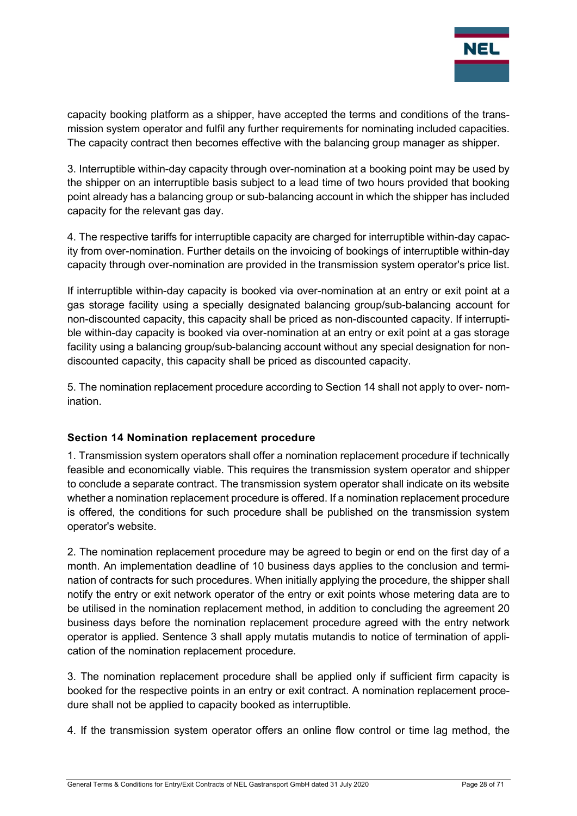

capacity booking platform as a shipper, have accepted the terms and conditions of the transmission system operator and fulfil any further requirements for nominating included capacities. The capacity contract then becomes effective with the balancing group manager as shipper.

3. Interruptible within-day capacity through over-nomination at a booking point may be used by the shipper on an interruptible basis subject to a lead time of two hours provided that booking point already has a balancing group or sub-balancing account in which the shipper has included capacity for the relevant gas day.

4. The respective tariffs for interruptible capacity are charged for interruptible within-day capacity from over-nomination. Further details on the invoicing of bookings of interruptible within-day capacity through over-nomination are provided in the transmission system operator's price list.

If interruptible within-day capacity is booked via over-nomination at an entry or exit point at a gas storage facility using a specially designated balancing group/sub-balancing account for non-discounted capacity, this capacity shall be priced as non-discounted capacity. If interruptible within-day capacity is booked via over-nomination at an entry or exit point at a gas storage facility using a balancing group/sub-balancing account without any special designation for nondiscounted capacity, this capacity shall be priced as discounted capacity.

5. The nomination replacement procedure according to Section 14 shall not apply to over- nomination.

## Section 14 Nomination replacement procedure

1. Transmission system operators shall offer a nomination replacement procedure if technically feasible and economically viable. This requires the transmission system operator and shipper to conclude a separate contract. The transmission system operator shall indicate on its website whether a nomination replacement procedure is offered. If a nomination replacement procedure is offered, the conditions for such procedure shall be published on the transmission system operator's website.

2. The nomination replacement procedure may be agreed to begin or end on the first day of a month. An implementation deadline of 10 business days applies to the conclusion and termination of contracts for such procedures. When initially applying the procedure, the shipper shall notify the entry or exit network operator of the entry or exit points whose metering data are to be utilised in the nomination replacement method, in addition to concluding the agreement 20 business days before the nomination replacement procedure agreed with the entry network operator is applied. Sentence 3 shall apply mutatis mutandis to notice of termination of application of the nomination replacement procedure.

3. The nomination replacement procedure shall be applied only if sufficient firm capacity is booked for the respective points in an entry or exit contract. A nomination replacement procedure shall not be applied to capacity booked as interruptible.

4. If the transmission system operator offers an online flow control or time lag method, the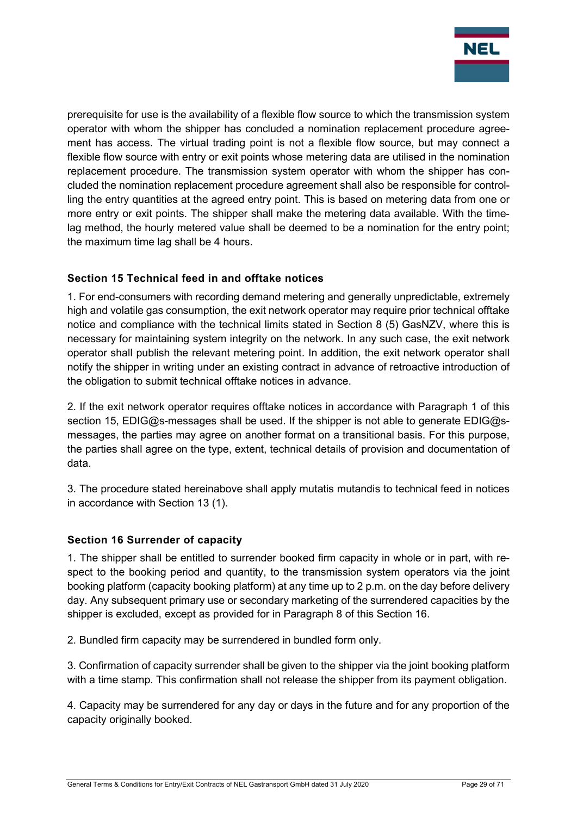

prerequisite for use is the availability of a flexible flow source to which the transmission system operator with whom the shipper has concluded a nomination replacement procedure agreement has access. The virtual trading point is not a flexible flow source, but may connect a flexible flow source with entry or exit points whose metering data are utilised in the nomination replacement procedure. The transmission system operator with whom the shipper has concluded the nomination replacement procedure agreement shall also be responsible for controlling the entry quantities at the agreed entry point. This is based on metering data from one or more entry or exit points. The shipper shall make the metering data available. With the timelag method, the hourly metered value shall be deemed to be a nomination for the entry point; the maximum time lag shall be 4 hours.

## Section 15 Technical feed in and offtake notices

1. For end-consumers with recording demand metering and generally unpredictable, extremely high and volatile gas consumption, the exit network operator may require prior technical offtake notice and compliance with the technical limits stated in Section 8 (5) GasNZV, where this is necessary for maintaining system integrity on the network. In any such case, the exit network operator shall publish the relevant metering point. In addition, the exit network operator shall notify the shipper in writing under an existing contract in advance of retroactive introduction of the obligation to submit technical offtake notices in advance.

2. If the exit network operator requires offtake notices in accordance with Paragraph 1 of this section 15, EDIG@s-messages shall be used. If the shipper is not able to generate EDIG@smessages, the parties may agree on another format on a transitional basis. For this purpose, the parties shall agree on the type, extent, technical details of provision and documentation of data.

3. The procedure stated hereinabove shall apply mutatis mutandis to technical feed in notices in accordance with Section 13 (1).

## Section 16 Surrender of capacity

1. The shipper shall be entitled to surrender booked firm capacity in whole or in part, with respect to the booking period and quantity, to the transmission system operators via the joint booking platform (capacity booking platform) at any time up to 2 p.m. on the day before delivery day. Any subsequent primary use or secondary marketing of the surrendered capacities by the shipper is excluded, except as provided for in Paragraph 8 of this Section 16.

2. Bundled firm capacity may be surrendered in bundled form only.

3. Confirmation of capacity surrender shall be given to the shipper via the joint booking platform with a time stamp. This confirmation shall not release the shipper from its payment obligation.

4. Capacity may be surrendered for any day or days in the future and for any proportion of the capacity originally booked.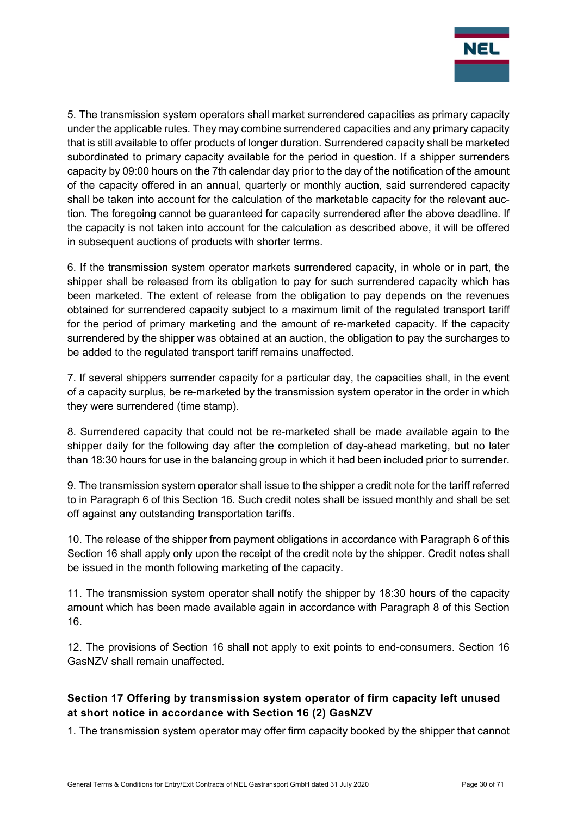

5. The transmission system operators shall market surrendered capacities as primary capacity under the applicable rules. They may combine surrendered capacities and any primary capacity that is still available to offer products of longer duration. Surrendered capacity shall be marketed subordinated to primary capacity available for the period in question. If a shipper surrenders capacity by 09:00 hours on the 7th calendar day prior to the day of the notification of the amount of the capacity offered in an annual, quarterly or monthly auction, said surrendered capacity shall be taken into account for the calculation of the marketable capacity for the relevant auction. The foregoing cannot be guaranteed for capacity surrendered after the above deadline. If the capacity is not taken into account for the calculation as described above, it will be offered in subsequent auctions of products with shorter terms.

6. If the transmission system operator markets surrendered capacity, in whole or in part, the shipper shall be released from its obligation to pay for such surrendered capacity which has been marketed. The extent of release from the obligation to pay depends on the revenues obtained for surrendered capacity subject to a maximum limit of the regulated transport tariff for the period of primary marketing and the amount of re-marketed capacity. If the capacity surrendered by the shipper was obtained at an auction, the obligation to pay the surcharges to be added to the regulated transport tariff remains unaffected.

7. If several shippers surrender capacity for a particular day, the capacities shall, in the event of a capacity surplus, be re-marketed by the transmission system operator in the order in which they were surrendered (time stamp).

8. Surrendered capacity that could not be re-marketed shall be made available again to the shipper daily for the following day after the completion of day-ahead marketing, but no later than 18:30 hours for use in the balancing group in which it had been included prior to surrender.

9. The transmission system operator shall issue to the shipper a credit note for the tariff referred to in Paragraph 6 of this Section 16. Such credit notes shall be issued monthly and shall be set off against any outstanding transportation tariffs.

10. The release of the shipper from payment obligations in accordance with Paragraph 6 of this Section 16 shall apply only upon the receipt of the credit note by the shipper. Credit notes shall be issued in the month following marketing of the capacity.

11. The transmission system operator shall notify the shipper by 18:30 hours of the capacity amount which has been made available again in accordance with Paragraph 8 of this Section 16.

12. The provisions of Section 16 shall not apply to exit points to end-consumers. Section 16 GasNZV shall remain unaffected.

## Section 17 Offering by transmission system operator of firm capacity left unused at short notice in accordance with Section 16 (2) GasNZV

1. The transmission system operator may offer firm capacity booked by the shipper that cannot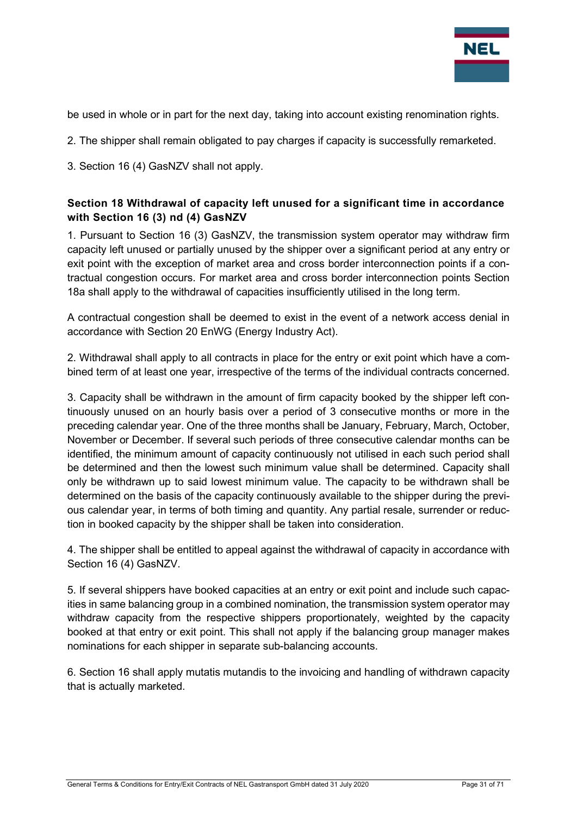

be used in whole or in part for the next day, taking into account existing renomination rights.

- 2. The shipper shall remain obligated to pay charges if capacity is successfully remarketed.
- 3. Section 16 (4) GasNZV shall not apply.

## Section 18 Withdrawal of capacity left unused for a significant time in accordance with Section 16 (3) nd (4) GasNZV

1. Pursuant to Section 16 (3) GasNZV, the transmission system operator may withdraw firm capacity left unused or partially unused by the shipper over a significant period at any entry or exit point with the exception of market area and cross border interconnection points if a contractual congestion occurs. For market area and cross border interconnection points Section 18a shall apply to the withdrawal of capacities insufficiently utilised in the long term.

A contractual congestion shall be deemed to exist in the event of a network access denial in accordance with Section 20 EnWG (Energy Industry Act).

2. Withdrawal shall apply to all contracts in place for the entry or exit point which have a combined term of at least one year, irrespective of the terms of the individual contracts concerned.

3. Capacity shall be withdrawn in the amount of firm capacity booked by the shipper left continuously unused on an hourly basis over a period of 3 consecutive months or more in the preceding calendar year. One of the three months shall be January, February, March, October, November or December. If several such periods of three consecutive calendar months can be identified, the minimum amount of capacity continuously not utilised in each such period shall be determined and then the lowest such minimum value shall be determined. Capacity shall only be withdrawn up to said lowest minimum value. The capacity to be withdrawn shall be determined on the basis of the capacity continuously available to the shipper during the previous calendar year, in terms of both timing and quantity. Any partial resale, surrender or reduction in booked capacity by the shipper shall be taken into consideration.

4. The shipper shall be entitled to appeal against the withdrawal of capacity in accordance with Section 16 (4) GasNZV.

5. If several shippers have booked capacities at an entry or exit point and include such capacities in same balancing group in a combined nomination, the transmission system operator may withdraw capacity from the respective shippers proportionately, weighted by the capacity booked at that entry or exit point. This shall not apply if the balancing group manager makes nominations for each shipper in separate sub-balancing accounts.

6. Section 16 shall apply mutatis mutandis to the invoicing and handling of withdrawn capacity that is actually marketed.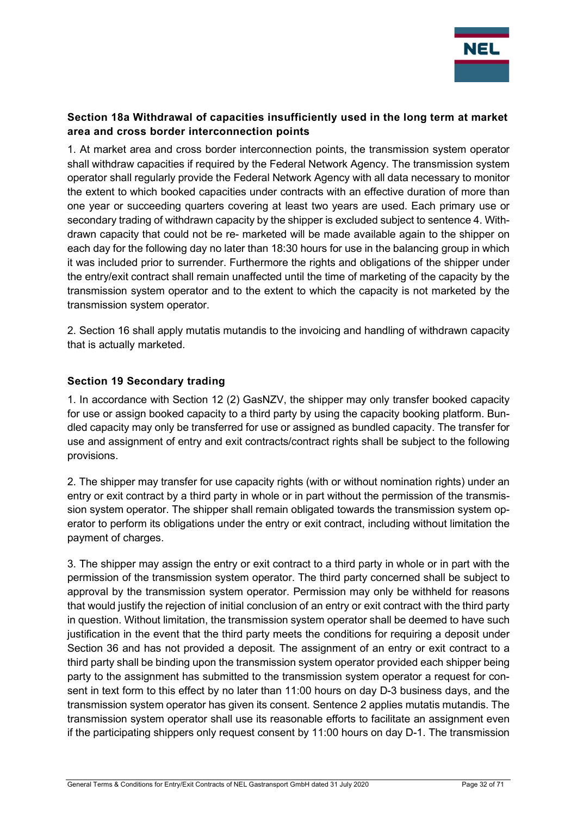

## Section 18a Withdrawal of capacities insufficiently used in the long term at market area and cross border interconnection points

1. At market area and cross border interconnection points, the transmission system operator shall withdraw capacities if required by the Federal Network Agency. The transmission system operator shall regularly provide the Federal Network Agency with all data necessary to monitor the extent to which booked capacities under contracts with an effective duration of more than one year or succeeding quarters covering at least two years are used. Each primary use or secondary trading of withdrawn capacity by the shipper is excluded subject to sentence 4. Withdrawn capacity that could not be re- marketed will be made available again to the shipper on each day for the following day no later than 18:30 hours for use in the balancing group in which it was included prior to surrender. Furthermore the rights and obligations of the shipper under the entry/exit contract shall remain unaffected until the time of marketing of the capacity by the transmission system operator and to the extent to which the capacity is not marketed by the transmission system operator.

2. Section 16 shall apply mutatis mutandis to the invoicing and handling of withdrawn capacity that is actually marketed.

## Section 19 Secondary trading

1. In accordance with Section 12 (2) GasNZV, the shipper may only transfer booked capacity for use or assign booked capacity to a third party by using the capacity booking platform. Bundled capacity may only be transferred for use or assigned as bundled capacity. The transfer for use and assignment of entry and exit contracts/contract rights shall be subject to the following provisions.

2. The shipper may transfer for use capacity rights (with or without nomination rights) under an entry or exit contract by a third party in whole or in part without the permission of the transmission system operator. The shipper shall remain obligated towards the transmission system operator to perform its obligations under the entry or exit contract, including without limitation the payment of charges.

3. The shipper may assign the entry or exit contract to a third party in whole or in part with the permission of the transmission system operator. The third party concerned shall be subject to approval by the transmission system operator. Permission may only be withheld for reasons that would justify the rejection of initial conclusion of an entry or exit contract with the third party in question. Without limitation, the transmission system operator shall be deemed to have such justification in the event that the third party meets the conditions for requiring a deposit under Section 36 and has not provided a deposit. The assignment of an entry or exit contract to a third party shall be binding upon the transmission system operator provided each shipper being party to the assignment has submitted to the transmission system operator a request for consent in text form to this effect by no later than 11:00 hours on day D-3 business days, and the transmission system operator has given its consent. Sentence 2 applies mutatis mutandis. The transmission system operator shall use its reasonable efforts to facilitate an assignment even if the participating shippers only request consent by 11:00 hours on day D-1. The transmission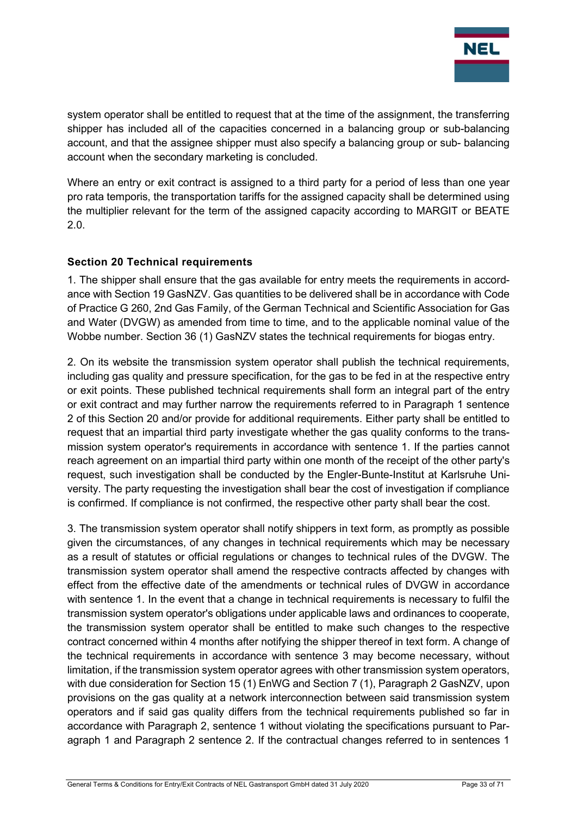

system operator shall be entitled to request that at the time of the assignment, the transferring shipper has included all of the capacities concerned in a balancing group or sub-balancing account, and that the assignee shipper must also specify a balancing group or sub- balancing account when the secondary marketing is concluded.

Where an entry or exit contract is assigned to a third party for a period of less than one year pro rata temporis, the transportation tariffs for the assigned capacity shall be determined using the multiplier relevant for the term of the assigned capacity according to MARGIT or BEATE 2.0.

## Section 20 Technical requirements

1. The shipper shall ensure that the gas available for entry meets the requirements in accordance with Section 19 GasNZV. Gas quantities to be delivered shall be in accordance with Code of Practice G 260, 2nd Gas Family, of the German Technical and Scientific Association for Gas and Water (DVGW) as amended from time to time, and to the applicable nominal value of the Wobbe number. Section 36 (1) GasNZV states the technical requirements for biogas entry.

2. On its website the transmission system operator shall publish the technical requirements, including gas quality and pressure specification, for the gas to be fed in at the respective entry or exit points. These published technical requirements shall form an integral part of the entry or exit contract and may further narrow the requirements referred to in Paragraph 1 sentence 2 of this Section 20 and/or provide for additional requirements. Either party shall be entitled to request that an impartial third party investigate whether the gas quality conforms to the transmission system operator's requirements in accordance with sentence 1. If the parties cannot reach agreement on an impartial third party within one month of the receipt of the other party's request, such investigation shall be conducted by the Engler-Bunte-Institut at Karlsruhe University. The party requesting the investigation shall bear the cost of investigation if compliance is confirmed. If compliance is not confirmed, the respective other party shall bear the cost.

3. The transmission system operator shall notify shippers in text form, as promptly as possible given the circumstances, of any changes in technical requirements which may be necessary as a result of statutes or official regulations or changes to technical rules of the DVGW. The transmission system operator shall amend the respective contracts affected by changes with effect from the effective date of the amendments or technical rules of DVGW in accordance with sentence 1. In the event that a change in technical requirements is necessary to fulfil the transmission system operator's obligations under applicable laws and ordinances to cooperate, the transmission system operator shall be entitled to make such changes to the respective contract concerned within 4 months after notifying the shipper thereof in text form. A change of the technical requirements in accordance with sentence 3 may become necessary, without limitation, if the transmission system operator agrees with other transmission system operators, with due consideration for Section 15 (1) EnWG and Section 7 (1), Paragraph 2 GasNZV, upon provisions on the gas quality at a network interconnection between said transmission system operators and if said gas quality differs from the technical requirements published so far in accordance with Paragraph 2, sentence 1 without violating the specifications pursuant to Paragraph 1 and Paragraph 2 sentence 2. If the contractual changes referred to in sentences 1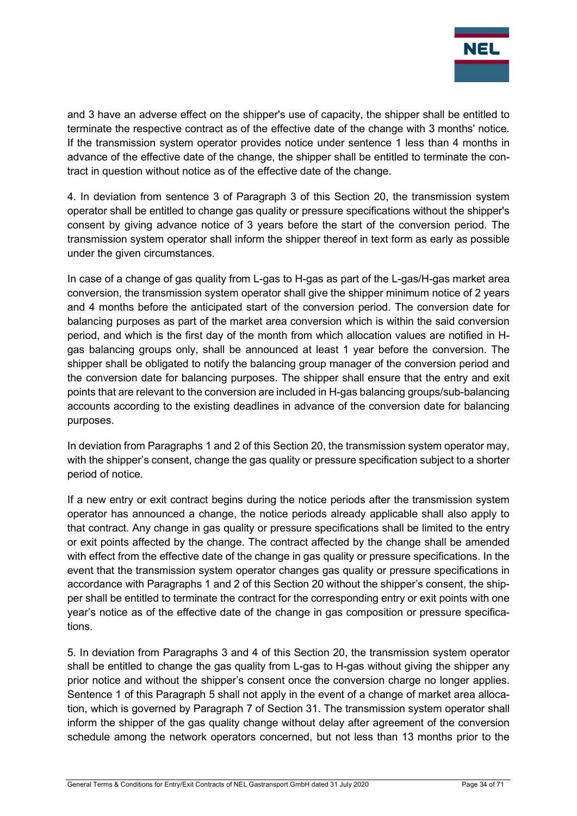

and 3 have an adverse effect on the shipper's use of capacity, the shipper shall be entitled to terminate the respective contract as of the effective date of the change with 3 months' notice. If the transmission system operator provides notice under sentence 1 less than 4 months in advance of the effective date of the change, the shipper shall be entitled to terminate the contract in question without notice as of the effective date of the change.

4. In deviation from sentence 3 of Paragraph 3 of this Section 20, the transmission system operator shall be entitled to change gas quality or pressure specifications without the shipper's consent by giving advance notice of 3 years before the start of the conversion period. The transmission system operator shall inform the shipper thereof in text form as early as possible under the given circumstances.

In case of a change of gas quality from L-gas to H-gas as part of the L-gas/H-gas market area conversion, the transmission system operator shall give the shipper minimum notice of 2 years and 4 months before the anticipated start of the conversion period. The conversion date for balancing purposes as part of the market area conversion which is within the said conversion period, and which is the first day of the month from which allocation values are notified in Hgas balancing groups only, shall be announced at least 1 year before the conversion. The shipper shall be obligated to notify the balancing group manager of the conversion period and the conversion date for balancing purposes. The shipper shall ensure that the entry and exit points that are relevant to the conversion are included in H-gas balancing groups/sub-balancing accounts according to the existing deadlines in advance of the conversion date for balancing purposes.

In deviation from Paragraphs 1 and 2 of this Section 20, the transmission system operator may, with the shipper's consent, change the gas quality or pressure specification subject to a shorter period of notice.

If a new entry or exit contract begins during the notice periods after the transmission system operator has announced a change, the notice periods already applicable shall also apply to that contract. Any change in gas quality or pressure specifications shall be limited to the entry or exit points affected by the change. The contract affected by the change shall be amended with effect from the effective date of the change in gas quality or pressure specifications. In the event that the transmission system operator changes gas quality or pressure specifications in accordance with Paragraphs 1 and 2 of this Section 20 without the shipper's consent, the shipper shall be entitled to terminate the contract for the corresponding entry or exit points with one year's notice as of the effective date of the change in gas composition or pressure specifications.

5. In deviation from Paragraphs 3 and 4 of this Section 20, the transmission system operator shall be entitled to change the gas quality from L-gas to H-gas without giving the shipper any prior notice and without the shipper's consent once the conversion charge no longer applies. Sentence 1 of this Paragraph 5 shall not apply in the event of a change of market area allocation, which is governed by Paragraph 7 of Section 31. The transmission system operator shall inform the shipper of the gas quality change without delay after agreement of the conversion schedule among the network operators concerned, but not less than 13 months prior to the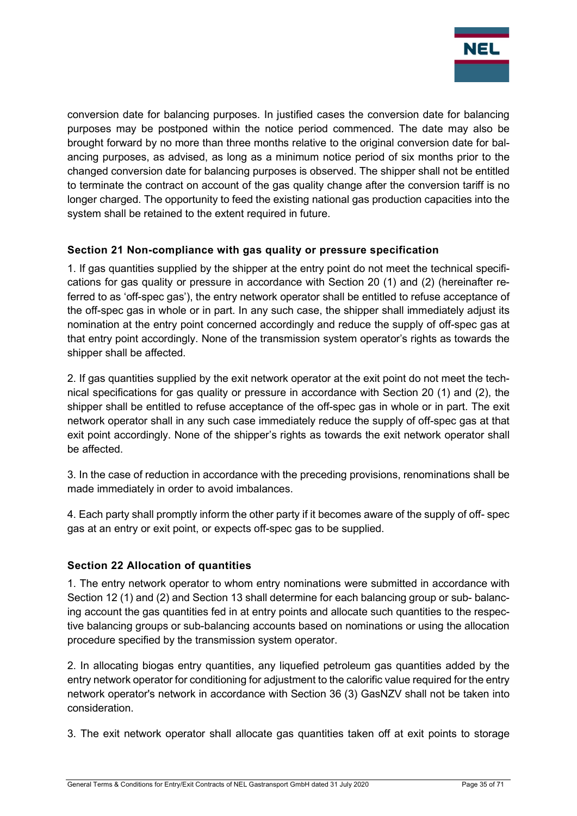

conversion date for balancing purposes. In justified cases the conversion date for balancing purposes may be postponed within the notice period commenced. The date may also be brought forward by no more than three months relative to the original conversion date for balancing purposes, as advised, as long as a minimum notice period of six months prior to the changed conversion date for balancing purposes is observed. The shipper shall not be entitled to terminate the contract on account of the gas quality change after the conversion tariff is no longer charged. The opportunity to feed the existing national gas production capacities into the system shall be retained to the extent required in future.

## Section 21 Non-compliance with gas quality or pressure specification

1. If gas quantities supplied by the shipper at the entry point do not meet the technical specifications for gas quality or pressure in accordance with Section 20 (1) and (2) (hereinafter referred to as 'off-spec gas'), the entry network operator shall be entitled to refuse acceptance of the off-spec gas in whole or in part. In any such case, the shipper shall immediately adjust its nomination at the entry point concerned accordingly and reduce the supply of off-spec gas at that entry point accordingly. None of the transmission system operator's rights as towards the shipper shall be affected.

2. If gas quantities supplied by the exit network operator at the exit point do not meet the technical specifications for gas quality or pressure in accordance with Section 20 (1) and (2), the shipper shall be entitled to refuse acceptance of the off-spec gas in whole or in part. The exit network operator shall in any such case immediately reduce the supply of off-spec gas at that exit point accordingly. None of the shipper's rights as towards the exit network operator shall be affected.

3. In the case of reduction in accordance with the preceding provisions, renominations shall be made immediately in order to avoid imbalances.

4. Each party shall promptly inform the other party if it becomes aware of the supply of off- spec gas at an entry or exit point, or expects off-spec gas to be supplied.

## Section 22 Allocation of quantities

1. The entry network operator to whom entry nominations were submitted in accordance with Section 12 (1) and (2) and Section 13 shall determine for each balancing group or sub- balancing account the gas quantities fed in at entry points and allocate such quantities to the respective balancing groups or sub-balancing accounts based on nominations or using the allocation procedure specified by the transmission system operator.

2. In allocating biogas entry quantities, any liquefied petroleum gas quantities added by the entry network operator for conditioning for adjustment to the calorific value required for the entry network operator's network in accordance with Section 36 (3) GasNZV shall not be taken into consideration.

3. The exit network operator shall allocate gas quantities taken off at exit points to storage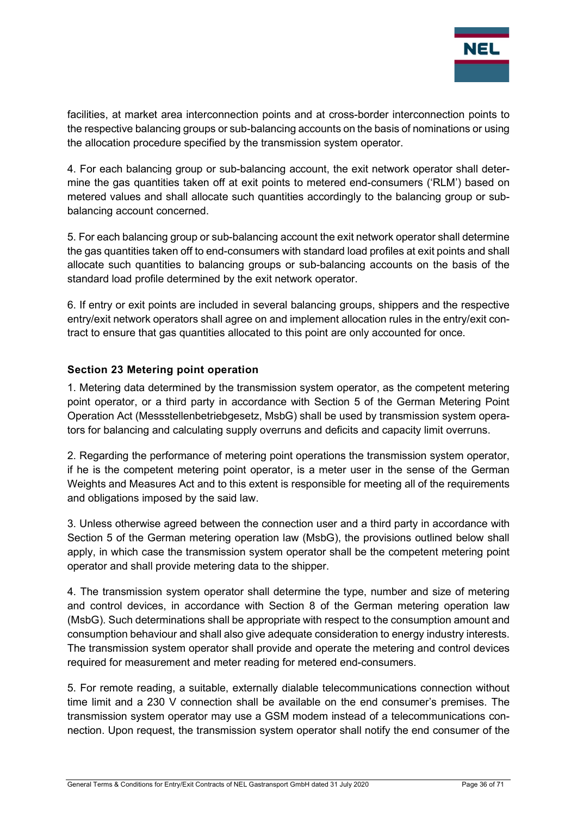

facilities, at market area interconnection points and at cross-border interconnection points to the respective balancing groups or sub-balancing accounts on the basis of nominations or using the allocation procedure specified by the transmission system operator.

4. For each balancing group or sub-balancing account, the exit network operator shall determine the gas quantities taken off at exit points to metered end-consumers ('RLM') based on metered values and shall allocate such quantities accordingly to the balancing group or subbalancing account concerned.

5. For each balancing group or sub-balancing account the exit network operator shall determine the gas quantities taken off to end-consumers with standard load profiles at exit points and shall allocate such quantities to balancing groups or sub-balancing accounts on the basis of the standard load profile determined by the exit network operator.

6. If entry or exit points are included in several balancing groups, shippers and the respective entry/exit network operators shall agree on and implement allocation rules in the entry/exit contract to ensure that gas quantities allocated to this point are only accounted for once.

## Section 23 Metering point operation

1. Metering data determined by the transmission system operator, as the competent metering point operator, or a third party in accordance with Section 5 of the German Metering Point Operation Act (Messstellenbetriebgesetz, MsbG) shall be used by transmission system operators for balancing and calculating supply overruns and deficits and capacity limit overruns.

2. Regarding the performance of metering point operations the transmission system operator, if he is the competent metering point operator, is a meter user in the sense of the German Weights and Measures Act and to this extent is responsible for meeting all of the requirements and obligations imposed by the said law.

3. Unless otherwise agreed between the connection user and a third party in accordance with Section 5 of the German metering operation law (MsbG), the provisions outlined below shall apply, in which case the transmission system operator shall be the competent metering point operator and shall provide metering data to the shipper.

4. The transmission system operator shall determine the type, number and size of metering and control devices, in accordance with Section 8 of the German metering operation law (MsbG). Such determinations shall be appropriate with respect to the consumption amount and consumption behaviour and shall also give adequate consideration to energy industry interests. The transmission system operator shall provide and operate the metering and control devices required for measurement and meter reading for metered end-consumers.

5. For remote reading, a suitable, externally dialable telecommunications connection without time limit and a 230 V connection shall be available on the end consumer's premises. The transmission system operator may use a GSM modem instead of a telecommunications connection. Upon request, the transmission system operator shall notify the end consumer of the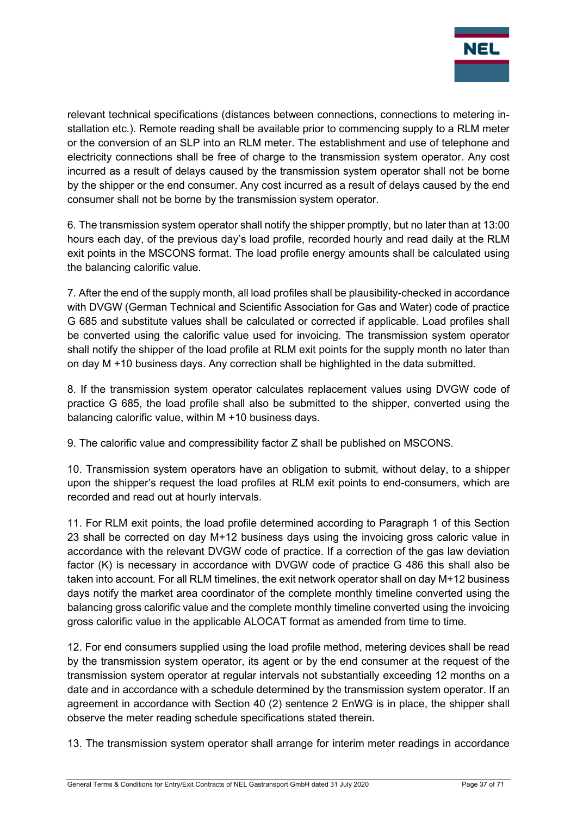

relevant technical specifications (distances between connections, connections to metering installation etc.). Remote reading shall be available prior to commencing supply to a RLM meter or the conversion of an SLP into an RLM meter. The establishment and use of telephone and electricity connections shall be free of charge to the transmission system operator. Any cost incurred as a result of delays caused by the transmission system operator shall not be borne by the shipper or the end consumer. Any cost incurred as a result of delays caused by the end consumer shall not be borne by the transmission system operator.

6. The transmission system operator shall notify the shipper promptly, but no later than at 13:00 hours each day, of the previous day's load profile, recorded hourly and read daily at the RLM exit points in the MSCONS format. The load profile energy amounts shall be calculated using the balancing calorific value.

7. After the end of the supply month, all load profiles shall be plausibility-checked in accordance with DVGW (German Technical and Scientific Association for Gas and Water) code of practice G 685 and substitute values shall be calculated or corrected if applicable. Load profiles shall be converted using the calorific value used for invoicing. The transmission system operator shall notify the shipper of the load profile at RLM exit points for the supply month no later than on day M +10 business days. Any correction shall be highlighted in the data submitted.

8. If the transmission system operator calculates replacement values using DVGW code of practice G 685, the load profile shall also be submitted to the shipper, converted using the balancing calorific value, within M +10 business days.

9. The calorific value and compressibility factor Z shall be published on MSCONS.

10. Transmission system operators have an obligation to submit, without delay, to a shipper upon the shipper's request the load profiles at RLM exit points to end-consumers, which are recorded and read out at hourly intervals.

11. For RLM exit points, the load profile determined according to Paragraph 1 of this Section 23 shall be corrected on day M+12 business days using the invoicing gross caloric value in accordance with the relevant DVGW code of practice. If a correction of the gas law deviation factor (K) is necessary in accordance with DVGW code of practice G 486 this shall also be taken into account. For all RLM timelines, the exit network operator shall on day M+12 business days notify the market area coordinator of the complete monthly timeline converted using the balancing gross calorific value and the complete monthly timeline converted using the invoicing gross calorific value in the applicable ALOCAT format as amended from time to time.

12. For end consumers supplied using the load profile method, metering devices shall be read by the transmission system operator, its agent or by the end consumer at the request of the transmission system operator at regular intervals not substantially exceeding 12 months on a date and in accordance with a schedule determined by the transmission system operator. If an agreement in accordance with Section 40 (2) sentence 2 EnWG is in place, the shipper shall observe the meter reading schedule specifications stated therein.

13. The transmission system operator shall arrange for interim meter readings in accordance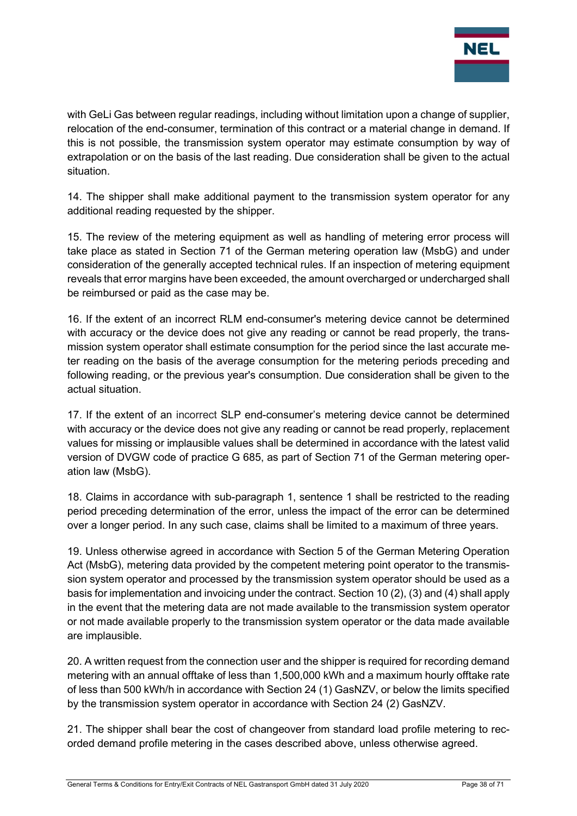

with GeLi Gas between regular readings, including without limitation upon a change of supplier, relocation of the end-consumer, termination of this contract or a material change in demand. If this is not possible, the transmission system operator may estimate consumption by way of extrapolation or on the basis of the last reading. Due consideration shall be given to the actual situation.

14. The shipper shall make additional payment to the transmission system operator for any additional reading requested by the shipper.

15. The review of the metering equipment as well as handling of metering error process will take place as stated in Section 71 of the German metering operation law (MsbG) and under consideration of the generally accepted technical rules. If an inspection of metering equipment reveals that error margins have been exceeded, the amount overcharged or undercharged shall be reimbursed or paid as the case may be.

16. If the extent of an incorrect RLM end-consumer's metering device cannot be determined with accuracy or the device does not give any reading or cannot be read properly, the transmission system operator shall estimate consumption for the period since the last accurate meter reading on the basis of the average consumption for the metering periods preceding and following reading, or the previous year's consumption. Due consideration shall be given to the actual situation.

17. If the extent of an incorrect SLP end-consumer's metering device cannot be determined with accuracy or the device does not give any reading or cannot be read properly, replacement values for missing or implausible values shall be determined in accordance with the latest valid version of DVGW code of practice G 685, as part of Section 71 of the German metering operation law (MsbG).

18. Claims in accordance with sub-paragraph 1, sentence 1 shall be restricted to the reading period preceding determination of the error, unless the impact of the error can be determined over a longer period. In any such case, claims shall be limited to a maximum of three years.

19. Unless otherwise agreed in accordance with Section 5 of the German Metering Operation Act (MsbG), metering data provided by the competent metering point operator to the transmission system operator and processed by the transmission system operator should be used as a basis for implementation and invoicing under the contract. Section 10 (2), (3) and (4) shall apply in the event that the metering data are not made available to the transmission system operator or not made available properly to the transmission system operator or the data made available are implausible.

20. A written request from the connection user and the shipper is required for recording demand metering with an annual offtake of less than 1,500,000 kWh and a maximum hourly offtake rate of less than 500 kWh/h in accordance with Section 24 (1) GasNZV, or below the limits specified by the transmission system operator in accordance with Section 24 (2) GasNZV.

21. The shipper shall bear the cost of changeover from standard load profile metering to recorded demand profile metering in the cases described above, unless otherwise agreed.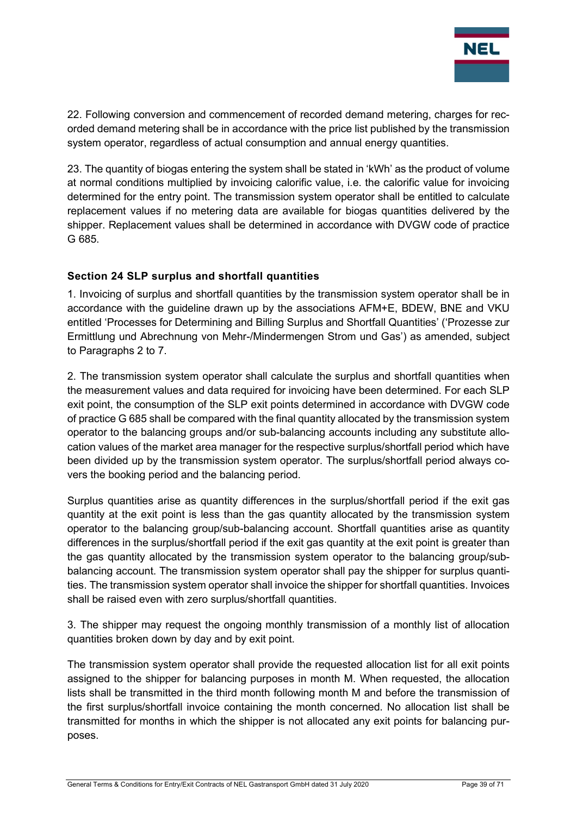

22. Following conversion and commencement of recorded demand metering, charges for recorded demand metering shall be in accordance with the price list published by the transmission system operator, regardless of actual consumption and annual energy quantities.

23. The quantity of biogas entering the system shall be stated in 'kWh' as the product of volume at normal conditions multiplied by invoicing calorific value, i.e. the calorific value for invoicing determined for the entry point. The transmission system operator shall be entitled to calculate replacement values if no metering data are available for biogas quantities delivered by the shipper. Replacement values shall be determined in accordance with DVGW code of practice G 685.

## Section 24 SLP surplus and shortfall quantities

1. Invoicing of surplus and shortfall quantities by the transmission system operator shall be in accordance with the guideline drawn up by the associations AFM+E, BDEW, BNE and VKU entitled 'Processes for Determining and Billing Surplus and Shortfall Quantities' ('Prozesse zur Ermittlung und Abrechnung von Mehr-/Mindermengen Strom und Gas') as amended, subject to Paragraphs 2 to 7.

2. The transmission system operator shall calculate the surplus and shortfall quantities when the measurement values and data required for invoicing have been determined. For each SLP exit point, the consumption of the SLP exit points determined in accordance with DVGW code of practice G 685 shall be compared with the final quantity allocated by the transmission system operator to the balancing groups and/or sub-balancing accounts including any substitute allocation values of the market area manager for the respective surplus/shortfall period which have been divided up by the transmission system operator. The surplus/shortfall period always covers the booking period and the balancing period.

Surplus quantities arise as quantity differences in the surplus/shortfall period if the exit gas quantity at the exit point is less than the gas quantity allocated by the transmission system operator to the balancing group/sub-balancing account. Shortfall quantities arise as quantity differences in the surplus/shortfall period if the exit gas quantity at the exit point is greater than the gas quantity allocated by the transmission system operator to the balancing group/subbalancing account. The transmission system operator shall pay the shipper for surplus quantities. The transmission system operator shall invoice the shipper for shortfall quantities. Invoices shall be raised even with zero surplus/shortfall quantities.

3. The shipper may request the ongoing monthly transmission of a monthly list of allocation quantities broken down by day and by exit point.

The transmission system operator shall provide the requested allocation list for all exit points assigned to the shipper for balancing purposes in month M. When requested, the allocation lists shall be transmitted in the third month following month M and before the transmission of the first surplus/shortfall invoice containing the month concerned. No allocation list shall be transmitted for months in which the shipper is not allocated any exit points for balancing purposes.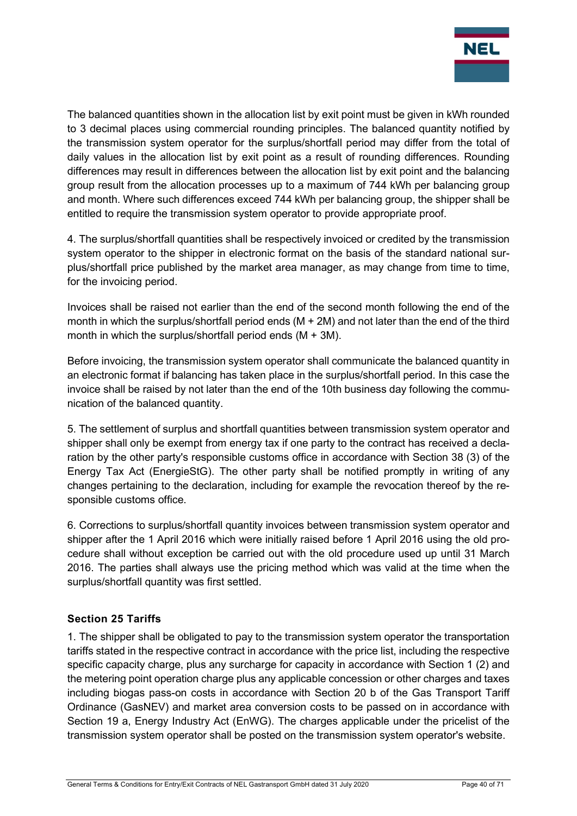

The balanced quantities shown in the allocation list by exit point must be given in kWh rounded to 3 decimal places using commercial rounding principles. The balanced quantity notified by the transmission system operator for the surplus/shortfall period may differ from the total of daily values in the allocation list by exit point as a result of rounding differences. Rounding differences may result in differences between the allocation list by exit point and the balancing group result from the allocation processes up to a maximum of 744 kWh per balancing group and month. Where such differences exceed 744 kWh per balancing group, the shipper shall be entitled to require the transmission system operator to provide appropriate proof.

4. The surplus/shortfall quantities shall be respectively invoiced or credited by the transmission system operator to the shipper in electronic format on the basis of the standard national surplus/shortfall price published by the market area manager, as may change from time to time, for the invoicing period.

Invoices shall be raised not earlier than the end of the second month following the end of the month in which the surplus/shortfall period ends (M + 2M) and not later than the end of the third month in which the surplus/shortfall period ends (M + 3M).

Before invoicing, the transmission system operator shall communicate the balanced quantity in an electronic format if balancing has taken place in the surplus/shortfall period. In this case the invoice shall be raised by not later than the end of the 10th business day following the communication of the balanced quantity.

5. The settlement of surplus and shortfall quantities between transmission system operator and shipper shall only be exempt from energy tax if one party to the contract has received a declaration by the other party's responsible customs office in accordance with Section 38 (3) of the Energy Tax Act (EnergieStG). The other party shall be notified promptly in writing of any changes pertaining to the declaration, including for example the revocation thereof by the responsible customs office.

6. Corrections to surplus/shortfall quantity invoices between transmission system operator and shipper after the 1 April 2016 which were initially raised before 1 April 2016 using the old procedure shall without exception be carried out with the old procedure used up until 31 March 2016. The parties shall always use the pricing method which was valid at the time when the surplus/shortfall quantity was first settled.

## Section 25 Tariffs

1. The shipper shall be obligated to pay to the transmission system operator the transportation tariffs stated in the respective contract in accordance with the price list, including the respective specific capacity charge, plus any surcharge for capacity in accordance with Section 1 (2) and the metering point operation charge plus any applicable concession or other charges and taxes including biogas pass-on costs in accordance with Section 20 b of the Gas Transport Tariff Ordinance (GasNEV) and market area conversion costs to be passed on in accordance with Section 19 a, Energy Industry Act (EnWG). The charges applicable under the pricelist of the transmission system operator shall be posted on the transmission system operator's website.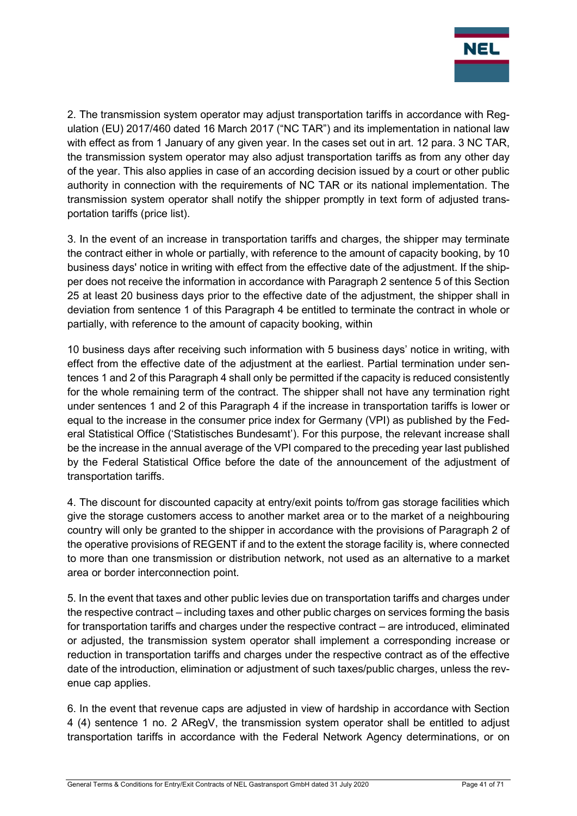

2. The transmission system operator may adjust transportation tariffs in accordance with Regulation (EU) 2017/460 dated 16 March 2017 ("NC TAR") and its implementation in national law with effect as from 1 January of any given year. In the cases set out in art. 12 para. 3 NC TAR, the transmission system operator may also adjust transportation tariffs as from any other day of the year. This also applies in case of an according decision issued by a court or other public authority in connection with the requirements of NC TAR or its national implementation. The transmission system operator shall notify the shipper promptly in text form of adjusted transportation tariffs (price list).

3. In the event of an increase in transportation tariffs and charges, the shipper may terminate the contract either in whole or partially, with reference to the amount of capacity booking, by 10 business days' notice in writing with effect from the effective date of the adjustment. If the shipper does not receive the information in accordance with Paragraph 2 sentence 5 of this Section 25 at least 20 business days prior to the effective date of the adjustment, the shipper shall in deviation from sentence 1 of this Paragraph 4 be entitled to terminate the contract in whole or partially, with reference to the amount of capacity booking, within

10 business days after receiving such information with 5 business days' notice in writing, with effect from the effective date of the adjustment at the earliest. Partial termination under sentences 1 and 2 of this Paragraph 4 shall only be permitted if the capacity is reduced consistently for the whole remaining term of the contract. The shipper shall not have any termination right under sentences 1 and 2 of this Paragraph 4 if the increase in transportation tariffs is lower or equal to the increase in the consumer price index for Germany (VPI) as published by the Federal Statistical Office ('Statistisches Bundesamt'). For this purpose, the relevant increase shall be the increase in the annual average of the VPI compared to the preceding year last published by the Federal Statistical Office before the date of the announcement of the adjustment of transportation tariffs.

4. The discount for discounted capacity at entry/exit points to/from gas storage facilities which give the storage customers access to another market area or to the market of a neighbouring country will only be granted to the shipper in accordance with the provisions of Paragraph 2 of the operative provisions of REGENT if and to the extent the storage facility is, where connected to more than one transmission or distribution network, not used as an alternative to a market area or border interconnection point.

5. In the event that taxes and other public levies due on transportation tariffs and charges under the respective contract – including taxes and other public charges on services forming the basis for transportation tariffs and charges under the respective contract – are introduced, eliminated or adjusted, the transmission system operator shall implement a corresponding increase or reduction in transportation tariffs and charges under the respective contract as of the effective date of the introduction, elimination or adjustment of such taxes/public charges, unless the revenue cap applies.

6. In the event that revenue caps are adjusted in view of hardship in accordance with Section 4 (4) sentence 1 no. 2 ARegV, the transmission system operator shall be entitled to adjust transportation tariffs in accordance with the Federal Network Agency determinations, or on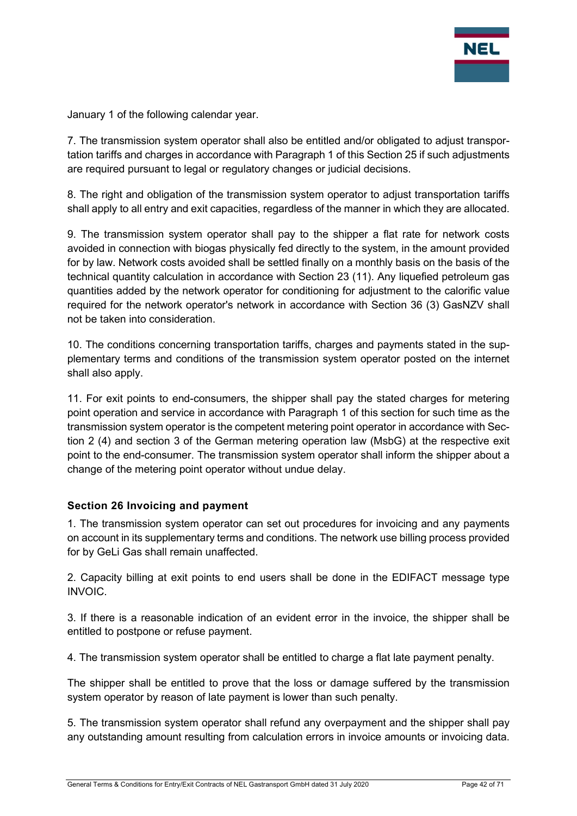

January 1 of the following calendar year.

7. The transmission system operator shall also be entitled and/or obligated to adjust transportation tariffs and charges in accordance with Paragraph 1 of this Section 25 if such adjustments are required pursuant to legal or regulatory changes or judicial decisions.

8. The right and obligation of the transmission system operator to adjust transportation tariffs shall apply to all entry and exit capacities, regardless of the manner in which they are allocated.

9. The transmission system operator shall pay to the shipper a flat rate for network costs avoided in connection with biogas physically fed directly to the system, in the amount provided for by law. Network costs avoided shall be settled finally on a monthly basis on the basis of the technical quantity calculation in accordance with Section 23 (11). Any liquefied petroleum gas quantities added by the network operator for conditioning for adjustment to the calorific value required for the network operator's network in accordance with Section 36 (3) GasNZV shall not be taken into consideration.

10. The conditions concerning transportation tariffs, charges and payments stated in the supplementary terms and conditions of the transmission system operator posted on the internet shall also apply.

11. For exit points to end-consumers, the shipper shall pay the stated charges for metering point operation and service in accordance with Paragraph 1 of this section for such time as the transmission system operator is the competent metering point operator in accordance with Section 2 (4) and section 3 of the German metering operation law (MsbG) at the respective exit point to the end-consumer. The transmission system operator shall inform the shipper about a change of the metering point operator without undue delay.

#### Section 26 Invoicing and payment

1. The transmission system operator can set out procedures for invoicing and any payments on account in its supplementary terms and conditions. The network use billing process provided for by GeLi Gas shall remain unaffected.

2. Capacity billing at exit points to end users shall be done in the EDIFACT message type INVOIC.

3. If there is a reasonable indication of an evident error in the invoice, the shipper shall be entitled to postpone or refuse payment.

4. The transmission system operator shall be entitled to charge a flat late payment penalty.

The shipper shall be entitled to prove that the loss or damage suffered by the transmission system operator by reason of late payment is lower than such penalty.

5. The transmission system operator shall refund any overpayment and the shipper shall pay any outstanding amount resulting from calculation errors in invoice amounts or invoicing data.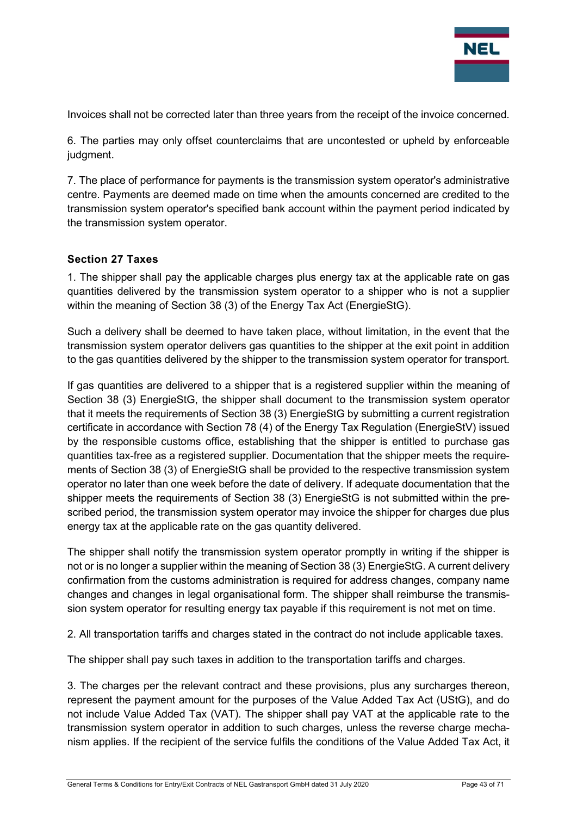

Invoices shall not be corrected later than three years from the receipt of the invoice concerned.

6. The parties may only offset counterclaims that are uncontested or upheld by enforceable judgment.

7. The place of performance for payments is the transmission system operator's administrative centre. Payments are deemed made on time when the amounts concerned are credited to the transmission system operator's specified bank account within the payment period indicated by the transmission system operator.

#### Section 27 Taxes

1. The shipper shall pay the applicable charges plus energy tax at the applicable rate on gas quantities delivered by the transmission system operator to a shipper who is not a supplier within the meaning of Section 38 (3) of the Energy Tax Act (EnergieStG).

Such a delivery shall be deemed to have taken place, without limitation, in the event that the transmission system operator delivers gas quantities to the shipper at the exit point in addition to the gas quantities delivered by the shipper to the transmission system operator for transport.

If gas quantities are delivered to a shipper that is a registered supplier within the meaning of Section 38 (3) EnergieStG, the shipper shall document to the transmission system operator that it meets the requirements of Section 38 (3) EnergieStG by submitting a current registration certificate in accordance with Section 78 (4) of the Energy Tax Regulation (EnergieStV) issued by the responsible customs office, establishing that the shipper is entitled to purchase gas quantities tax-free as a registered supplier. Documentation that the shipper meets the requirements of Section 38 (3) of EnergieStG shall be provided to the respective transmission system operator no later than one week before the date of delivery. If adequate documentation that the shipper meets the requirements of Section 38 (3) EnergieStG is not submitted within the prescribed period, the transmission system operator may invoice the shipper for charges due plus energy tax at the applicable rate on the gas quantity delivered.

The shipper shall notify the transmission system operator promptly in writing if the shipper is not or is no longer a supplier within the meaning of Section 38 (3) EnergieStG. A current delivery confirmation from the customs administration is required for address changes, company name changes and changes in legal organisational form. The shipper shall reimburse the transmission system operator for resulting energy tax payable if this requirement is not met on time.

2. All transportation tariffs and charges stated in the contract do not include applicable taxes.

The shipper shall pay such taxes in addition to the transportation tariffs and charges.

3. The charges per the relevant contract and these provisions, plus any surcharges thereon, represent the payment amount for the purposes of the Value Added Tax Act (UStG), and do not include Value Added Tax (VAT). The shipper shall pay VAT at the applicable rate to the transmission system operator in addition to such charges, unless the reverse charge mechanism applies. If the recipient of the service fulfils the conditions of the Value Added Tax Act, it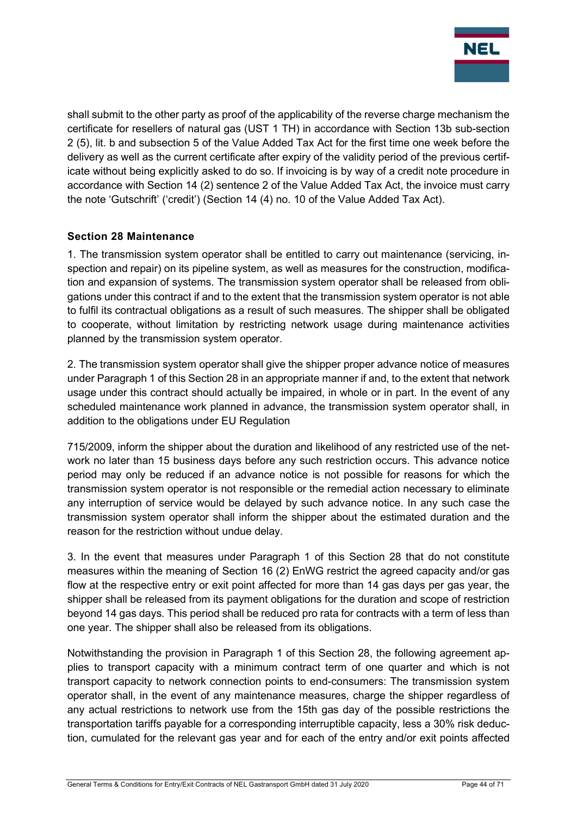

shall submit to the other party as proof of the applicability of the reverse charge mechanism the certificate for resellers of natural gas (UST 1 TH) in accordance with Section 13b sub-section 2 (5), lit. b and subsection 5 of the Value Added Tax Act for the first time one week before the delivery as well as the current certificate after expiry of the validity period of the previous certificate without being explicitly asked to do so. If invoicing is by way of a credit note procedure in accordance with Section 14 (2) sentence 2 of the Value Added Tax Act, the invoice must carry the note 'Gutschrift' ('credit') (Section 14 (4) no. 10 of the Value Added Tax Act).

## Section 28 Maintenance

1. The transmission system operator shall be entitled to carry out maintenance (servicing, inspection and repair) on its pipeline system, as well as measures for the construction, modification and expansion of systems. The transmission system operator shall be released from obligations under this contract if and to the extent that the transmission system operator is not able to fulfil its contractual obligations as a result of such measures. The shipper shall be obligated to cooperate, without limitation by restricting network usage during maintenance activities planned by the transmission system operator.

2. The transmission system operator shall give the shipper proper advance notice of measures under Paragraph 1 of this Section 28 in an appropriate manner if and, to the extent that network usage under this contract should actually be impaired, in whole or in part. In the event of any scheduled maintenance work planned in advance, the transmission system operator shall, in addition to the obligations under EU Regulation

715/2009, inform the shipper about the duration and likelihood of any restricted use of the network no later than 15 business days before any such restriction occurs. This advance notice period may only be reduced if an advance notice is not possible for reasons for which the transmission system operator is not responsible or the remedial action necessary to eliminate any interruption of service would be delayed by such advance notice. In any such case the transmission system operator shall inform the shipper about the estimated duration and the reason for the restriction without undue delay.

3. In the event that measures under Paragraph 1 of this Section 28 that do not constitute measures within the meaning of Section 16 (2) EnWG restrict the agreed capacity and/or gas flow at the respective entry or exit point affected for more than 14 gas days per gas year, the shipper shall be released from its payment obligations for the duration and scope of restriction beyond 14 gas days. This period shall be reduced pro rata for contracts with a term of less than one year. The shipper shall also be released from its obligations.

Notwithstanding the provision in Paragraph 1 of this Section 28, the following agreement applies to transport capacity with a minimum contract term of one quarter and which is not transport capacity to network connection points to end-consumers: The transmission system operator shall, in the event of any maintenance measures, charge the shipper regardless of any actual restrictions to network use from the 15th gas day of the possible restrictions the transportation tariffs payable for a corresponding interruptible capacity, less a 30% risk deduction, cumulated for the relevant gas year and for each of the entry and/or exit points affected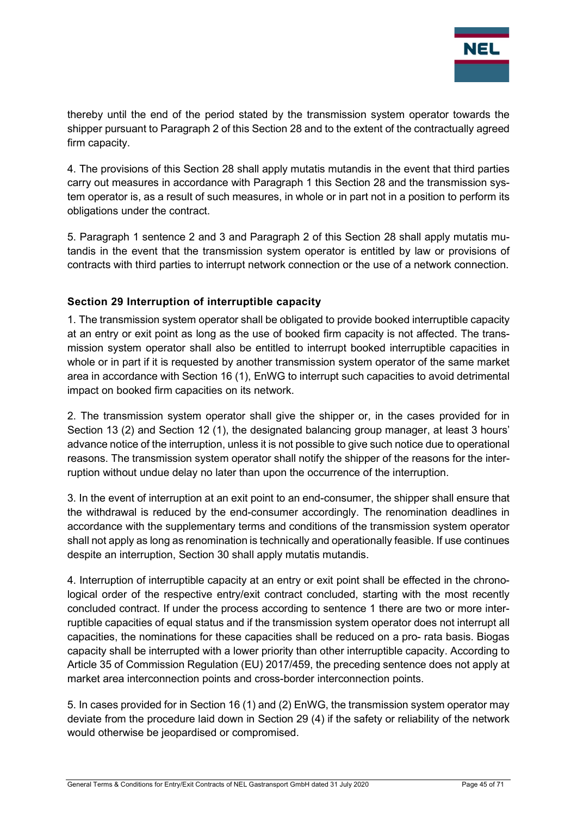

thereby until the end of the period stated by the transmission system operator towards the shipper pursuant to Paragraph 2 of this Section 28 and to the extent of the contractually agreed firm capacity.

4. The provisions of this Section 28 shall apply mutatis mutandis in the event that third parties carry out measures in accordance with Paragraph 1 this Section 28 and the transmission system operator is, as a result of such measures, in whole or in part not in a position to perform its obligations under the contract.

5. Paragraph 1 sentence 2 and 3 and Paragraph 2 of this Section 28 shall apply mutatis mutandis in the event that the transmission system operator is entitled by law or provisions of contracts with third parties to interrupt network connection or the use of a network connection.

## Section 29 Interruption of interruptible capacity

1. The transmission system operator shall be obligated to provide booked interruptible capacity at an entry or exit point as long as the use of booked firm capacity is not affected. The transmission system operator shall also be entitled to interrupt booked interruptible capacities in whole or in part if it is requested by another transmission system operator of the same market area in accordance with Section 16 (1), EnWG to interrupt such capacities to avoid detrimental impact on booked firm capacities on its network.

2. The transmission system operator shall give the shipper or, in the cases provided for in Section 13 (2) and Section 12 (1), the designated balancing group manager, at least 3 hours' advance notice of the interruption, unless it is not possible to give such notice due to operational reasons. The transmission system operator shall notify the shipper of the reasons for the interruption without undue delay no later than upon the occurrence of the interruption.

3. In the event of interruption at an exit point to an end-consumer, the shipper shall ensure that the withdrawal is reduced by the end-consumer accordingly. The renomination deadlines in accordance with the supplementary terms and conditions of the transmission system operator shall not apply as long as renomination is technically and operationally feasible. If use continues despite an interruption, Section 30 shall apply mutatis mutandis.

4. Interruption of interruptible capacity at an entry or exit point shall be effected in the chronological order of the respective entry/exit contract concluded, starting with the most recently concluded contract. If under the process according to sentence 1 there are two or more interruptible capacities of equal status and if the transmission system operator does not interrupt all capacities, the nominations for these capacities shall be reduced on a pro- rata basis. Biogas capacity shall be interrupted with a lower priority than other interruptible capacity. According to Article 35 of Commission Regulation (EU) 2017/459, the preceding sentence does not apply at market area interconnection points and cross-border interconnection points.

5. In cases provided for in Section 16 (1) and (2) EnWG, the transmission system operator may deviate from the procedure laid down in Section 29 (4) if the safety or reliability of the network would otherwise be jeopardised or compromised.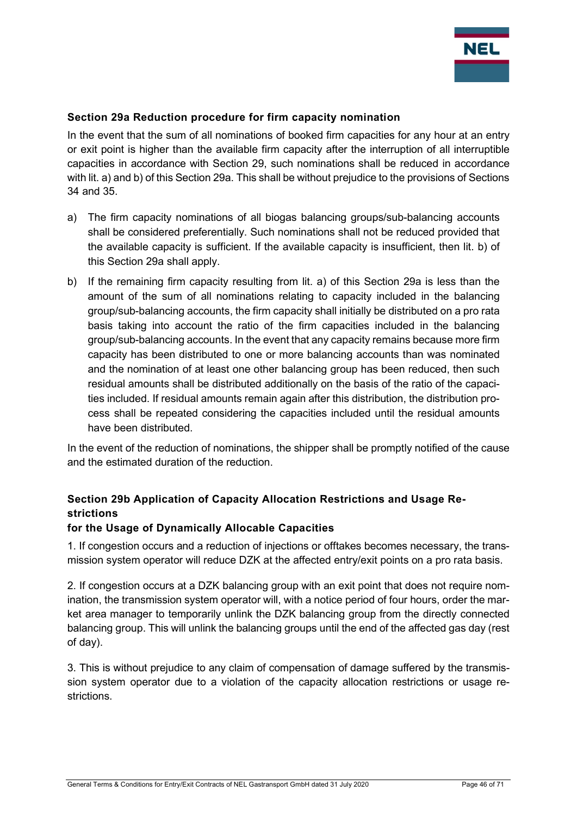

#### Section 29a Reduction procedure for firm capacity nomination

In the event that the sum of all nominations of booked firm capacities for any hour at an entry or exit point is higher than the available firm capacity after the interruption of all interruptible capacities in accordance with Section 29, such nominations shall be reduced in accordance with lit. a) and b) of this Section 29a. This shall be without prejudice to the provisions of Sections 34 and 35.

- a) The firm capacity nominations of all biogas balancing groups/sub-balancing accounts shall be considered preferentially. Such nominations shall not be reduced provided that the available capacity is sufficient. If the available capacity is insufficient, then lit. b) of this Section 29a shall apply.
- b) If the remaining firm capacity resulting from lit. a) of this Section 29a is less than the amount of the sum of all nominations relating to capacity included in the balancing group/sub-balancing accounts, the firm capacity shall initially be distributed on a pro rata basis taking into account the ratio of the firm capacities included in the balancing group/sub-balancing accounts. In the event that any capacity remains because more firm capacity has been distributed to one or more balancing accounts than was nominated and the nomination of at least one other balancing group has been reduced, then such residual amounts shall be distributed additionally on the basis of the ratio of the capacities included. If residual amounts remain again after this distribution, the distribution process shall be repeated considering the capacities included until the residual amounts have been distributed.

In the event of the reduction of nominations, the shipper shall be promptly notified of the cause and the estimated duration of the reduction.

## Section 29b Application of Capacity Allocation Restrictions and Usage Restrictions

#### for the Usage of Dynamically Allocable Capacities

1. If congestion occurs and a reduction of injections or offtakes becomes necessary, the transmission system operator will reduce DZK at the affected entry/exit points on a pro rata basis.

2. If congestion occurs at a DZK balancing group with an exit point that does not require nomination, the transmission system operator will, with a notice period of four hours, order the market area manager to temporarily unlink the DZK balancing group from the directly connected balancing group. This will unlink the balancing groups until the end of the affected gas day (rest of day).

3. This is without prejudice to any claim of compensation of damage suffered by the transmission system operator due to a violation of the capacity allocation restrictions or usage restrictions.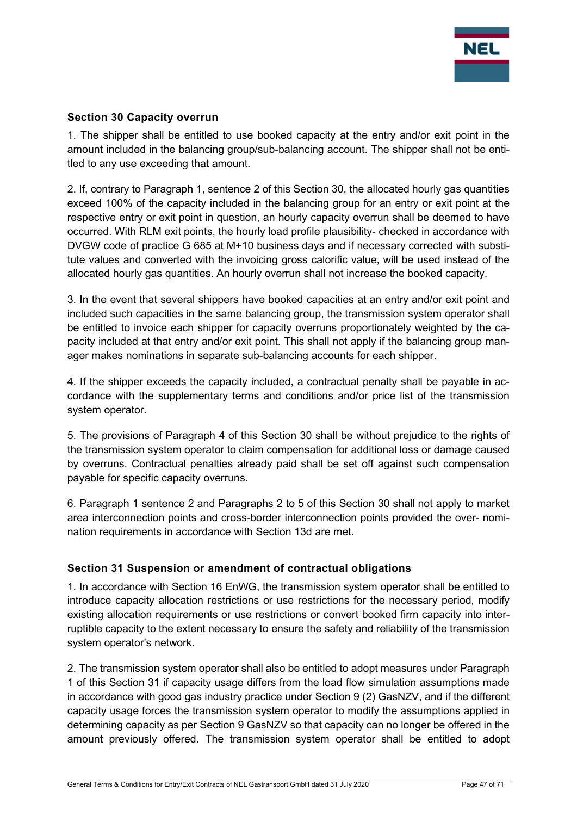

#### Section 30 Capacity overrun

1. The shipper shall be entitled to use booked capacity at the entry and/or exit point in the amount included in the balancing group/sub-balancing account. The shipper shall not be entitled to any use exceeding that amount.

2. If, contrary to Paragraph 1, sentence 2 of this Section 30, the allocated hourly gas quantities exceed 100% of the capacity included in the balancing group for an entry or exit point at the respective entry or exit point in question, an hourly capacity overrun shall be deemed to have occurred. With RLM exit points, the hourly load profile plausibility- checked in accordance with DVGW code of practice G 685 at M+10 business days and if necessary corrected with substitute values and converted with the invoicing gross calorific value, will be used instead of the allocated hourly gas quantities. An hourly overrun shall not increase the booked capacity.

3. In the event that several shippers have booked capacities at an entry and/or exit point and included such capacities in the same balancing group, the transmission system operator shall be entitled to invoice each shipper for capacity overruns proportionately weighted by the capacity included at that entry and/or exit point. This shall not apply if the balancing group manager makes nominations in separate sub-balancing accounts for each shipper.

4. If the shipper exceeds the capacity included, a contractual penalty shall be payable in accordance with the supplementary terms and conditions and/or price list of the transmission system operator.

5. The provisions of Paragraph 4 of this Section 30 shall be without prejudice to the rights of the transmission system operator to claim compensation for additional loss or damage caused by overruns. Contractual penalties already paid shall be set off against such compensation payable for specific capacity overruns.

6. Paragraph 1 sentence 2 and Paragraphs 2 to 5 of this Section 30 shall not apply to market area interconnection points and cross-border interconnection points provided the over- nomination requirements in accordance with Section 13d are met.

## Section 31 Suspension or amendment of contractual obligations

1. In accordance with Section 16 EnWG, the transmission system operator shall be entitled to introduce capacity allocation restrictions or use restrictions for the necessary period, modify existing allocation requirements or use restrictions or convert booked firm capacity into interruptible capacity to the extent necessary to ensure the safety and reliability of the transmission system operator's network.

2. The transmission system operator shall also be entitled to adopt measures under Paragraph 1 of this Section 31 if capacity usage differs from the load flow simulation assumptions made in accordance with good gas industry practice under Section 9 (2) GasNZV, and if the different capacity usage forces the transmission system operator to modify the assumptions applied in determining capacity as per Section 9 GasNZV so that capacity can no longer be offered in the amount previously offered. The transmission system operator shall be entitled to adopt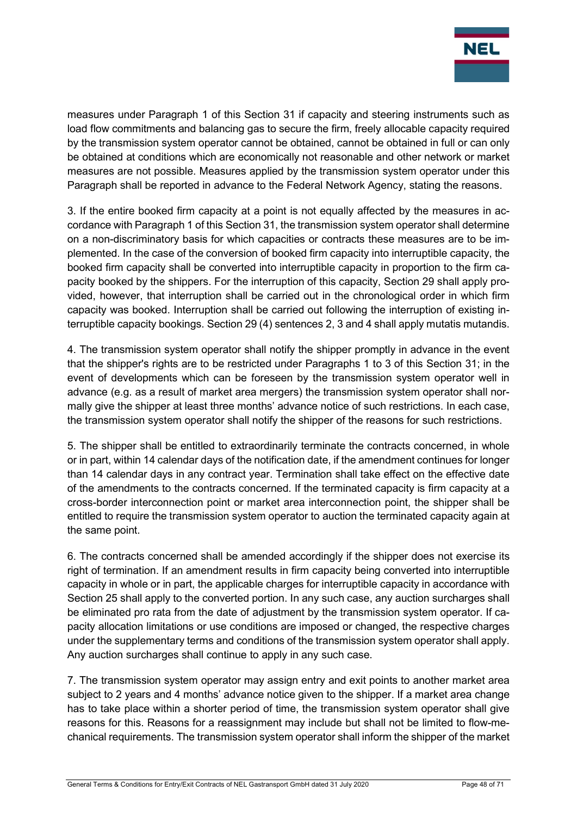

measures under Paragraph 1 of this Section 31 if capacity and steering instruments such as load flow commitments and balancing gas to secure the firm, freely allocable capacity required by the transmission system operator cannot be obtained, cannot be obtained in full or can only be obtained at conditions which are economically not reasonable and other network or market measures are not possible. Measures applied by the transmission system operator under this Paragraph shall be reported in advance to the Federal Network Agency, stating the reasons.

3. If the entire booked firm capacity at a point is not equally affected by the measures in accordance with Paragraph 1 of this Section 31, the transmission system operator shall determine on a non-discriminatory basis for which capacities or contracts these measures are to be implemented. In the case of the conversion of booked firm capacity into interruptible capacity, the booked firm capacity shall be converted into interruptible capacity in proportion to the firm capacity booked by the shippers. For the interruption of this capacity, Section 29 shall apply provided, however, that interruption shall be carried out in the chronological order in which firm capacity was booked. Interruption shall be carried out following the interruption of existing interruptible capacity bookings. Section 29 (4) sentences 2, 3 and 4 shall apply mutatis mutandis.

4. The transmission system operator shall notify the shipper promptly in advance in the event that the shipper's rights are to be restricted under Paragraphs 1 to 3 of this Section 31; in the event of developments which can be foreseen by the transmission system operator well in advance (e.g. as a result of market area mergers) the transmission system operator shall normally give the shipper at least three months' advance notice of such restrictions. In each case, the transmission system operator shall notify the shipper of the reasons for such restrictions.

5. The shipper shall be entitled to extraordinarily terminate the contracts concerned, in whole or in part, within 14 calendar days of the notification date, if the amendment continues for longer than 14 calendar days in any contract year. Termination shall take effect on the effective date of the amendments to the contracts concerned. If the terminated capacity is firm capacity at a cross-border interconnection point or market area interconnection point, the shipper shall be entitled to require the transmission system operator to auction the terminated capacity again at the same point.

6. The contracts concerned shall be amended accordingly if the shipper does not exercise its right of termination. If an amendment results in firm capacity being converted into interruptible capacity in whole or in part, the applicable charges for interruptible capacity in accordance with Section 25 shall apply to the converted portion. In any such case, any auction surcharges shall be eliminated pro rata from the date of adjustment by the transmission system operator. If capacity allocation limitations or use conditions are imposed or changed, the respective charges under the supplementary terms and conditions of the transmission system operator shall apply. Any auction surcharges shall continue to apply in any such case.

7. The transmission system operator may assign entry and exit points to another market area subject to 2 years and 4 months' advance notice given to the shipper. If a market area change has to take place within a shorter period of time, the transmission system operator shall give reasons for this. Reasons for a reassignment may include but shall not be limited to flow-mechanical requirements. The transmission system operator shall inform the shipper of the market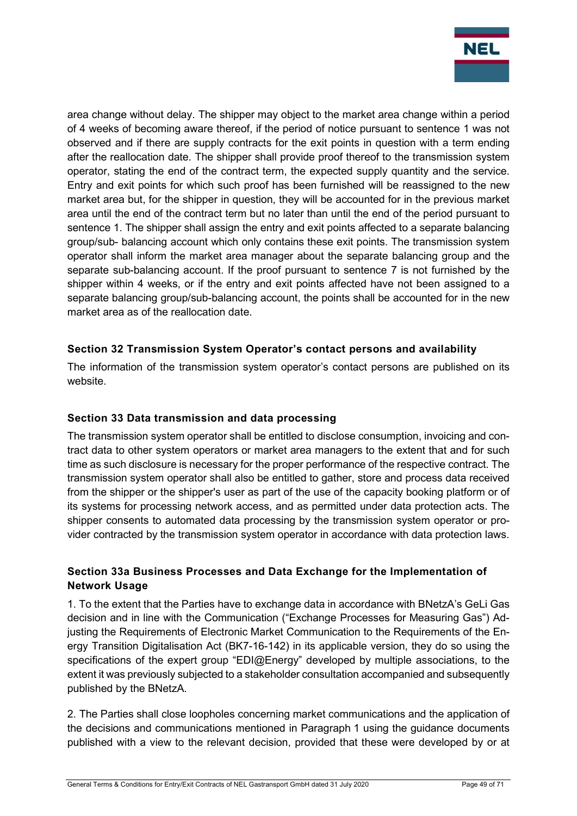

area change without delay. The shipper may object to the market area change within a period of 4 weeks of becoming aware thereof, if the period of notice pursuant to sentence 1 was not observed and if there are supply contracts for the exit points in question with a term ending after the reallocation date. The shipper shall provide proof thereof to the transmission system operator, stating the end of the contract term, the expected supply quantity and the service. Entry and exit points for which such proof has been furnished will be reassigned to the new market area but, for the shipper in question, they will be accounted for in the previous market area until the end of the contract term but no later than until the end of the period pursuant to sentence 1. The shipper shall assign the entry and exit points affected to a separate balancing group/sub- balancing account which only contains these exit points. The transmission system operator shall inform the market area manager about the separate balancing group and the separate sub-balancing account. If the proof pursuant to sentence 7 is not furnished by the shipper within 4 weeks, or if the entry and exit points affected have not been assigned to a separate balancing group/sub-balancing account, the points shall be accounted for in the new market area as of the reallocation date.

## Section 32 Transmission System Operator's contact persons and availability

The information of the transmission system operator's contact persons are published on its website.

## Section 33 Data transmission and data processing

The transmission system operator shall be entitled to disclose consumption, invoicing and contract data to other system operators or market area managers to the extent that and for such time as such disclosure is necessary for the proper performance of the respective contract. The transmission system operator shall also be entitled to gather, store and process data received from the shipper or the shipper's user as part of the use of the capacity booking platform or of its systems for processing network access, and as permitted under data protection acts. The shipper consents to automated data processing by the transmission system operator or provider contracted by the transmission system operator in accordance with data protection laws.

## Section 33a Business Processes and Data Exchange for the Implementation of Network Usage

1. To the extent that the Parties have to exchange data in accordance with BNetzA's GeLi Gas decision and in line with the Communication ("Exchange Processes for Measuring Gas") Adjusting the Requirements of Electronic Market Communication to the Requirements of the Energy Transition Digitalisation Act (BK7-16-142) in its applicable version, they do so using the specifications of the expert group "EDI@Energy" developed by multiple associations, to the extent it was previously subjected to a stakeholder consultation accompanied and subsequently published by the BNetzA.

2. The Parties shall close loopholes concerning market communications and the application of the decisions and communications mentioned in Paragraph 1 using the guidance documents published with a view to the relevant decision, provided that these were developed by or at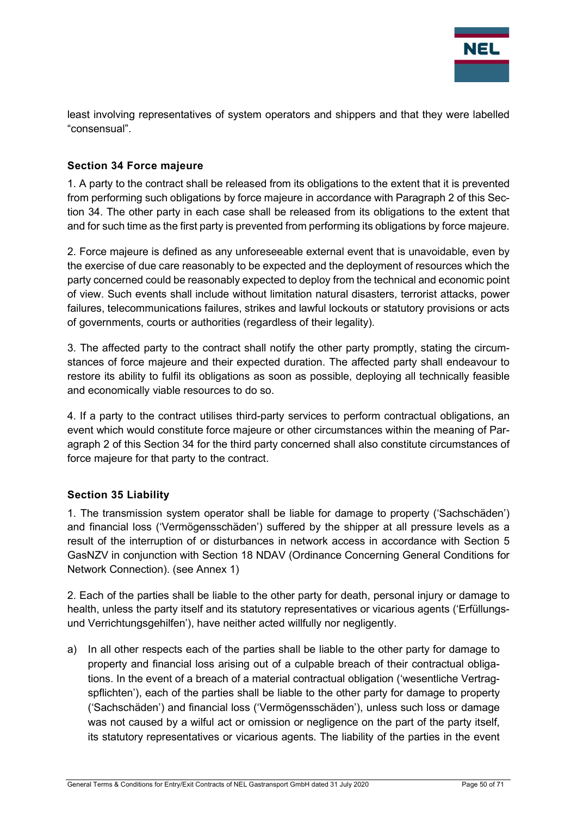

least involving representatives of system operators and shippers and that they were labelled "consensual".

## Section 34 Force majeure

1. A party to the contract shall be released from its obligations to the extent that it is prevented from performing such obligations by force majeure in accordance with Paragraph 2 of this Section 34. The other party in each case shall be released from its obligations to the extent that and for such time as the first party is prevented from performing its obligations by force majeure.

2. Force majeure is defined as any unforeseeable external event that is unavoidable, even by the exercise of due care reasonably to be expected and the deployment of resources which the party concerned could be reasonably expected to deploy from the technical and economic point of view. Such events shall include without limitation natural disasters, terrorist attacks, power failures, telecommunications failures, strikes and lawful lockouts or statutory provisions or acts of governments, courts or authorities (regardless of their legality).

3. The affected party to the contract shall notify the other party promptly, stating the circumstances of force majeure and their expected duration. The affected party shall endeavour to restore its ability to fulfil its obligations as soon as possible, deploying all technically feasible and economically viable resources to do so.

4. If a party to the contract utilises third-party services to perform contractual obligations, an event which would constitute force majeure or other circumstances within the meaning of Paragraph 2 of this Section 34 for the third party concerned shall also constitute circumstances of force majeure for that party to the contract.

## Section 35 Liability

1. The transmission system operator shall be liable for damage to property ('Sachschäden') and financial loss ('Vermögensschäden') suffered by the shipper at all pressure levels as a result of the interruption of or disturbances in network access in accordance with Section 5 GasNZV in conjunction with Section 18 NDAV (Ordinance Concerning General Conditions for Network Connection). (see Annex 1)

2. Each of the parties shall be liable to the other party for death, personal injury or damage to health, unless the party itself and its statutory representatives or vicarious agents ('Erfüllungsund Verrichtungsgehilfen'), have neither acted willfully nor negligently.

a) In all other respects each of the parties shall be liable to the other party for damage to property and financial loss arising out of a culpable breach of their contractual obligations. In the event of a breach of a material contractual obligation ('wesentliche Vertragspflichten'), each of the parties shall be liable to the other party for damage to property ('Sachschäden') and financial loss ('Vermögensschäden'), unless such loss or damage was not caused by a wilful act or omission or negligence on the part of the party itself. its statutory representatives or vicarious agents. The liability of the parties in the event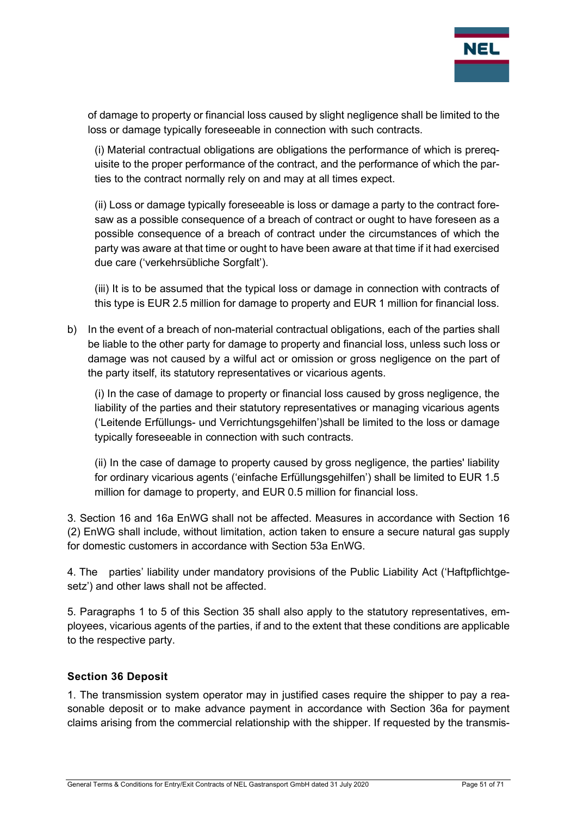

of damage to property or financial loss caused by slight negligence shall be limited to the loss or damage typically foreseeable in connection with such contracts.

(i) Material contractual obligations are obligations the performance of which is prerequisite to the proper performance of the contract, and the performance of which the parties to the contract normally rely on and may at all times expect.

(ii) Loss or damage typically foreseeable is loss or damage a party to the contract foresaw as a possible consequence of a breach of contract or ought to have foreseen as a possible consequence of a breach of contract under the circumstances of which the party was aware at that time or ought to have been aware at that time if it had exercised due care ('verkehrsübliche Sorgfalt').

(iii) It is to be assumed that the typical loss or damage in connection with contracts of this type is EUR 2.5 million for damage to property and EUR 1 million for financial loss.

b) In the event of a breach of non-material contractual obligations, each of the parties shall be liable to the other party for damage to property and financial loss, unless such loss or damage was not caused by a wilful act or omission or gross negligence on the part of the party itself, its statutory representatives or vicarious agents.

(i) In the case of damage to property or financial loss caused by gross negligence, the liability of the parties and their statutory representatives or managing vicarious agents ('Leitende Erfüllungs- und Verrichtungsgehilfen')shall be limited to the loss or damage typically foreseeable in connection with such contracts.

(ii) In the case of damage to property caused by gross negligence, the parties' liability for ordinary vicarious agents ('einfache Erfüllungsgehilfen') shall be limited to EUR 1.5 million for damage to property, and EUR 0.5 million for financial loss.

3. Section 16 and 16a EnWG shall not be affected. Measures in accordance with Section 16 (2) EnWG shall include, without limitation, action taken to ensure a secure natural gas supply for domestic customers in accordance with Section 53a EnWG.

4. The parties' liability under mandatory provisions of the Public Liability Act ('Haftpflichtgesetz') and other laws shall not be affected.

5. Paragraphs 1 to 5 of this Section 35 shall also apply to the statutory representatives, employees, vicarious agents of the parties, if and to the extent that these conditions are applicable to the respective party.

## Section 36 Deposit

1. The transmission system operator may in justified cases require the shipper to pay a reasonable deposit or to make advance payment in accordance with Section 36a for payment claims arising from the commercial relationship with the shipper. If requested by the transmis-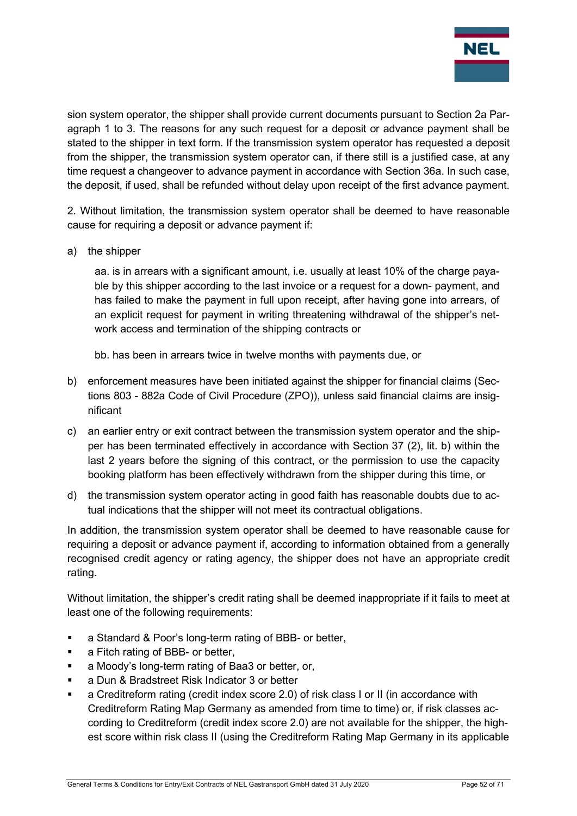

sion system operator, the shipper shall provide current documents pursuant to Section 2a Paragraph 1 to 3. The reasons for any such request for a deposit or advance payment shall be stated to the shipper in text form. If the transmission system operator has requested a deposit from the shipper, the transmission system operator can, if there still is a justified case, at any time request a changeover to advance payment in accordance with Section 36a. In such case, the deposit, if used, shall be refunded without delay upon receipt of the first advance payment.

2. Without limitation, the transmission system operator shall be deemed to have reasonable cause for requiring a deposit or advance payment if:

a) the shipper

aa. is in arrears with a significant amount, i.e. usually at least 10% of the charge payable by this shipper according to the last invoice or a request for a down- payment, and has failed to make the payment in full upon receipt, after having gone into arrears, of an explicit request for payment in writing threatening withdrawal of the shipper's network access and termination of the shipping contracts or

bb. has been in arrears twice in twelve months with payments due, or

- b) enforcement measures have been initiated against the shipper for financial claims (Sections 803 - 882a Code of Civil Procedure (ZPO)), unless said financial claims are insignificant
- c) an earlier entry or exit contract between the transmission system operator and the shipper has been terminated effectively in accordance with Section 37 (2), lit. b) within the last 2 years before the signing of this contract, or the permission to use the capacity booking platform has been effectively withdrawn from the shipper during this time, or
- d) the transmission system operator acting in good faith has reasonable doubts due to actual indications that the shipper will not meet its contractual obligations.

In addition, the transmission system operator shall be deemed to have reasonable cause for requiring a deposit or advance payment if, according to information obtained from a generally recognised credit agency or rating agency, the shipper does not have an appropriate credit rating.

Without limitation, the shipper's credit rating shall be deemed inappropriate if it fails to meet at least one of the following requirements:

- **a** Standard & Poor's long-term rating of BBB- or better,
- a Fitch rating of BBB- or better,
- **a** Moody's long-term rating of Baa3 or better, or,
- a Dun & Bradstreet Risk Indicator 3 or better
- a Creditreform rating (credit index score 2.0) of risk class I or II (in accordance with Creditreform Rating Map Germany as amended from time to time) or, if risk classes according to Creditreform (credit index score 2.0) are not available for the shipper, the highest score within risk class II (using the Creditreform Rating Map Germany in its applicable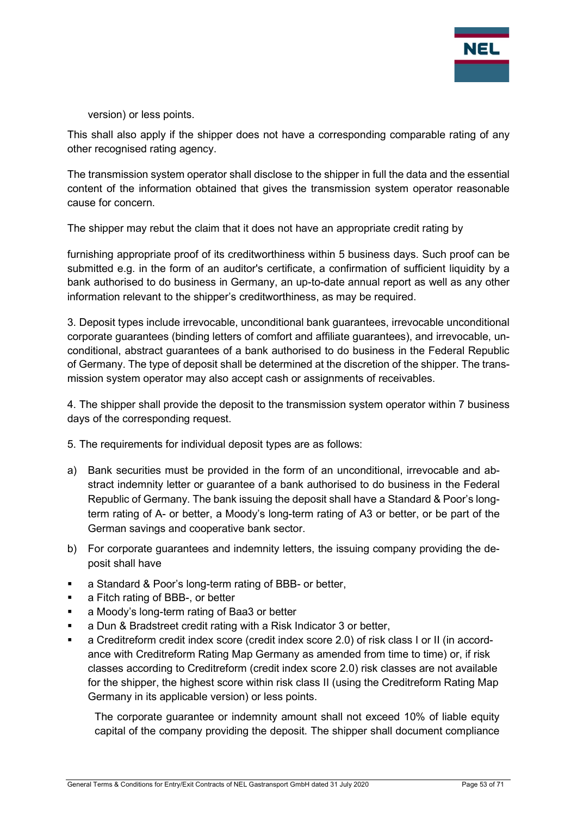

version) or less points.

This shall also apply if the shipper does not have a corresponding comparable rating of any other recognised rating agency.

The transmission system operator shall disclose to the shipper in full the data and the essential content of the information obtained that gives the transmission system operator reasonable cause for concern.

The shipper may rebut the claim that it does not have an appropriate credit rating by

furnishing appropriate proof of its creditworthiness within 5 business days. Such proof can be submitted e.g. in the form of an auditor's certificate, a confirmation of sufficient liquidity by a bank authorised to do business in Germany, an up-to-date annual report as well as any other information relevant to the shipper's creditworthiness, as may be required.

3. Deposit types include irrevocable, unconditional bank guarantees, irrevocable unconditional corporate guarantees (binding letters of comfort and affiliate guarantees), and irrevocable, unconditional, abstract guarantees of a bank authorised to do business in the Federal Republic of Germany. The type of deposit shall be determined at the discretion of the shipper. The transmission system operator may also accept cash or assignments of receivables.

4. The shipper shall provide the deposit to the transmission system operator within 7 business days of the corresponding request.

5. The requirements for individual deposit types are as follows:

- a) Bank securities must be provided in the form of an unconditional, irrevocable and abstract indemnity letter or guarantee of a bank authorised to do business in the Federal Republic of Germany. The bank issuing the deposit shall have a Standard & Poor's longterm rating of A- or better, a Moody's long-term rating of A3 or better, or be part of the German savings and cooperative bank sector.
- b) For corporate guarantees and indemnity letters, the issuing company providing the deposit shall have
- a Standard & Poor's long-term rating of BBB- or better,
- **a** Fitch rating of BBB-, or better
- a Moody's long-term rating of Baa3 or better
- a Dun & Bradstreet credit rating with a Risk Indicator 3 or better,
- a Creditreform credit index score (credit index score 2.0) of risk class I or II (in accordance with Creditreform Rating Map Germany as amended from time to time) or, if risk classes according to Creditreform (credit index score 2.0) risk classes are not available for the shipper, the highest score within risk class II (using the Creditreform Rating Map Germany in its applicable version) or less points.

The corporate guarantee or indemnity amount shall not exceed 10% of liable equity capital of the company providing the deposit. The shipper shall document compliance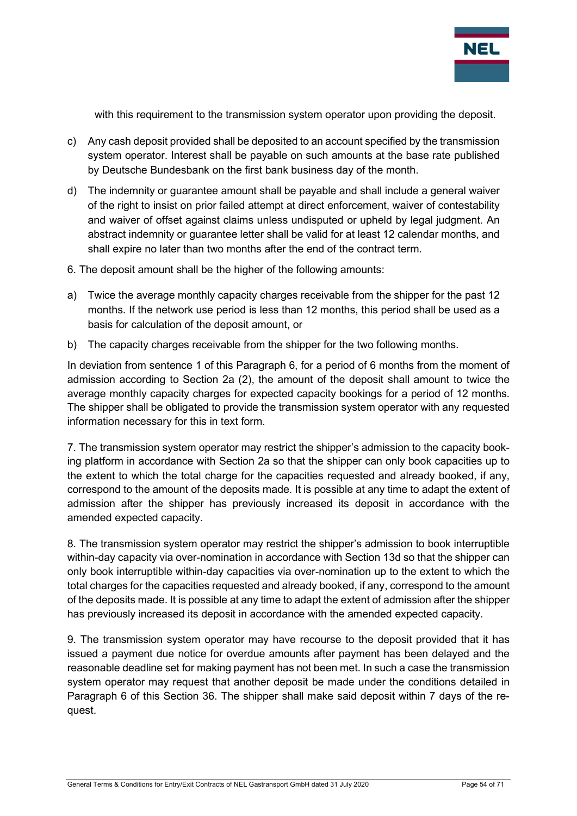

with this requirement to the transmission system operator upon providing the deposit.

- c) Any cash deposit provided shall be deposited to an account specified by the transmission system operator. Interest shall be payable on such amounts at the base rate published by Deutsche Bundesbank on the first bank business day of the month.
- d) The indemnity or guarantee amount shall be payable and shall include a general waiver of the right to insist on prior failed attempt at direct enforcement, waiver of contestability and waiver of offset against claims unless undisputed or upheld by legal judgment. An abstract indemnity or guarantee letter shall be valid for at least 12 calendar months, and shall expire no later than two months after the end of the contract term.
- 6. The deposit amount shall be the higher of the following amounts:
- a) Twice the average monthly capacity charges receivable from the shipper for the past 12 months. If the network use period is less than 12 months, this period shall be used as a basis for calculation of the deposit amount, or
- b) The capacity charges receivable from the shipper for the two following months.

In deviation from sentence 1 of this Paragraph 6, for a period of 6 months from the moment of admission according to Section 2a (2), the amount of the deposit shall amount to twice the average monthly capacity charges for expected capacity bookings for a period of 12 months. The shipper shall be obligated to provide the transmission system operator with any requested information necessary for this in text form.

7. The transmission system operator may restrict the shipper's admission to the capacity booking platform in accordance with Section 2a so that the shipper can only book capacities up to the extent to which the total charge for the capacities requested and already booked, if any, correspond to the amount of the deposits made. It is possible at any time to adapt the extent of admission after the shipper has previously increased its deposit in accordance with the amended expected capacity.

8. The transmission system operator may restrict the shipper's admission to book interruptible within-day capacity via over-nomination in accordance with Section 13d so that the shipper can only book interruptible within-day capacities via over-nomination up to the extent to which the total charges for the capacities requested and already booked, if any, correspond to the amount of the deposits made. It is possible at any time to adapt the extent of admission after the shipper has previously increased its deposit in accordance with the amended expected capacity.

9. The transmission system operator may have recourse to the deposit provided that it has issued a payment due notice for overdue amounts after payment has been delayed and the reasonable deadline set for making payment has not been met. In such a case the transmission system operator may request that another deposit be made under the conditions detailed in Paragraph 6 of this Section 36. The shipper shall make said deposit within 7 days of the request.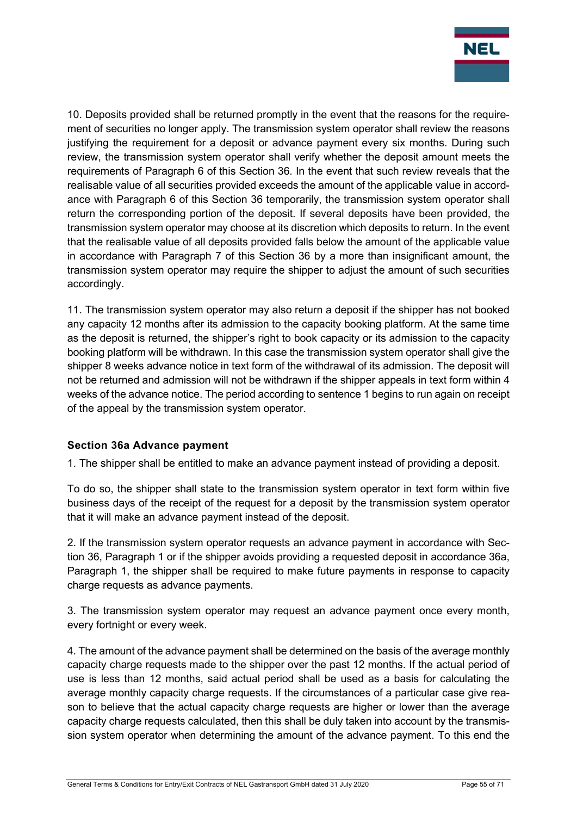

10. Deposits provided shall be returned promptly in the event that the reasons for the requirement of securities no longer apply. The transmission system operator shall review the reasons justifying the requirement for a deposit or advance payment every six months. During such review, the transmission system operator shall verify whether the deposit amount meets the requirements of Paragraph 6 of this Section 36. In the event that such review reveals that the realisable value of all securities provided exceeds the amount of the applicable value in accordance with Paragraph 6 of this Section 36 temporarily, the transmission system operator shall return the corresponding portion of the deposit. If several deposits have been provided, the transmission system operator may choose at its discretion which deposits to return. In the event that the realisable value of all deposits provided falls below the amount of the applicable value in accordance with Paragraph 7 of this Section 36 by a more than insignificant amount, the transmission system operator may require the shipper to adjust the amount of such securities accordingly.

11. The transmission system operator may also return a deposit if the shipper has not booked any capacity 12 months after its admission to the capacity booking platform. At the same time as the deposit is returned, the shipper's right to book capacity or its admission to the capacity booking platform will be withdrawn. In this case the transmission system operator shall give the shipper 8 weeks advance notice in text form of the withdrawal of its admission. The deposit will not be returned and admission will not be withdrawn if the shipper appeals in text form within 4 weeks of the advance notice. The period according to sentence 1 begins to run again on receipt of the appeal by the transmission system operator.

## Section 36a Advance payment

1. The shipper shall be entitled to make an advance payment instead of providing a deposit.

To do so, the shipper shall state to the transmission system operator in text form within five business days of the receipt of the request for a deposit by the transmission system operator that it will make an advance payment instead of the deposit.

2. If the transmission system operator requests an advance payment in accordance with Section 36, Paragraph 1 or if the shipper avoids providing a requested deposit in accordance 36a, Paragraph 1, the shipper shall be required to make future payments in response to capacity charge requests as advance payments.

3. The transmission system operator may request an advance payment once every month, every fortnight or every week.

4. The amount of the advance payment shall be determined on the basis of the average monthly capacity charge requests made to the shipper over the past 12 months. If the actual period of use is less than 12 months, said actual period shall be used as a basis for calculating the average monthly capacity charge requests. If the circumstances of a particular case give reason to believe that the actual capacity charge requests are higher or lower than the average capacity charge requests calculated, then this shall be duly taken into account by the transmission system operator when determining the amount of the advance payment. To this end the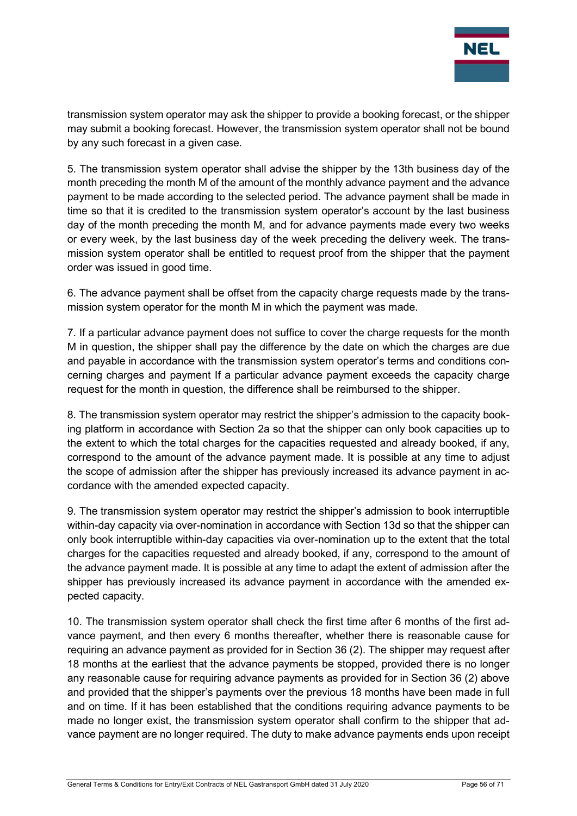

transmission system operator may ask the shipper to provide a booking forecast, or the shipper may submit a booking forecast. However, the transmission system operator shall not be bound by any such forecast in a given case.

5. The transmission system operator shall advise the shipper by the 13th business day of the month preceding the month M of the amount of the monthly advance payment and the advance payment to be made according to the selected period. The advance payment shall be made in time so that it is credited to the transmission system operator's account by the last business day of the month preceding the month M, and for advance payments made every two weeks or every week, by the last business day of the week preceding the delivery week. The transmission system operator shall be entitled to request proof from the shipper that the payment order was issued in good time.

6. The advance payment shall be offset from the capacity charge requests made by the transmission system operator for the month M in which the payment was made.

7. If a particular advance payment does not suffice to cover the charge requests for the month M in question, the shipper shall pay the difference by the date on which the charges are due and payable in accordance with the transmission system operator's terms and conditions concerning charges and payment If a particular advance payment exceeds the capacity charge request for the month in question, the difference shall be reimbursed to the shipper.

8. The transmission system operator may restrict the shipper's admission to the capacity booking platform in accordance with Section 2a so that the shipper can only book capacities up to the extent to which the total charges for the capacities requested and already booked, if any, correspond to the amount of the advance payment made. It is possible at any time to adjust the scope of admission after the shipper has previously increased its advance payment in accordance with the amended expected capacity.

9. The transmission system operator may restrict the shipper's admission to book interruptible within-day capacity via over-nomination in accordance with Section 13d so that the shipper can only book interruptible within-day capacities via over-nomination up to the extent that the total charges for the capacities requested and already booked, if any, correspond to the amount of the advance payment made. It is possible at any time to adapt the extent of admission after the shipper has previously increased its advance payment in accordance with the amended expected capacity.

10. The transmission system operator shall check the first time after 6 months of the first advance payment, and then every 6 months thereafter, whether there is reasonable cause for requiring an advance payment as provided for in Section 36 (2). The shipper may request after 18 months at the earliest that the advance payments be stopped, provided there is no longer any reasonable cause for requiring advance payments as provided for in Section 36 (2) above and provided that the shipper's payments over the previous 18 months have been made in full and on time. If it has been established that the conditions requiring advance payments to be made no longer exist, the transmission system operator shall confirm to the shipper that advance payment are no longer required. The duty to make advance payments ends upon receipt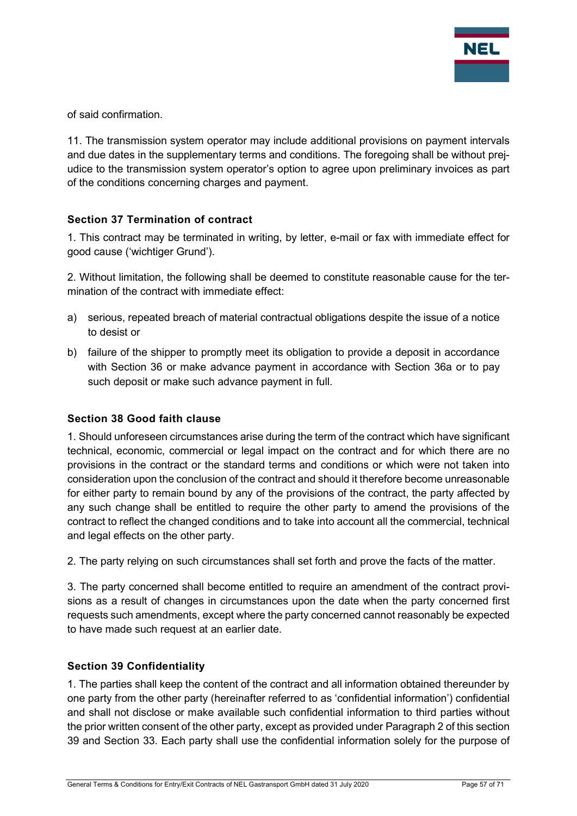

of said confirmation.

11. The transmission system operator may include additional provisions on payment intervals and due dates in the supplementary terms and conditions. The foregoing shall be without prejudice to the transmission system operator's option to agree upon preliminary invoices as part of the conditions concerning charges and payment.

## Section 37 Termination of contract

1. This contract may be terminated in writing, by letter, e-mail or fax with immediate effect for good cause ('wichtiger Grund').

2. Without limitation, the following shall be deemed to constitute reasonable cause for the termination of the contract with immediate effect:

- a) serious, repeated breach of material contractual obligations despite the issue of a notice to desist or
- b) failure of the shipper to promptly meet its obligation to provide a deposit in accordance with Section 36 or make advance payment in accordance with Section 36a or to pay such deposit or make such advance payment in full.

#### Section 38 Good faith clause

1. Should unforeseen circumstances arise during the term of the contract which have significant technical, economic, commercial or legal impact on the contract and for which there are no provisions in the contract or the standard terms and conditions or which were not taken into consideration upon the conclusion of the contract and should it therefore become unreasonable for either party to remain bound by any of the provisions of the contract, the party affected by any such change shall be entitled to require the other party to amend the provisions of the contract to reflect the changed conditions and to take into account all the commercial, technical and legal effects on the other party.

2. The party relying on such circumstances shall set forth and prove the facts of the matter.

3. The party concerned shall become entitled to require an amendment of the contract provisions as a result of changes in circumstances upon the date when the party concerned first requests such amendments, except where the party concerned cannot reasonably be expected to have made such request at an earlier date.

## Section 39 Confidentiality

1. The parties shall keep the content of the contract and all information obtained thereunder by one party from the other party (hereinafter referred to as 'confidential information') confidential and shall not disclose or make available such confidential information to third parties without the prior written consent of the other party, except as provided under Paragraph 2 of this section 39 and Section 33. Each party shall use the confidential information solely for the purpose of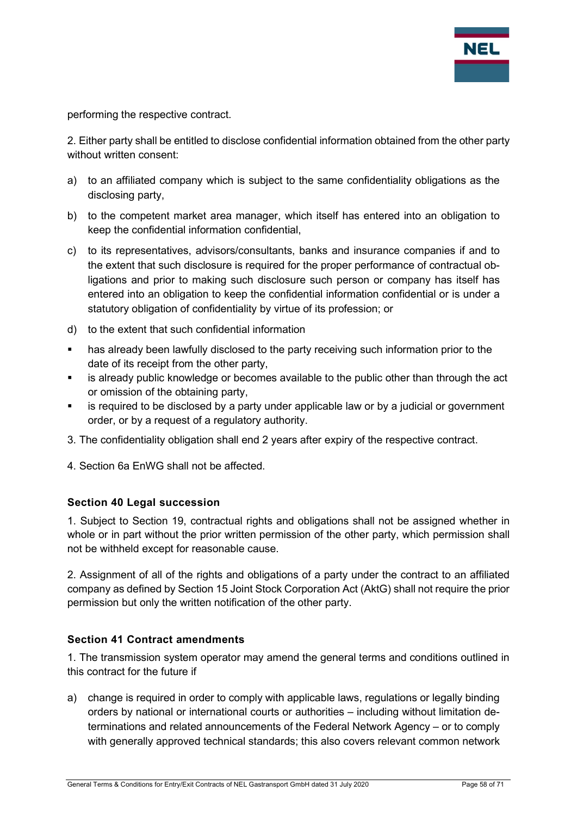

performing the respective contract.

2. Either party shall be entitled to disclose confidential information obtained from the other party without written consent:

- a) to an affiliated company which is subject to the same confidentiality obligations as the disclosing party,
- b) to the competent market area manager, which itself has entered into an obligation to keep the confidential information confidential,
- c) to its representatives, advisors/consultants, banks and insurance companies if and to the extent that such disclosure is required for the proper performance of contractual obligations and prior to making such disclosure such person or company has itself has entered into an obligation to keep the confidential information confidential or is under a statutory obligation of confidentiality by virtue of its profession; or
- d) to the extent that such confidential information
- **has already been lawfully disclosed to the party receiving such information prior to the** date of its receipt from the other party,
- is already public knowledge or becomes available to the public other than through the act or omission of the obtaining party,
- is required to be disclosed by a party under applicable law or by a judicial or government order, or by a request of a regulatory authority.
- 3. The confidentiality obligation shall end 2 years after expiry of the respective contract.
- 4. Section 6a EnWG shall not be affected.

## Section 40 Legal succession

1. Subject to Section 19, contractual rights and obligations shall not be assigned whether in whole or in part without the prior written permission of the other party, which permission shall not be withheld except for reasonable cause.

2. Assignment of all of the rights and obligations of a party under the contract to an affiliated company as defined by Section 15 Joint Stock Corporation Act (AktG) shall not require the prior permission but only the written notification of the other party.

#### Section 41 Contract amendments

1. The transmission system operator may amend the general terms and conditions outlined in this contract for the future if

a) change is required in order to comply with applicable laws, regulations or legally binding orders by national or international courts or authorities – including without limitation determinations and related announcements of the Federal Network Agency – or to comply with generally approved technical standards; this also covers relevant common network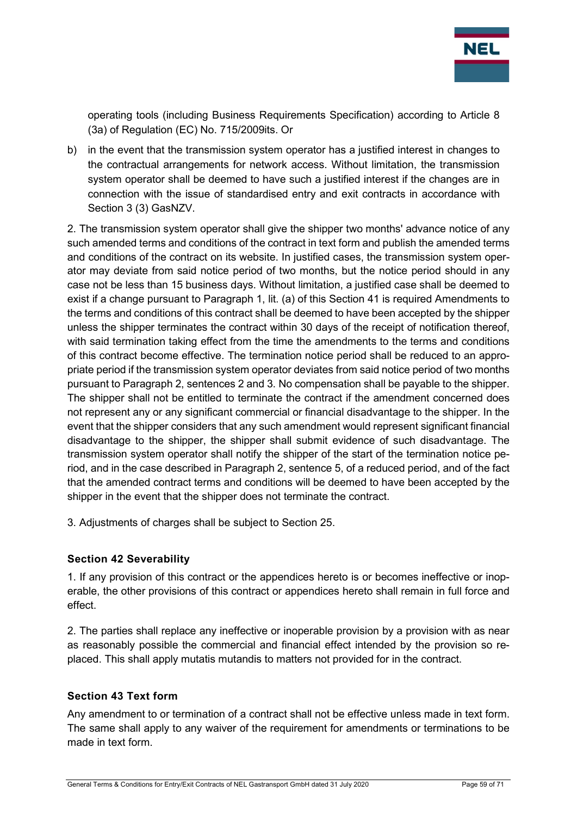

operating tools (including Business Requirements Specification) according to Article 8 (3a) of Regulation (EC) No. 715/2009its. Or

b) in the event that the transmission system operator has a justified interest in changes to the contractual arrangements for network access. Without limitation, the transmission system operator shall be deemed to have such a justified interest if the changes are in connection with the issue of standardised entry and exit contracts in accordance with Section 3 (3) GasNZV.

2. The transmission system operator shall give the shipper two months' advance notice of any such amended terms and conditions of the contract in text form and publish the amended terms and conditions of the contract on its website. In justified cases, the transmission system operator may deviate from said notice period of two months, but the notice period should in any case not be less than 15 business days. Without limitation, a justified case shall be deemed to exist if a change pursuant to Paragraph 1, lit. (a) of this Section 41 is required Amendments to the terms and conditions of this contract shall be deemed to have been accepted by the shipper unless the shipper terminates the contract within 30 days of the receipt of notification thereof, with said termination taking effect from the time the amendments to the terms and conditions of this contract become effective. The termination notice period shall be reduced to an appropriate period if the transmission system operator deviates from said notice period of two months pursuant to Paragraph 2, sentences 2 and 3. No compensation shall be payable to the shipper. The shipper shall not be entitled to terminate the contract if the amendment concerned does not represent any or any significant commercial or financial disadvantage to the shipper. In the event that the shipper considers that any such amendment would represent significant financial disadvantage to the shipper, the shipper shall submit evidence of such disadvantage. The transmission system operator shall notify the shipper of the start of the termination notice period, and in the case described in Paragraph 2, sentence 5, of a reduced period, and of the fact that the amended contract terms and conditions will be deemed to have been accepted by the shipper in the event that the shipper does not terminate the contract.

3. Adjustments of charges shall be subject to Section 25.

## Section 42 Severability

1. If any provision of this contract or the appendices hereto is or becomes ineffective or inoperable, the other provisions of this contract or appendices hereto shall remain in full force and effect.

2. The parties shall replace any ineffective or inoperable provision by a provision with as near as reasonably possible the commercial and financial effect intended by the provision so replaced. This shall apply mutatis mutandis to matters not provided for in the contract.

## Section 43 Text form

Any amendment to or termination of a contract shall not be effective unless made in text form. The same shall apply to any waiver of the requirement for amendments or terminations to be made in text form.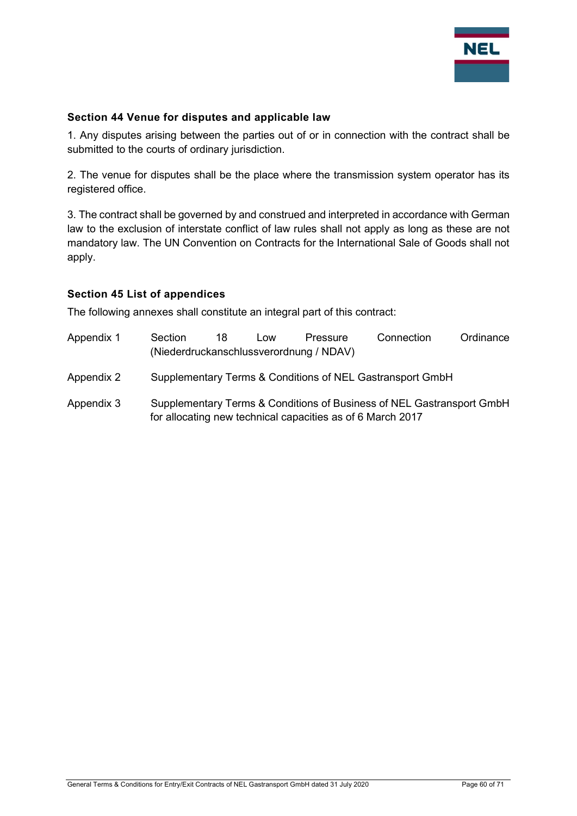

#### Section 44 Venue for disputes and applicable law

1. Any disputes arising between the parties out of or in connection with the contract shall be submitted to the courts of ordinary jurisdiction.

2. The venue for disputes shall be the place where the transmission system operator has its registered office.

3. The contract shall be governed by and construed and interpreted in accordance with German law to the exclusion of interstate conflict of law rules shall not apply as long as these are not mandatory law. The UN Convention on Contracts for the International Sale of Goods shall not apply.

#### Section 45 List of appendices

The following annexes shall constitute an integral part of this contract:

| Appendix 1 | Section<br>(Niederdruckanschlussverordnung / NDAV)                                                                                  | 18 | Low | Pressure | Connection | Ordinance |
|------------|-------------------------------------------------------------------------------------------------------------------------------------|----|-----|----------|------------|-----------|
| Appendix 2 | Supplementary Terms & Conditions of NEL Gastransport GmbH                                                                           |    |     |          |            |           |
| Appendix 3 | Supplementary Terms & Conditions of Business of NEL Gastransport GmbH<br>for allocating new technical capacities as of 6 March 2017 |    |     |          |            |           |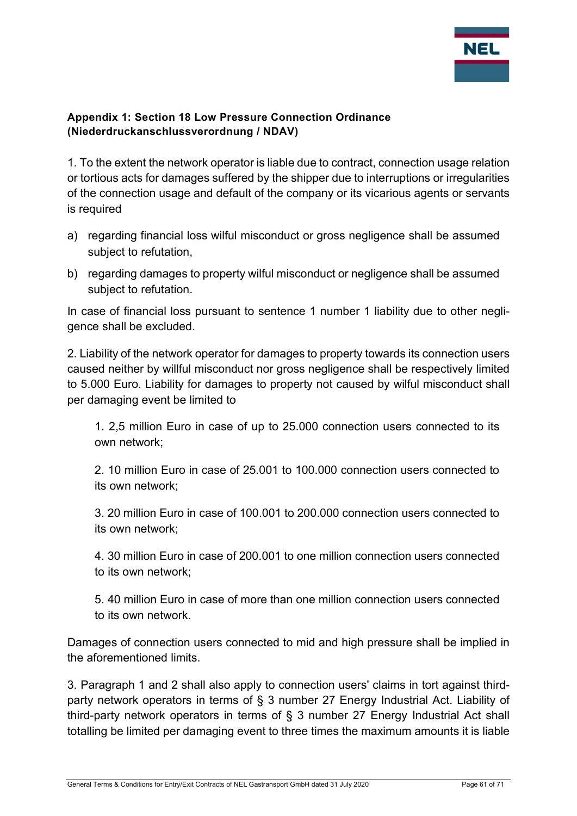

## Appendix 1: Section 18 Low Pressure Connection Ordinance (Niederdruckanschlussverordnung / NDAV)

1. To the extent the network operator is liable due to contract, connection usage relation or tortious acts for damages suffered by the shipper due to interruptions or irregularities of the connection usage and default of the company or its vicarious agents or servants is required

- a) regarding financial loss wilful misconduct or gross negligence shall be assumed subject to refutation,
- b) regarding damages to property wilful misconduct or negligence shall be assumed subject to refutation.

In case of financial loss pursuant to sentence 1 number 1 liability due to other negligence shall be excluded.

2. Liability of the network operator for damages to property towards its connection users caused neither by willful misconduct nor gross negligence shall be respectively limited to 5.000 Euro. Liability for damages to property not caused by wilful misconduct shall per damaging event be limited to

1. 2,5 million Euro in case of up to 25.000 connection users connected to its own network;

2. 10 million Euro in case of 25.001 to 100.000 connection users connected to its own network;

3. 20 million Euro in case of 100.001 to 200.000 connection users connected to its own network;

4. 30 million Euro in case of 200.001 to one million connection users connected to its own network;

5. 40 million Euro in case of more than one million connection users connected to its own network.

Damages of connection users connected to mid and high pressure shall be implied in the aforementioned limits.

3. Paragraph 1 and 2 shall also apply to connection users' claims in tort against thirdparty network operators in terms of § 3 number 27 Energy Industrial Act. Liability of third-party network operators in terms of § 3 number 27 Energy Industrial Act shall totalling be limited per damaging event to three times the maximum amounts it is liable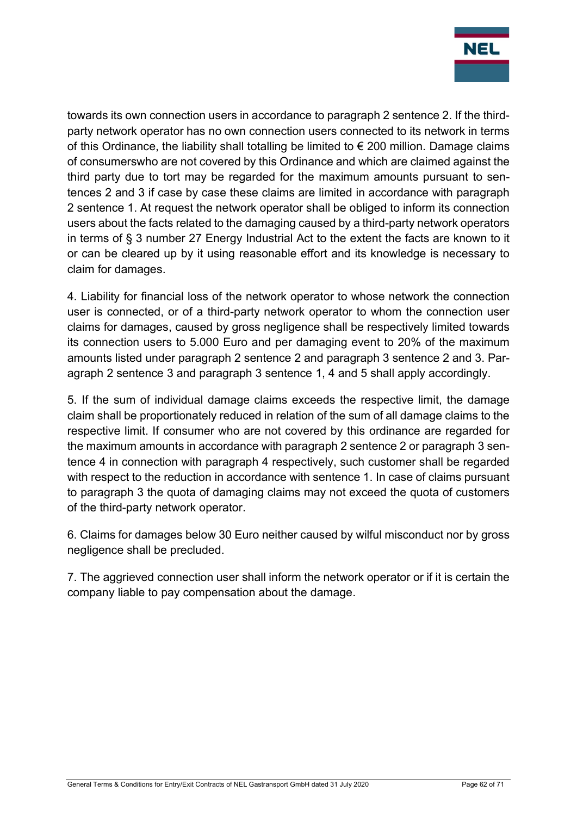

towards its own connection users in accordance to paragraph 2 sentence 2. If the thirdparty network operator has no own connection users connected to its network in terms of this Ordinance, the liability shall totalling be limited to  $\epsilon$  200 million. Damage claims of consumerswho are not covered by this Ordinance and which are claimed against the third party due to tort may be regarded for the maximum amounts pursuant to sentences 2 and 3 if case by case these claims are limited in accordance with paragraph 2 sentence 1. At request the network operator shall be obliged to inform its connection users about the facts related to the damaging caused by a third-party network operators in terms of § 3 number 27 Energy Industrial Act to the extent the facts are known to it or can be cleared up by it using reasonable effort and its knowledge is necessary to claim for damages.

4. Liability for financial loss of the network operator to whose network the connection user is connected, or of a third-party network operator to whom the connection user claims for damages, caused by gross negligence shall be respectively limited towards its connection users to 5.000 Euro and per damaging event to 20% of the maximum amounts listed under paragraph 2 sentence 2 and paragraph 3 sentence 2 and 3. Paragraph 2 sentence 3 and paragraph 3 sentence 1, 4 and 5 shall apply accordingly.

5. If the sum of individual damage claims exceeds the respective limit, the damage claim shall be proportionately reduced in relation of the sum of all damage claims to the respective limit. If consumer who are not covered by this ordinance are regarded for the maximum amounts in accordance with paragraph 2 sentence 2 or paragraph 3 sentence 4 in connection with paragraph 4 respectively, such customer shall be regarded with respect to the reduction in accordance with sentence 1. In case of claims pursuant to paragraph 3 the quota of damaging claims may not exceed the quota of customers of the third-party network operator.

6. Claims for damages below 30 Euro neither caused by wilful misconduct nor by gross negligence shall be precluded.

7. The aggrieved connection user shall inform the network operator or if it is certain the company liable to pay compensation about the damage.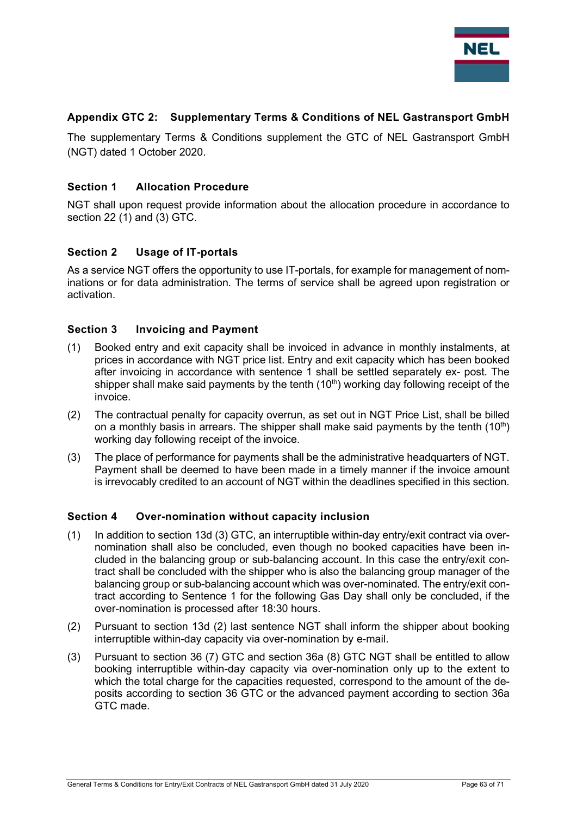

#### Appendix GTC 2: Supplementary Terms & Conditions of NEL Gastransport GmbH

The supplementary Terms & Conditions supplement the GTC of NEL Gastransport GmbH (NGT) dated 1 October 2020.

#### Section 1 Allocation Procedure

NGT shall upon request provide information about the allocation procedure in accordance to section 22 (1) and (3) GTC.

#### Section 2 Usage of IT-portals

As a service NGT offers the opportunity to use IT-portals, for example for management of nominations or for data administration. The terms of service shall be agreed upon registration or activation.

#### Section 3 Invoicing and Payment

- (1) Booked entry and exit capacity shall be invoiced in advance in monthly instalments, at prices in accordance with NGT price list. Entry and exit capacity which has been booked after invoicing in accordance with sentence 1 shall be settled separately ex- post. The shipper shall make said payments by the tenth  $(10<sup>th</sup>)$  working day following receipt of the invoice.
- (2) The contractual penalty for capacity overrun, as set out in NGT Price List, shall be billed on a monthly basis in arrears. The shipper shall make said payments by the tenth  $(10<sup>th</sup>)$ working day following receipt of the invoice.
- (3) The place of performance for payments shall be the administrative headquarters of NGT. Payment shall be deemed to have been made in a timely manner if the invoice amount is irrevocably credited to an account of NGT within the deadlines specified in this section.

#### Section 4 Over-nomination without capacity inclusion

- (1) In addition to section 13d (3) GTC, an interruptible within-day entry/exit contract via overnomination shall also be concluded, even though no booked capacities have been included in the balancing group or sub-balancing account. In this case the entry/exit contract shall be concluded with the shipper who is also the balancing group manager of the balancing group or sub-balancing account which was over-nominated. The entry/exit contract according to Sentence 1 for the following Gas Day shall only be concluded, if the over-nomination is processed after 18:30 hours.
- (2) Pursuant to section 13d (2) last sentence NGT shall inform the shipper about booking interruptible within-day capacity via over-nomination by e-mail.
- (3) Pursuant to section 36 (7) GTC and section 36a (8) GTC NGT shall be entitled to allow booking interruptible within-day capacity via over-nomination only up to the extent to which the total charge for the capacities requested, correspond to the amount of the deposits according to section 36 GTC or the advanced payment according to section 36a GTC made.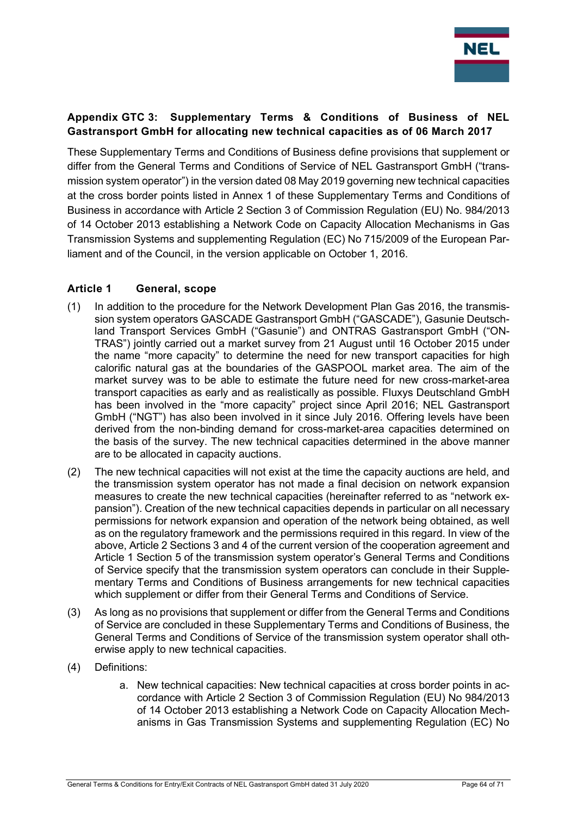

## Appendix GTC 3: Supplementary Terms & Conditions of Business of NEL Gastransport GmbH for allocating new technical capacities as of 06 March 2017

These Supplementary Terms and Conditions of Business define provisions that supplement or differ from the General Terms and Conditions of Service of NEL Gastransport GmbH ("transmission system operator") in the version dated 08 May 2019 governing new technical capacities at the cross border points listed in Annex 1 of these Supplementary Terms and Conditions of Business in accordance with Article 2 Section 3 of Commission Regulation (EU) No. 984/2013 of 14 October 2013 establishing a Network Code on Capacity Allocation Mechanisms in Gas Transmission Systems and supplementing Regulation (EC) No 715/2009 of the European Parliament and of the Council, in the version applicable on October 1, 2016.

#### Article 1 General, scope

- (1) In addition to the procedure for the Network Development Plan Gas 2016, the transmission system operators GASCADE Gastransport GmbH ("GASCADE"), Gasunie Deutschland Transport Services GmbH ("Gasunie") and ONTRAS Gastransport GmbH ("ON-TRAS") jointly carried out a market survey from 21 August until 16 October 2015 under the name "more capacity" to determine the need for new transport capacities for high calorific natural gas at the boundaries of the GASPOOL market area. The aim of the market survey was to be able to estimate the future need for new cross-market-area transport capacities as early and as realistically as possible. Fluxys Deutschland GmbH has been involved in the "more capacity" project since April 2016; NEL Gastransport GmbH ("NGT") has also been involved in it since July 2016. Offering levels have been derived from the non-binding demand for cross-market-area capacities determined on the basis of the survey. The new technical capacities determined in the above manner are to be allocated in capacity auctions.
- (2) The new technical capacities will not exist at the time the capacity auctions are held, and the transmission system operator has not made a final decision on network expansion measures to create the new technical capacities (hereinafter referred to as "network expansion"). Creation of the new technical capacities depends in particular on all necessary permissions for network expansion and operation of the network being obtained, as well as on the regulatory framework and the permissions required in this regard. In view of the above, Article 2 Sections 3 and 4 of the current version of the cooperation agreement and Article 1 Section 5 of the transmission system operator's General Terms and Conditions of Service specify that the transmission system operators can conclude in their Supplementary Terms and Conditions of Business arrangements for new technical capacities which supplement or differ from their General Terms and Conditions of Service.
- (3) As long as no provisions that supplement or differ from the General Terms and Conditions of Service are concluded in these Supplementary Terms and Conditions of Business, the General Terms and Conditions of Service of the transmission system operator shall otherwise apply to new technical capacities.
- (4) Definitions:
	- a. New technical capacities: New technical capacities at cross border points in accordance with Article 2 Section 3 of Commission Regulation (EU) No 984/2013 of 14 October 2013 establishing a Network Code on Capacity Allocation Mechanisms in Gas Transmission Systems and supplementing Regulation (EC) No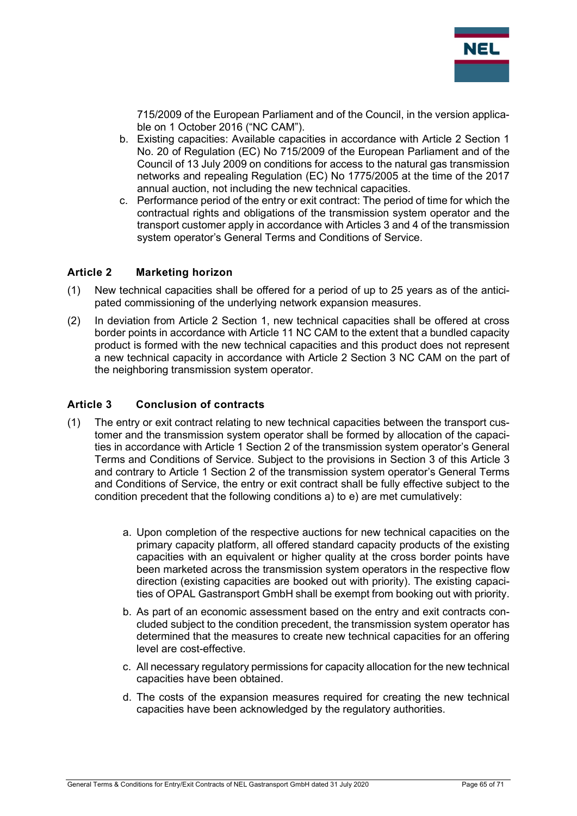

715/2009 of the European Parliament and of the Council, in the version applicable on 1 October 2016 ("NC CAM").

- b. Existing capacities: Available capacities in accordance with Article 2 Section 1 No. 20 of Regulation (EC) No 715/2009 of the European Parliament and of the Council of 13 July 2009 on conditions for access to the natural gas transmission networks and repealing Regulation (EC) No 1775/2005 at the time of the 2017 annual auction, not including the new technical capacities.
- c. Performance period of the entry or exit contract: The period of time for which the contractual rights and obligations of the transmission system operator and the transport customer apply in accordance with Articles 3 and 4 of the transmission system operator's General Terms and Conditions of Service.

#### Article 2 Marketing horizon

- (1) New technical capacities shall be offered for a period of up to 25 years as of the anticipated commissioning of the underlying network expansion measures.
- (2) In deviation from Article 2 Section 1, new technical capacities shall be offered at cross border points in accordance with Article 11 NC CAM to the extent that a bundled capacity product is formed with the new technical capacities and this product does not represent a new technical capacity in accordance with Article 2 Section 3 NC CAM on the part of the neighboring transmission system operator.

#### Article 3 Conclusion of contracts

- (1) The entry or exit contract relating to new technical capacities between the transport customer and the transmission system operator shall be formed by allocation of the capacities in accordance with Article 1 Section 2 of the transmission system operator's General Terms and Conditions of Service. Subject to the provisions in Section 3 of this Article 3 and contrary to Article 1 Section 2 of the transmission system operator's General Terms and Conditions of Service, the entry or exit contract shall be fully effective subject to the condition precedent that the following conditions a) to e) are met cumulatively:
	- a. Upon completion of the respective auctions for new technical capacities on the primary capacity platform, all offered standard capacity products of the existing capacities with an equivalent or higher quality at the cross border points have been marketed across the transmission system operators in the respective flow direction (existing capacities are booked out with priority). The existing capacities of OPAL Gastransport GmbH shall be exempt from booking out with priority.
	- b. As part of an economic assessment based on the entry and exit contracts concluded subject to the condition precedent, the transmission system operator has determined that the measures to create new technical capacities for an offering level are cost-effective.
	- c. All necessary regulatory permissions for capacity allocation for the new technical capacities have been obtained.
	- d. The costs of the expansion measures required for creating the new technical capacities have been acknowledged by the regulatory authorities.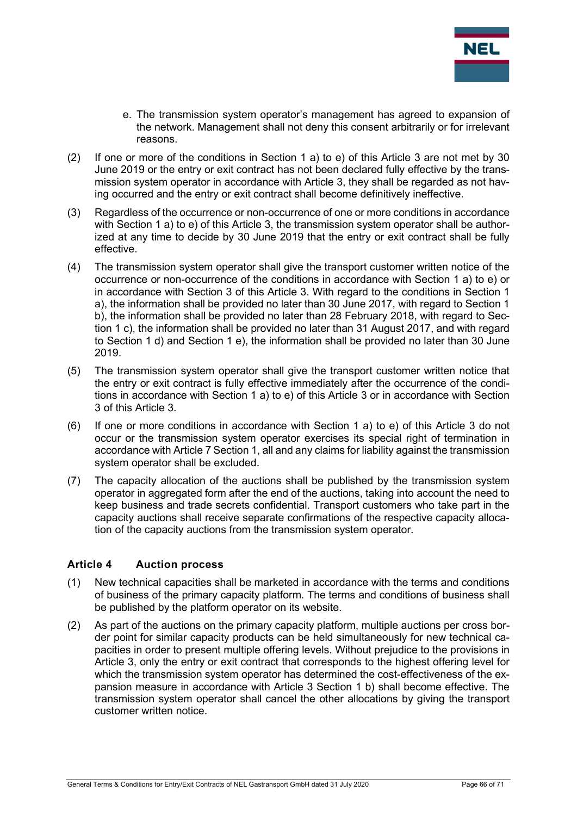

- e. The transmission system operator's management has agreed to expansion of the network. Management shall not deny this consent arbitrarily or for irrelevant reasons.
- (2) If one or more of the conditions in Section 1 a) to e) of this Article 3 are not met by 30 June 2019 or the entry or exit contract has not been declared fully effective by the transmission system operator in accordance with Article 3, they shall be regarded as not having occurred and the entry or exit contract shall become definitively ineffective.
- (3) Regardless of the occurrence or non-occurrence of one or more conditions in accordance with Section 1 a) to e) of this Article 3, the transmission system operator shall be authorized at any time to decide by 30 June 2019 that the entry or exit contract shall be fully effective.
- (4) The transmission system operator shall give the transport customer written notice of the occurrence or non-occurrence of the conditions in accordance with Section 1 a) to e) or in accordance with Section 3 of this Article 3. With regard to the conditions in Section 1 a), the information shall be provided no later than 30 June 2017, with regard to Section 1 b), the information shall be provided no later than 28 February 2018, with regard to Section 1 c), the information shall be provided no later than 31 August 2017, and with regard to Section 1 d) and Section 1 e), the information shall be provided no later than 30 June 2019.
- (5) The transmission system operator shall give the transport customer written notice that the entry or exit contract is fully effective immediately after the occurrence of the conditions in accordance with Section 1 a) to e) of this Article 3 or in accordance with Section 3 of this Article 3.
- (6) If one or more conditions in accordance with Section 1 a) to e) of this Article 3 do not occur or the transmission system operator exercises its special right of termination in accordance with Article 7 Section 1, all and any claims for liability against the transmission system operator shall be excluded.
- (7) The capacity allocation of the auctions shall be published by the transmission system operator in aggregated form after the end of the auctions, taking into account the need to keep business and trade secrets confidential. Transport customers who take part in the capacity auctions shall receive separate confirmations of the respective capacity allocation of the capacity auctions from the transmission system operator.

## Article 4 Auction process

- (1) New technical capacities shall be marketed in accordance with the terms and conditions of business of the primary capacity platform. The terms and conditions of business shall be published by the platform operator on its website.
- (2) As part of the auctions on the primary capacity platform, multiple auctions per cross border point for similar capacity products can be held simultaneously for new technical capacities in order to present multiple offering levels. Without prejudice to the provisions in Article 3, only the entry or exit contract that corresponds to the highest offering level for which the transmission system operator has determined the cost-effectiveness of the expansion measure in accordance with Article 3 Section 1 b) shall become effective. The transmission system operator shall cancel the other allocations by giving the transport customer written notice.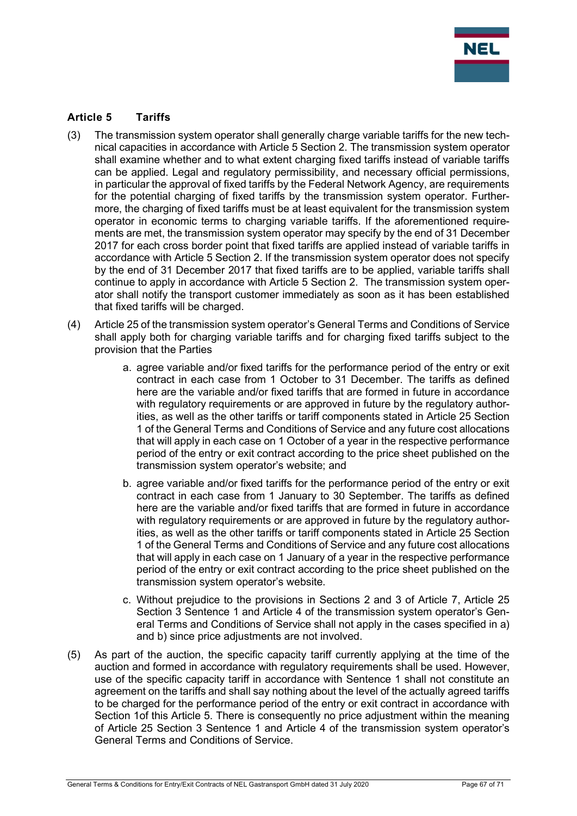

#### Article 5 Tariffs

- (3) The transmission system operator shall generally charge variable tariffs for the new technical capacities in accordance with Article 5 Section 2. The transmission system operator shall examine whether and to what extent charging fixed tariffs instead of variable tariffs can be applied. Legal and regulatory permissibility, and necessary official permissions, in particular the approval of fixed tariffs by the Federal Network Agency, are requirements for the potential charging of fixed tariffs by the transmission system operator. Furthermore, the charging of fixed tariffs must be at least equivalent for the transmission system operator in economic terms to charging variable tariffs. If the aforementioned requirements are met, the transmission system operator may specify by the end of 31 December 2017 for each cross border point that fixed tariffs are applied instead of variable tariffs in accordance with Article 5 Section 2. If the transmission system operator does not specify by the end of 31 December 2017 that fixed tariffs are to be applied, variable tariffs shall continue to apply in accordance with Article 5 Section 2. The transmission system operator shall notify the transport customer immediately as soon as it has been established that fixed tariffs will be charged.
- (4) Article 25 of the transmission system operator's General Terms and Conditions of Service shall apply both for charging variable tariffs and for charging fixed tariffs subject to the provision that the Parties
	- a. agree variable and/or fixed tariffs for the performance period of the entry or exit contract in each case from 1 October to 31 December. The tariffs as defined here are the variable and/or fixed tariffs that are formed in future in accordance with regulatory requirements or are approved in future by the regulatory authorities, as well as the other tariffs or tariff components stated in Article 25 Section 1 of the General Terms and Conditions of Service and any future cost allocations that will apply in each case on 1 October of a year in the respective performance period of the entry or exit contract according to the price sheet published on the transmission system operator's website; and
	- b. agree variable and/or fixed tariffs for the performance period of the entry or exit contract in each case from 1 January to 30 September. The tariffs as defined here are the variable and/or fixed tariffs that are formed in future in accordance with regulatory requirements or are approved in future by the regulatory authorities, as well as the other tariffs or tariff components stated in Article 25 Section 1 of the General Terms and Conditions of Service and any future cost allocations that will apply in each case on 1 January of a year in the respective performance period of the entry or exit contract according to the price sheet published on the transmission system operator's website.
	- c. Without prejudice to the provisions in Sections 2 and 3 of Article 7, Article 25 Section 3 Sentence 1 and Article 4 of the transmission system operator's General Terms and Conditions of Service shall not apply in the cases specified in a) and b) since price adjustments are not involved.
- (5) As part of the auction, the specific capacity tariff currently applying at the time of the auction and formed in accordance with regulatory requirements shall be used. However, use of the specific capacity tariff in accordance with Sentence 1 shall not constitute an agreement on the tariffs and shall say nothing about the level of the actually agreed tariffs to be charged for the performance period of the entry or exit contract in accordance with Section 1of this Article 5. There is consequently no price adjustment within the meaning of Article 25 Section 3 Sentence 1 and Article 4 of the transmission system operator's General Terms and Conditions of Service.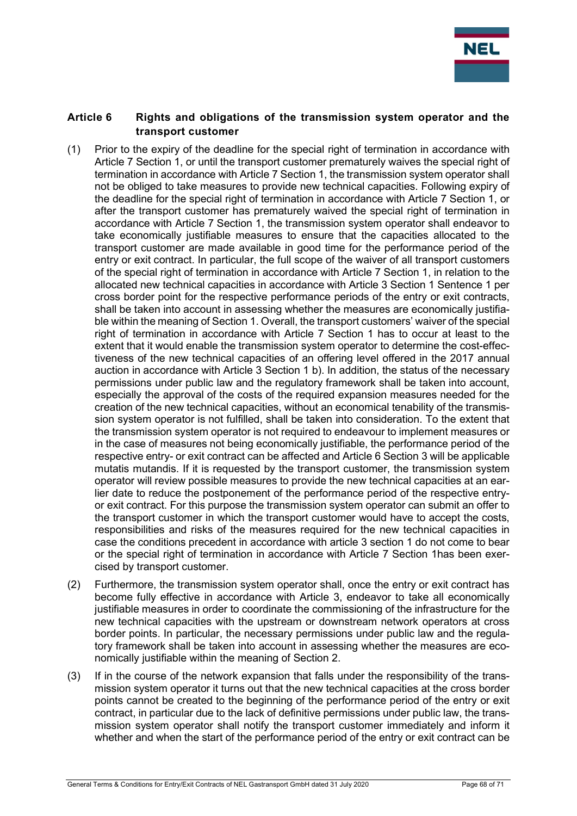

#### Article 6 Rights and obligations of the transmission system operator and the transport customer

- (1) Prior to the expiry of the deadline for the special right of termination in accordance with Article 7 Section 1, or until the transport customer prematurely waives the special right of termination in accordance with Article 7 Section 1, the transmission system operator shall not be obliged to take measures to provide new technical capacities. Following expiry of the deadline for the special right of termination in accordance with Article 7 Section 1, or after the transport customer has prematurely waived the special right of termination in accordance with Article 7 Section 1, the transmission system operator shall endeavor to take economically justifiable measures to ensure that the capacities allocated to the transport customer are made available in good time for the performance period of the entry or exit contract. In particular, the full scope of the waiver of all transport customers of the special right of termination in accordance with Article 7 Section 1, in relation to the allocated new technical capacities in accordance with Article 3 Section 1 Sentence 1 per cross border point for the respective performance periods of the entry or exit contracts, shall be taken into account in assessing whether the measures are economically justifiable within the meaning of Section 1. Overall, the transport customers' waiver of the special right of termination in accordance with Article 7 Section 1 has to occur at least to the extent that it would enable the transmission system operator to determine the cost-effectiveness of the new technical capacities of an offering level offered in the 2017 annual auction in accordance with Article 3 Section 1 b). In addition, the status of the necessary permissions under public law and the regulatory framework shall be taken into account, especially the approval of the costs of the required expansion measures needed for the creation of the new technical capacities, without an economical tenability of the transmission system operator is not fulfilled, shall be taken into consideration. To the extent that the transmission system operator is not required to endeavour to implement measures or in the case of measures not being economically justifiable, the performance period of the respective entry- or exit contract can be affected and Article 6 Section 3 will be applicable mutatis mutandis. If it is requested by the transport customer, the transmission system operator will review possible measures to provide the new technical capacities at an earlier date to reduce the postponement of the performance period of the respective entryor exit contract. For this purpose the transmission system operator can submit an offer to the transport customer in which the transport customer would have to accept the costs, responsibilities and risks of the measures required for the new technical capacities in case the conditions precedent in accordance with article 3 section 1 do not come to bear or the special right of termination in accordance with Article 7 Section 1has been exercised by transport customer.
- (2) Furthermore, the transmission system operator shall, once the entry or exit contract has become fully effective in accordance with Article 3, endeavor to take all economically justifiable measures in order to coordinate the commissioning of the infrastructure for the new technical capacities with the upstream or downstream network operators at cross border points. In particular, the necessary permissions under public law and the regulatory framework shall be taken into account in assessing whether the measures are economically justifiable within the meaning of Section 2.
- (3) If in the course of the network expansion that falls under the responsibility of the transmission system operator it turns out that the new technical capacities at the cross border points cannot be created to the beginning of the performance period of the entry or exit contract, in particular due to the lack of definitive permissions under public law, the transmission system operator shall notify the transport customer immediately and inform it whether and when the start of the performance period of the entry or exit contract can be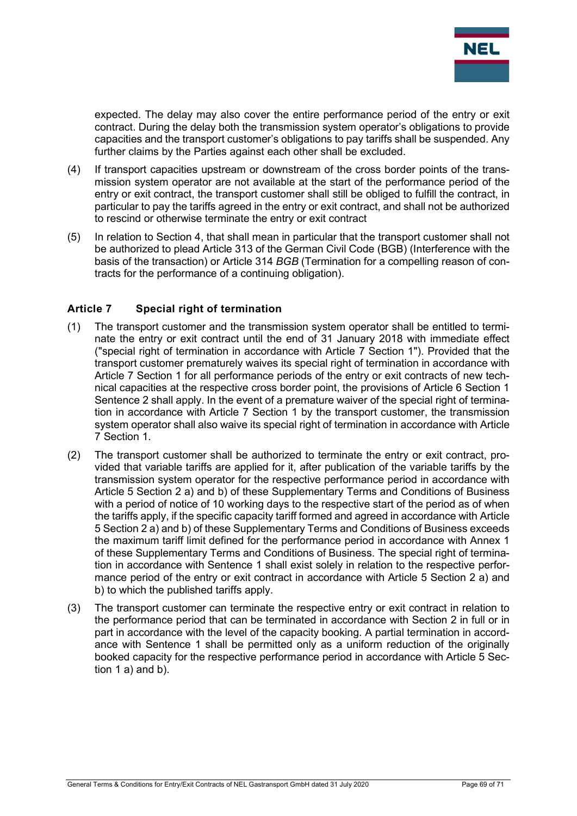

expected. The delay may also cover the entire performance period of the entry or exit contract. During the delay both the transmission system operator's obligations to provide capacities and the transport customer's obligations to pay tariffs shall be suspended. Any further claims by the Parties against each other shall be excluded.

- (4) If transport capacities upstream or downstream of the cross border points of the transmission system operator are not available at the start of the performance period of the entry or exit contract, the transport customer shall still be obliged to fulfill the contract, in particular to pay the tariffs agreed in the entry or exit contract, and shall not be authorized to rescind or otherwise terminate the entry or exit contract
- (5) In relation to Section 4, that shall mean in particular that the transport customer shall not be authorized to plead Article 313 of the German Civil Code (BGB) (Interference with the basis of the transaction) or Article 314 BGB (Termination for a compelling reason of contracts for the performance of a continuing obligation).

#### Article 7 Special right of termination

- (1) The transport customer and the transmission system operator shall be entitled to terminate the entry or exit contract until the end of 31 January 2018 with immediate effect ("special right of termination in accordance with Article 7 Section 1"). Provided that the transport customer prematurely waives its special right of termination in accordance with Article 7 Section 1 for all performance periods of the entry or exit contracts of new technical capacities at the respective cross border point, the provisions of Article 6 Section 1 Sentence 2 shall apply. In the event of a premature waiver of the special right of termination in accordance with Article 7 Section 1 by the transport customer, the transmission system operator shall also waive its special right of termination in accordance with Article 7 Section 1.
- (2) The transport customer shall be authorized to terminate the entry or exit contract, provided that variable tariffs are applied for it, after publication of the variable tariffs by the transmission system operator for the respective performance period in accordance with Article 5 Section 2 a) and b) of these Supplementary Terms and Conditions of Business with a period of notice of 10 working days to the respective start of the period as of when the tariffs apply, if the specific capacity tariff formed and agreed in accordance with Article 5 Section 2 a) and b) of these Supplementary Terms and Conditions of Business exceeds the maximum tariff limit defined for the performance period in accordance with Annex 1 of these Supplementary Terms and Conditions of Business. The special right of termination in accordance with Sentence 1 shall exist solely in relation to the respective performance period of the entry or exit contract in accordance with Article 5 Section 2 a) and b) to which the published tariffs apply.
- (3) The transport customer can terminate the respective entry or exit contract in relation to the performance period that can be terminated in accordance with Section 2 in full or in part in accordance with the level of the capacity booking. A partial termination in accordance with Sentence 1 shall be permitted only as a uniform reduction of the originally booked capacity for the respective performance period in accordance with Article 5 Section 1 a) and b).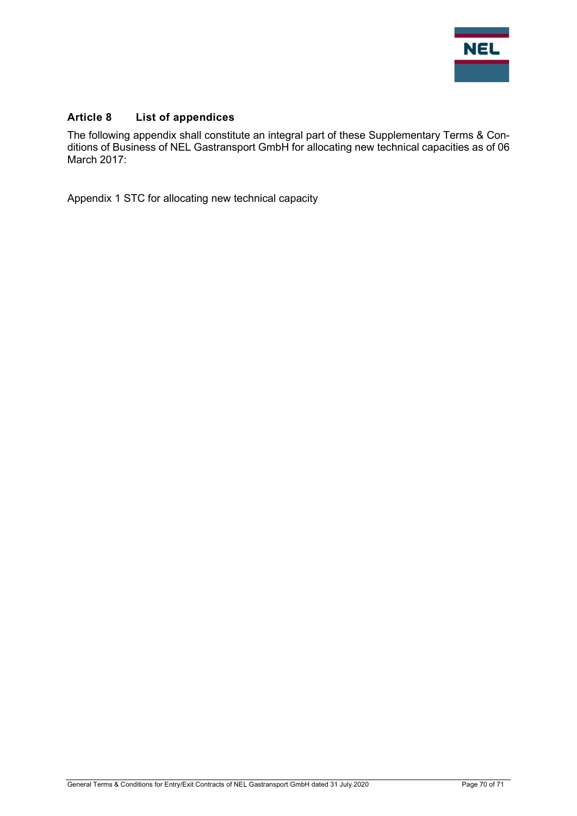

## Article 8 List of appendices

The following appendix shall constitute an integral part of these Supplementary Terms & Conditions of Business of NEL Gastransport GmbH for allocating new technical capacities as of 06 March 2017:

Appendix 1 STC for allocating new technical capacity